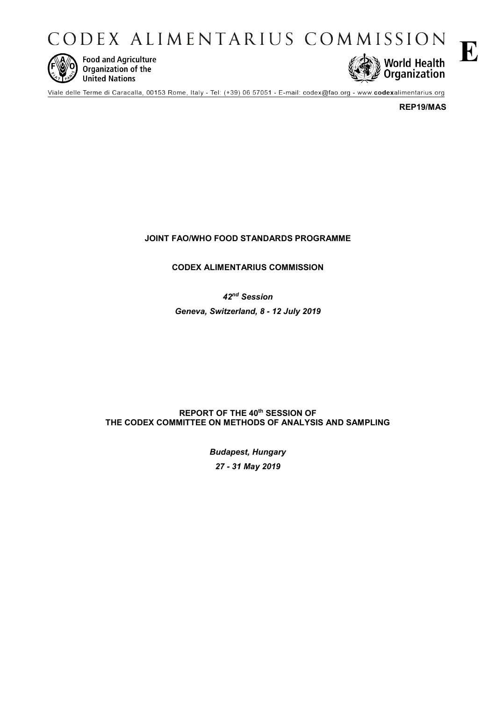CODEX ALIMENTARIUS COMMISSION



**Food and Agriculture** Organization of the **United Nations** 



Viale delle Terme di Caracalla, 00153 Rome, Italy - Tel: (+39) 06 57051 - E-mail: codex@fao.org - www.codexalimentarius.org

**REP19/MAS**

# **JOINT FAO/WHO FOOD STANDARDS PROGRAMME**

**CODEX ALIMENTARIUS COMMISSION**

*42nd Session* 

*Geneva, Switzerland, 8 - 12 July 2019* 

# **REPORT OF THE 40th SESSION OF THE CODEX COMMITTEE ON METHODS OF ANALYSIS AND SAMPLING**

*Budapest, Hungary 27 - 31 May 2019*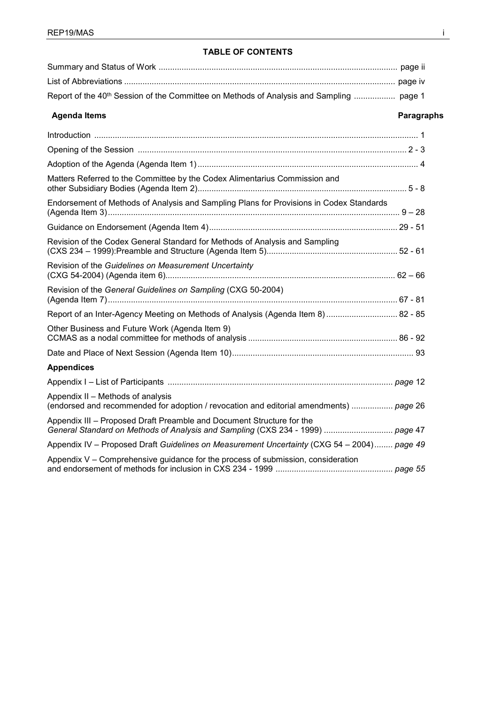# **TABLE OF CONTENTS**

| Report of the 40 <sup>th</sup> Session of the Committee on Methods of Analysis and Sampling  page 1 |
|-----------------------------------------------------------------------------------------------------|
|                                                                                                     |

# **Agenda Items Paragraphs**

| Matters Referred to the Committee by the Codex Alimentarius Commission and                                                                              |
|---------------------------------------------------------------------------------------------------------------------------------------------------------|
| Endorsement of Methods of Analysis and Sampling Plans for Provisions in Codex Standards                                                                 |
|                                                                                                                                                         |
| Revision of the Codex General Standard for Methods of Analysis and Sampling                                                                             |
| Revision of the Guidelines on Measurement Uncertainty                                                                                                   |
| Revision of the General Guidelines on Sampling (CXG 50-2004)                                                                                            |
| Report of an Inter-Agency Meeting on Methods of Analysis (Agenda Item 8)  82 - 85                                                                       |
| Other Business and Future Work (Agenda Item 9)                                                                                                          |
|                                                                                                                                                         |
| <b>Appendices</b>                                                                                                                                       |
|                                                                                                                                                         |
| Appendix II - Methods of analysis<br>(endorsed and recommended for adoption / revocation and editorial amendments)  page 26                             |
| Appendix III - Proposed Draft Preamble and Document Structure for the<br>General Standard on Methods of Analysis and Sampling (CXS 234 - 1999)  page 47 |
| Appendix IV - Proposed Draft Guidelines on Measurement Uncertainty (CXG 54 - 2004) page 49                                                              |
| Appendix V – Comprehensive guidance for the process of submission, consideration                                                                        |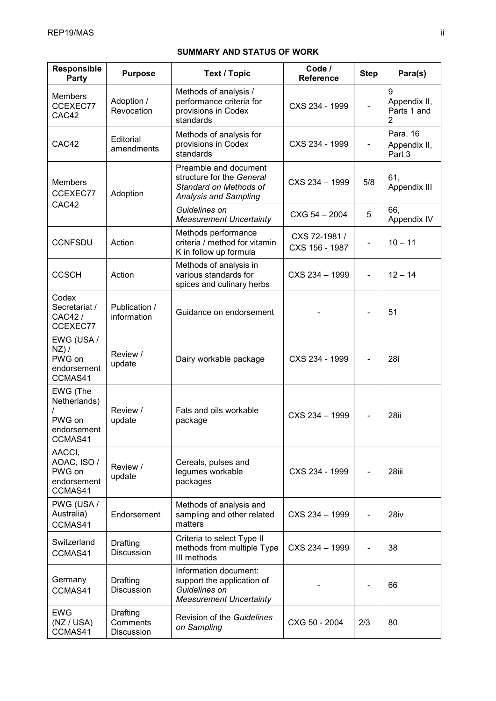# **SUMMARY AND STATUS OF WORK**

| Responsible<br>Party                                         | <b>Purpose</b>                     | <b>Text / Topic</b>                                                                                    | Code /<br><b>Reference</b>      | <b>Step</b> | Para(s)                               |
|--------------------------------------------------------------|------------------------------------|--------------------------------------------------------------------------------------------------------|---------------------------------|-------------|---------------------------------------|
| <b>Members</b><br>CCEXEC77<br>CAC42                          | Adoption /<br>Revocation           | Methods of analysis /<br>performance criteria for<br>provisions in Codex<br>standards                  | CXS 234 - 1999                  |             | 9<br>Appendix II,<br>Parts 1 and<br>2 |
| CAC42                                                        | Editorial<br>amendments            | Methods of analysis for<br>provisions in Codex<br>standards                                            | CXS 234 - 1999                  | -           | Para. 16<br>Appendix II,<br>Part 3    |
| Members<br>CCEXEC77                                          | Adoption                           | Preamble and document<br>structure for the General<br>Standard on Methods of<br>Analysis and Sampling  | CXS 234 - 1999                  | 5/8         | 61,<br>Appendix III                   |
| CAC42                                                        |                                    | Guidelines on<br><b>Measurement Uncertainty</b>                                                        | $C XG 54 - 2004$                | 5           | 66,<br>Appendix IV                    |
| <b>CCNFSDU</b>                                               | Action                             | Methods performance<br>criteria / method for vitamin<br>K in follow up formula                         | CXS 72-1981 /<br>CXS 156 - 1987 |             | $10 - 11$                             |
| <b>CCSCH</b>                                                 | Action                             | Methods of analysis in<br>various standards for<br>spices and culinary herbs                           | CXS 234 - 1999                  |             | $12 - 14$                             |
| Codex<br>Secretariat /<br>CAC42/<br>CCEXEC77                 | Publication /<br>information       | Guidance on endorsement                                                                                |                                 |             | 51                                    |
| EWG (USA /<br>$NZ$ ) /<br>PWG on<br>endorsement<br>CCMAS41   | Review /<br>update                 | Dairy workable package                                                                                 | CXS 234 - 1999                  |             | 28i                                   |
| EWG (The<br>Netherlands)<br>PWG on<br>endorsement<br>CCMAS41 | Review /<br>update                 | Fats and oils workable<br>package                                                                      | CXS 234 - 1999                  |             | 28ii                                  |
| AACCI,<br>AOAC, ISO /<br>PWG on<br>endorsement<br>CCMAS41    | Review /<br>update                 | Cereals, pulses and<br>legumes workable<br>packages                                                    | CXS 234 - 1999                  |             | 28iii                                 |
| PWG (USA /<br>Australia)<br>CCMAS41                          | Endorsement                        | Methods of analysis and<br>sampling and other related<br>matters                                       | CXS 234 - 1999                  |             | 28iv                                  |
| Switzerland<br>CCMAS41                                       | Drafting<br><b>Discussion</b>      | Criteria to select Type II<br>methods from multiple Type<br>III methods                                | CXS 234 - 1999                  |             | 38                                    |
| Germany<br>CCMAS41                                           | Drafting<br><b>Discussion</b>      | Information document:<br>support the application of<br>Guidelines on<br><b>Measurement Uncertainty</b> |                                 |             | 66                                    |
| <b>EWG</b><br>(NZ / USA)<br>CCMAS41                          | Drafting<br>Comments<br>Discussion | Revision of the Guidelines<br>on Sampling                                                              | CXG 50 - 2004                   | 2/3         | 80                                    |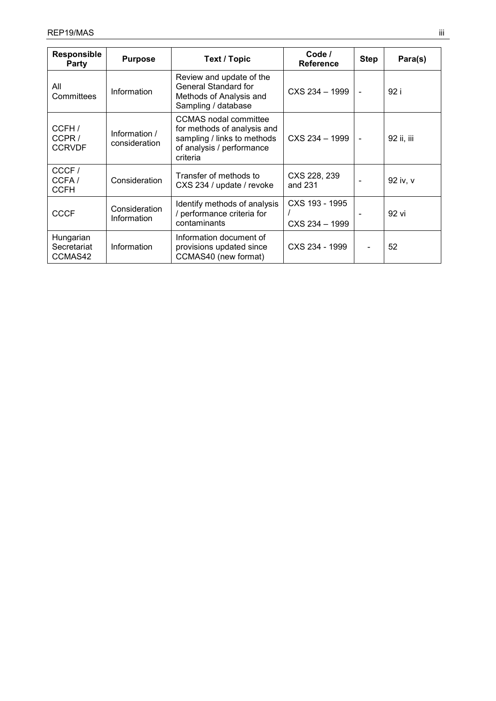| <b>Responsible</b><br><b>Party</b>  | <b>Purpose</b>                 | <b>Text / Topic</b>                                                                                                                 | Code /<br><b>Reference</b>       | <b>Step</b> | Para(s)    |
|-------------------------------------|--------------------------------|-------------------------------------------------------------------------------------------------------------------------------------|----------------------------------|-------------|------------|
| All<br>Committees                   | Information                    | Review and update of the<br>General Standard for<br>Methods of Analysis and<br>Sampling / database                                  | CXS 234 - 1999                   |             | 92 i       |
| CCFH /<br>CCPR/<br><b>CCRVDF</b>    | Information /<br>consideration | <b>CCMAS</b> nodal committee<br>for methods of analysis and<br>sampling / links to methods<br>of analysis / performance<br>criteria | CXS 234 - 1999                   |             | 92 ii, iii |
| CCCF/<br>CCFA/<br><b>CCFH</b>       | Consideration                  | Transfer of methods to<br>CXS 234 / update / revoke                                                                                 | CXS 228, 239<br>and 231          |             | 92 iv, v   |
| <b>CCCF</b>                         | Consideration<br>Information   | Identify methods of analysis<br>/ performance criteria for<br>contaminants                                                          | CXS 193 - 1995<br>CXS 234 - 1999 |             | 92 vi      |
| Hungarian<br>Secretariat<br>CCMAS42 | Information                    | Information document of<br>provisions updated since<br>CCMAS40 (new format)                                                         | CXS 234 - 1999                   |             | 52         |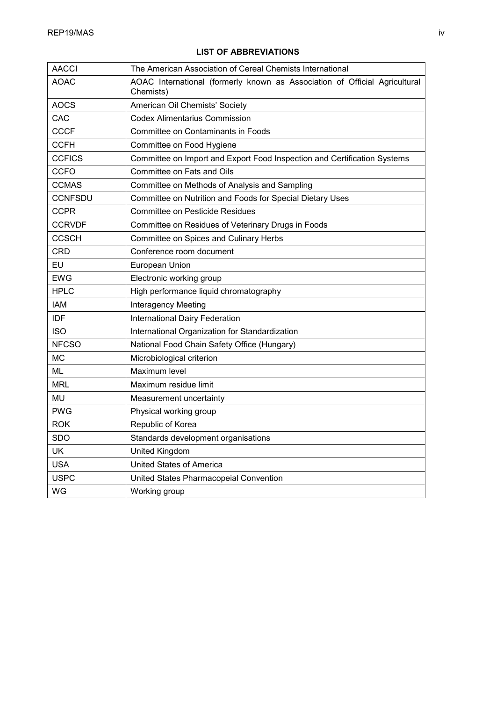# AACCI The American Association of Cereal Chemists International AOAC | AOAC International (formerly known as Association of Official Agricultural Chemists) AOCS | American Oil Chemists' Society CAC CODEX Alimentarius Commission CCCF | Committee on Contaminants in Foods CCFH Committee on Food Hygiene CCFICS Committee on Import and Export Food Inspection and Certification Systems CCFO Committee on Fats and Oils CCMAS Committee on Methods of Analysis and Sampling CCNFSDU Committee on Nutrition and Foods for Special Dietary Uses CCPR | Committee on Pesticide Residues CCRVDF Committee on Residues of Veterinary Drugs in Foods CCSCH Committee on Spices and Culinary Herbs CRD Conference room document EU | European Union EWG | Electronic working group HPLC High performance liquid chromatography IAM Interagency Meeting **IDF International Dairy Federation** ISO International Organization for Standardization NFCSO | National Food Chain Safety Office (Hungary) MC | Microbiological criterion ML Maximum level MRL Maximum residue limit MU | Measurement uncertainty PWG | Physical working group ROK Republic of Korea SDO Standards development organisations UK United Kingdom USA | United States of America USPC United States Pharmacopeial Convention WG Working group

# **LIST OF ABBREVIATIONS**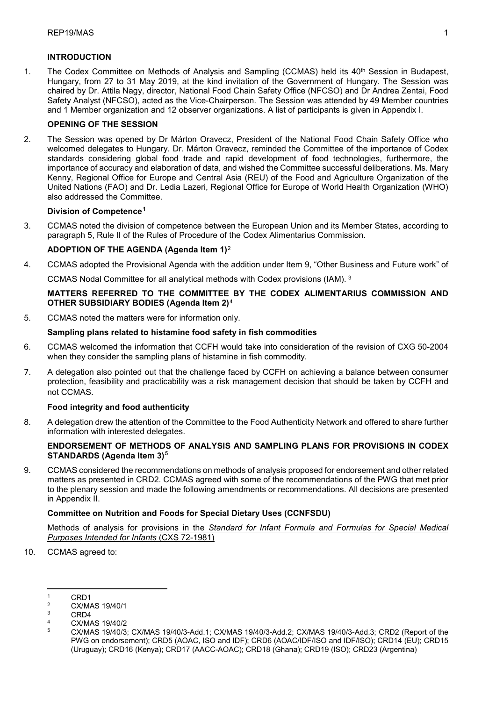# **INTRODUCTION**

1. The Codex Committee on Methods of Analysis and Sampling (CCMAS) held its 40<sup>th</sup> Session in Budapest, Hungary, from 27 to 31 May 2019, at the kind invitation of the Government of Hungary. The Session was chaired by Dr. Attila Nagy, director, National Food Chain Safety Office (NFCSO) and Dr Andrea Zentai, Food Safety Analyst (NFCSO), acted as the Vice-Chairperson. The Session was attended by 49 Member countries and 1 Member organization and 12 observer organizations. A list of participants is given in Appendix I.

# **OPENING OF THE SESSION**

2. The Session was opened by Dr Márton Oravecz, President of the National Food Chain Safety Office who welcomed delegates to Hungary. Dr. Márton Oravecz, reminded the Committee of the importance of Codex standards considering global food trade and rapid development of food technologies, furthermore, the importance of accuracy and elaboration of data, and wished the Committee successful deliberations. Ms. Mary Kenny, Regional Office for Europe and Central Asia (REU) of the Food and Agriculture Organization of the United Nations (FAO) and Dr. Ledia Lazeri, Regional Office for Europe of World Health Organization (WHO) also addressed the Committee.

### **Division of Competence[1](#page-5-0)**

3. CCMAS noted the division of competence between the European Union and its Member States, according to paragraph 5, Rule II of the Rules of Procedure of the Codex Alimentarius Commission.

# **ADOPTION OF THE AGENDA (Agenda Item 1)**[2](#page-5-1)

4. CCMAS adopted the Provisional Agenda with the addition under Item 9, "Other Business and Future work" of

CCMAS Nodal Committee for all analytical methods with Codex provisions (IAM). [3](#page-5-2)

# **MATTERS REFERRED TO THE COMMITTEE BY THE CODEX ALIMENTARIUS COMMISSION AND OTHER SUBSIDIARY BODIES (Agenda Item 2)**[4](#page-5-3)

5. CCMAS noted the matters were for information only.

# **Sampling plans related to histamine food safety in fish commodities**

- 6. CCMAS welcomed the information that CCFH would take into consideration of the revision of CXG 50-2004 when they consider the sampling plans of histamine in fish commodity.
- 7. A delegation also pointed out that the challenge faced by CCFH on achieving a balance between consumer protection, feasibility and practicability was a risk management decision that should be taken by CCFH and not CCMAS.

### **Food integrity and food authenticity**

8. A delegation drew the attention of the Committee to the Food Authenticity Network and offered to share further information with interested delegates.

# **ENDORSEMENT OF METHODS OF ANALYSIS AND SAMPLING PLANS FOR PROVISIONS IN CODEX STANDARDS (Agenda Item 3)[5](#page-5-4)**

9. CCMAS considered the recommendations on methods of analysis proposed for endorsement and other related matters as presented in CRD2. CCMAS agreed with some of the recommendations of the PWG that met prior to the plenary session and made the following amendments or recommendations. All decisions are presented in Appendix II.

# **Committee on Nutrition and Foods for Special Dietary Uses (CCNFSDU)**

Methods of analysis for provisions in the *Standard for Infant Formula and Formulas for Special Medical Purposes Intended for Infants* (CXS 72-1981)

10. CCMAS agreed to:

 $\overline{a}$ 

<span id="page-5-4"></span><span id="page-5-3"></span> $\frac{4}{5}$  CX/MAS 19/40/2

<span id="page-5-0"></span> $\frac{1}{2}$  CRD1<br>  $\frac{2}{3}$  CX/MAS 19/40/1

<span id="page-5-2"></span><span id="page-5-1"></span> $\frac{3}{4}$  CRD4

<sup>5</sup> CX/MAS 19/40/3; CX/MAS 19/40/3-Add.1; CX/MAS 19/40/3-Add.2; CX/MAS 19/40/3-Add.3; CRD2 (Report of the PWG on endorsement); CRD5 (AOAC, ISO and IDF); CRD6 (AOAC/IDF/ISO and IDF/ISO); CRD14 (EU); CRD15 (Uruguay); CRD16 (Kenya); CRD17 (AACC-AOAC); CRD18 (Ghana); CRD19 (ISO); CRD23 (Argentina)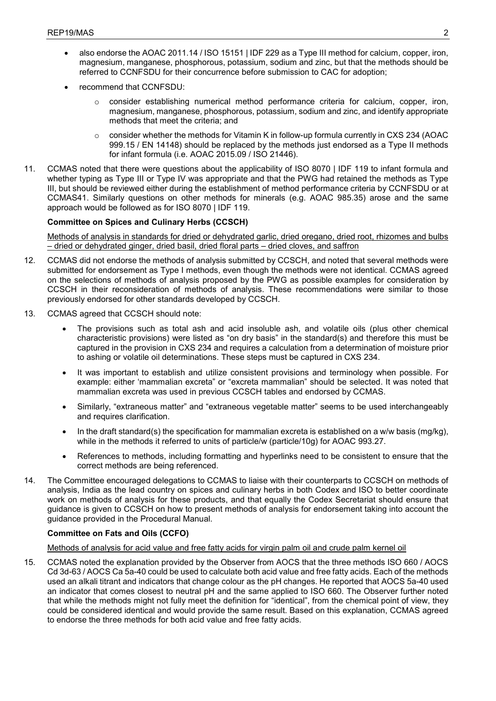- also endorse the AOAC 2011.14 / ISO 15151 | IDF 229 as a Type III method for calcium, copper, iron, magnesium, manganese, phosphorous, potassium, sodium and zinc, but that the methods should be referred to CCNFSDU for their concurrence before submission to CAC for adoption;
- recommend that CCNFSDU:
	- o consider establishing numerical method performance criteria for calcium, copper, iron, magnesium, manganese, phosphorous, potassium, sodium and zinc, and identify appropriate methods that meet the criteria; and
	- $\circ$  consider whether the methods for Vitamin K in follow-up formula currently in CXS 234 (AOAC 999.15 / EN 14148) should be replaced by the methods just endorsed as a Type II methods for infant formula (i.e. AOAC 2015.09 / ISO 21446).
- 11. CCMAS noted that there were questions about the applicability of ISO 8070 | IDF 119 to infant formula and whether typing as Type III or Type IV was appropriate and that the PWG had retained the methods as Type III, but should be reviewed either during the establishment of method performance criteria by CCNFSDU or at CCMAS41. Similarly questions on other methods for minerals (e.g. AOAC 985.35) arose and the same approach would be followed as for ISO 8070 | IDF 119.

# **Committee on Spices and Culinary Herbs (CCSCH)**

Methods of analysis in standards for dried or dehydrated garlic, dried oregano, dried root, rhizomes and bulbs – dried or dehydrated ginger, dried basil, dried floral parts – dried cloves, and saffron

- 12. CCMAS did not endorse the methods of analysis submitted by CCSCH, and noted that several methods were submitted for endorsement as Type I methods, even though the methods were not identical. CCMAS agreed on the selections of methods of analysis proposed by the PWG as possible examples for consideration by CCSCH in their reconsideration of methods of analysis. These recommendations were similar to those previously endorsed for other standards developed by CCSCH.
- 13. CCMAS agreed that CCSCH should note:
	- The provisions such as total ash and acid insoluble ash, and volatile oils (plus other chemical characteristic provisions) were listed as "on dry basis" in the standard(s) and therefore this must be captured in the provision in CXS 234 and requires a calculation from a determination of moisture prior to ashing or volatile oil determinations. These steps must be captured in CXS 234.
	- It was important to establish and utilize consistent provisions and terminology when possible. For example: either 'mammalian excreta" or "excreta mammalian" should be selected. It was noted that mammalian excreta was used in previous CCSCH tables and endorsed by CCMAS.
	- Similarly, "extraneous matter" and "extraneous vegetable matter" seems to be used interchangeably and requires clarification.
	- In the draft standard(s) the specification for mammalian excreta is established on a w/w basis (mg/kg), while in the methods it referred to units of particle/w (particle/10g) for AOAC 993.27.
	- References to methods, including formatting and hyperlinks need to be consistent to ensure that the correct methods are being referenced.
- 14. The Committee encouraged delegations to CCMAS to liaise with their counterparts to CCSCH on methods of analysis, India as the lead country on spices and culinary herbs in both Codex and ISO to better coordinate work on methods of analysis for these products, and that equally the Codex Secretariat should ensure that guidance is given to CCSCH on how to present methods of analysis for endorsement taking into account the guidance provided in the Procedural Manual.

### **Committee on Fats and Oils (CCFO)**

### Methods of analysis for acid value and free fatty acids for virgin palm oil and crude palm kernel oil

15. CCMAS noted the explanation provided by the Observer from AOCS that the three methods ISO 660 / AOCS Cd 3d-63 / AOCS Ca 5a-40 could be used to calculate both acid value and free fatty acids. Each of the methods used an alkali titrant and indicators that change colour as the pH changes. He reported that AOCS 5a-40 used an indicator that comes closest to neutral pH and the same applied to ISO 660. The Observer further noted that while the methods might not fully meet the definition for "identical", from the chemical point of view, they could be considered identical and would provide the same result. Based on this explanation, CCMAS agreed to endorse the three methods for both acid value and free fatty acids.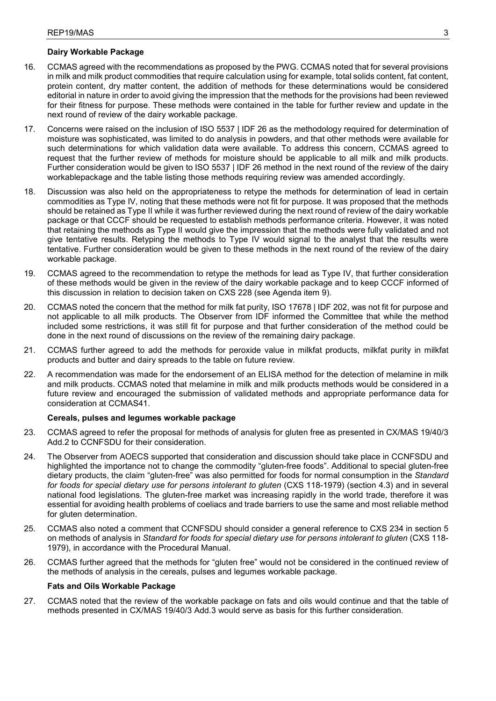# **Dairy Workable Package**

- 16. CCMAS agreed with the recommendations as proposed by the PWG. CCMAS noted that for several provisions in milk and milk product commodities that require calculation using for example, total solids content, fat content, protein content, dry matter content, the addition of methods for these determinations would be considered editorial in nature in order to avoid giving the impression that the methods for the provisions had been reviewed for their fitness for purpose. These methods were contained in the table for further review and update in the next round of review of the dairy workable package.
- 17. Concerns were raised on the inclusion of ISO 5537 | IDF 26 as the methodology required for determination of moisture was sophisticated, was limited to do analysis in powders, and that other methods were available for such determinations for which validation data were available. To address this concern, CCMAS agreed to request that the further review of methods for moisture should be applicable to all milk and milk products. Further consideration would be given to ISO 5537 | IDF 26 method in the next round of the review of the dairy workablepackage and the table listing those methods requiring review was amended accordingly.
- 18. Discussion was also held on the appropriateness to retype the methods for determination of lead in certain commodities as Type IV, noting that these methods were not fit for purpose. It was proposed that the methods should be retained as Type II while it was further reviewed during the next round of review of the dairy workable package or that CCCF should be requested to establish methods performance criteria. However, it was noted that retaining the methods as Type II would give the impression that the methods were fully validated and not give tentative results. Retyping the methods to Type IV would signal to the analyst that the results were tentative. Further consideration would be given to these methods in the next round of the review of the dairy workable package.
- 19. CCMAS agreed to the recommendation to retype the methods for lead as Type IV, that further consideration of these methods would be given in the review of the dairy workable package and to keep CCCF informed of this discussion in relation to decision taken on CXS 228 (see Agenda item 9).
- 20. CCMAS noted the concern that the method for milk fat purity, ISO 17678 | IDF 202, was not fit for purpose and not applicable to all milk products. The Observer from IDF informed the Committee that while the method included some restrictions, it was still fit for purpose and that further consideration of the method could be done in the next round of discussions on the review of the remaining dairy package.
- 21. CCMAS further agreed to add the methods for peroxide value in milkfat products, milkfat purity in milkfat products and butter and dairy spreads to the table on future review.
- 22. A recommendation was made for the endorsement of an ELISA method for the detection of melamine in milk and milk products. CCMAS noted that melamine in milk and milk products methods would be considered in a future review and encouraged the submission of validated methods and appropriate performance data for consideration at CCMAS41.

### **Cereals, pulses and legumes workable package**

- 23. CCMAS agreed to refer the proposal for methods of analysis for gluten free as presented in CX/MAS 19/40/3 Add.2 to CCNFSDU for their consideration.
- 24. The Observer from AOECS supported that consideration and discussion should take place in CCNFSDU and highlighted the importance not to change the commodity "gluten-free foods". Additional to special gluten-free dietary products, the claim "gluten-free" was also permitted for foods for normal consumption in the *Standard for foods for special dietary use for persons intolerant to gluten* (CXS 118-1979) (section 4.3) and in several national food legislations. The gluten-free market was increasing rapidly in the world trade, therefore it was essential for avoiding health problems of coeliacs and trade barriers to use the same and most reliable method for gluten determination.
- 25. CCMAS also noted a comment that CCNFSDU should consider a general reference to CXS 234 in section 5 on methods of analysis in *Standard for foods for special dietary use for persons intolerant to gluten* (CXS 118- 1979), in accordance with the Procedural Manual.
- 26. CCMAS further agreed that the methods for "gluten free" would not be considered in the continued review of the methods of analysis in the cereals, pulses and legumes workable package.

# **Fats and Oils Workable Package**

27. CCMAS noted that the review of the workable package on fats and oils would continue and that the table of methods presented in CX/MAS 19/40/3 Add.3 would serve as basis for this further consideration.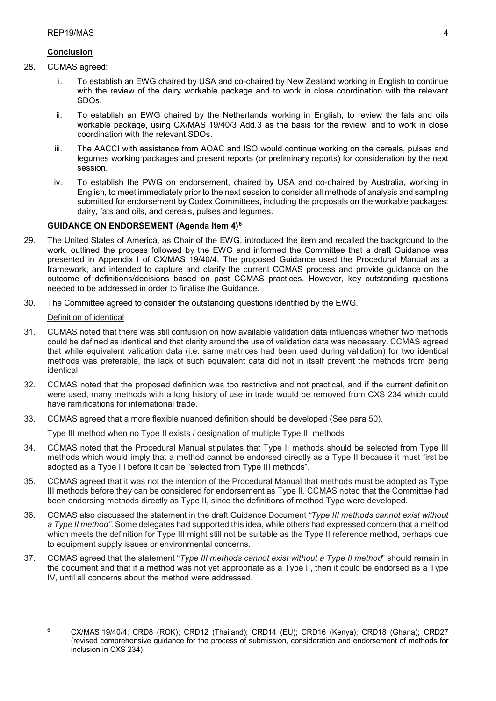# **Conclusion**

- 28. CCMAS agreed:
	- i. To establish an EWG chaired by USA and co-chaired by New Zealand working in English to continue with the review of the dairy workable package and to work in close coordination with the relevant SDOs.
	- ii. To establish an EWG chaired by the Netherlands working in English, to review the fats and oils workable package, using CX/MAS 19/40/3 Add.3 as the basis for the review, and to work in close coordination with the relevant SDOs.
	- iii. The AACCI with assistance from AOAC and ISO would continue working on the cereals, pulses and legumes working packages and present reports (or preliminary reports) for consideration by the next session.
	- iv. To establish the PWG on endorsement, chaired by USA and co-chaired by Australia, working in English, to meet immediately prior to the next session to consider all methods of analysis and sampling submitted for endorsement by Codex Committees, including the proposals on the workable packages: dairy, fats and oils, and cereals, pulses and legumes.

# **GUIDANCE ON ENDORSEMENT (Agenda Item 4)[6](#page-8-0)**

- 29. The United States of America, as Chair of the EWG, introduced the item and recalled the background to the work, outlined the process followed by the EWG and informed the Committee that a draft Guidance was presented in Appendix I of CX/MAS 19/40/4. The proposed Guidance used the Procedural Manual as a framework, and intended to capture and clarify the current CCMAS process and provide guidance on the outcome of definitions/decisions based on past CCMAS practices. However, key outstanding questions needed to be addressed in order to finalise the Guidance.
- 30. The Committee agreed to consider the outstanding questions identified by the EWG.

# Definition of identical

- 31. CCMAS noted that there was still confusion on how available validation data influences whether two methods could be defined as identical and that clarity around the use of validation data was necessary. CCMAS agreed that while equivalent validation data (i.e. same matrices had been used during validation) for two identical methods was preferable, the lack of such equivalent data did not in itself prevent the methods from being identical.
- 32. CCMAS noted that the proposed definition was too restrictive and not practical, and if the current definition were used, many methods with a long history of use in trade would be removed from CXS 234 which could have ramifications for international trade.
- 33. CCMAS agreed that a more flexible nuanced definition should be developed (See para 50).

Type III method when no Type II exists / designation of multiple Type III methods

- 34. CCMAS noted that the Procedural Manual stipulates that Type II methods should be selected from Type III methods which would imply that a method cannot be endorsed directly as a Type II because it must first be adopted as a Type III before it can be "selected from Type III methods".
- 35. CCMAS agreed that it was not the intention of the Procedural Manual that methods must be adopted as Type III methods before they can be considered for endorsement as Type II. CCMAS noted that the Committee had been endorsing methods directly as Type II, since the definitions of method Type were developed.
- 36. CCMAS also discussed the statement in the draft Guidance Document *"Type III methods cannot exist without a Type II method"*. Some delegates had supported this idea, while others had expressed concern that a method which meets the definition for Type III might still not be suitable as the Type II reference method, perhaps due to equipment supply issues or environmental concerns.
- 37. CCMAS agreed that the statement "*Type III methods cannot exist without a Type II method*" should remain in the document and that if a method was not yet appropriate as a Type II, then it could be endorsed as a Type IV, until all concerns about the method were addressed.

<span id="page-8-0"></span> $\overline{a}$ <sup>6</sup> CX/MAS 19/40/4; CRD8 (ROK); CRD12 (Thailand); CRD14 (EU); CRD16 (Kenya); CRD18 (Ghana); CRD27 (revised comprehensive guidance for the process of submission, consideration and endorsement of methods for inclusion in CXS 234)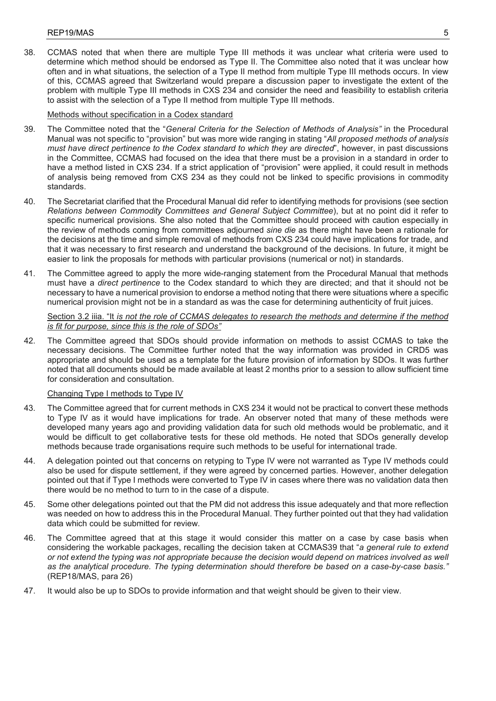38. CCMAS noted that when there are multiple Type III methods it was unclear what criteria were used to determine which method should be endorsed as Type II. The Committee also noted that it was unclear how often and in what situations, the selection of a Type II method from multiple Type III methods occurs. In view of this, CCMAS agreed that Switzerland would prepare a discussion paper to investigate the extent of the problem with multiple Type III methods in CXS 234 and consider the need and feasibility to establish criteria to assist with the selection of a Type II method from multiple Type III methods.

# Methods without specification in a Codex standard

- 39. The Committee noted that the "*General Criteria for the Selection of Methods of Analysis"* in the Procedural Manual was not specific to "provision" but was more wide ranging in stating "*All proposed methods of analysis must have direct pertinence to the Codex standard to which they are directed*", however, in past discussions in the Committee, CCMAS had focused on the idea that there must be a provision in a standard in order to have a method listed in CXS 234. If a strict application of "provision" were applied, it could result in methods of analysis being removed from CXS 234 as they could not be linked to specific provisions in commodity standards.
- 40. The Secretariat clarified that the Procedural Manual did refer to identifying methods for provisions (see section *Relations between Commodity Committees and General Subject Committee*), but at no point did it refer to specific numerical provisions. She also noted that the Committee should proceed with caution especially in the review of methods coming from committees adjourned *sine die* as there might have been a rationale for the decisions at the time and simple removal of methods from CXS 234 could have implications for trade, and that it was necessary to first research and understand the background of the decisions. In future, it might be easier to link the proposals for methods with particular provisions (numerical or not) in standards.
- 41. The Committee agreed to apply the more wide-ranging statement from the Procedural Manual that methods must have a *direct pertinence* to the Codex standard to which they are directed; and that it should not be necessary to have a numerical provision to endorse a method noting that there were situations where a specific numerical provision might not be in a standard as was the case for determining authenticity of fruit juices.

# Section 3.2 iiia. "It *is not the role of CCMAS delegates to research the methods and determine if the method is fit for purpose, since this is the role of SDOs"*

42. The Committee agreed that SDOs should provide information on methods to assist CCMAS to take the necessary decisions. The Committee further noted that the way information was provided in CRD5 was appropriate and should be used as a template for the future provision of information by SDOs. It was further noted that all documents should be made available at least 2 months prior to a session to allow sufficient time for consideration and consultation.

### Changing Type I methods to Type IV

- 43. The Committee agreed that for current methods in CXS 234 it would not be practical to convert these methods to Type IV as it would have implications for trade. An observer noted that many of these methods were developed many years ago and providing validation data for such old methods would be problematic, and it would be difficult to get collaborative tests for these old methods. He noted that SDOs generally develop methods because trade organisations require such methods to be useful for international trade.
- 44. A delegation pointed out that concerns on retyping to Type IV were not warranted as Type IV methods could also be used for dispute settlement, if they were agreed by concerned parties. However, another delegation pointed out that if Type I methods were converted to Type IV in cases where there was no validation data then there would be no method to turn to in the case of a dispute.
- 45. Some other delegations pointed out that the PM did not address this issue adequately and that more reflection was needed on how to address this in the Procedural Manual. They further pointed out that they had validation data which could be submitted for review.
- 46. The Committee agreed that at this stage it would consider this matter on a case by case basis when considering the workable packages, recalling the decision taken at CCMAS39 that "*a general rule to extend or not extend the typing was not appropriate because the decision would depend on matrices involved as well as the analytical procedure. The typing determination should therefore be based on a case-by-case basis."* (REP18/MAS, para 26)
- 47. It would also be up to SDOs to provide information and that weight should be given to their view.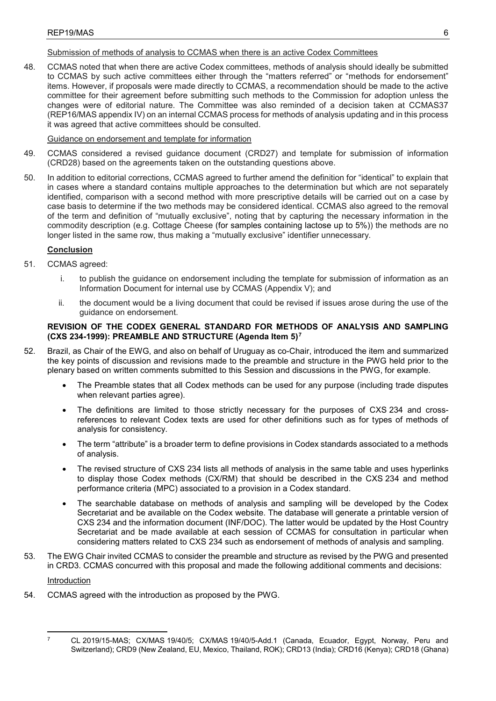# Submission of methods of analysis to CCMAS when there is an active Codex Committees

48. CCMAS noted that when there are active Codex committees, methods of analysis should ideally be submitted to CCMAS by such active committees either through the "matters referred" or "methods for endorsement" items. However, if proposals were made directly to CCMAS, a recommendation should be made to the active committee for their agreement before submitting such methods to the Commission for adoption unless the changes were of editorial nature. The Committee was also reminded of a decision taken at CCMAS37 (REP16/MAS appendix IV) on an internal CCMAS process for methods of analysis updating and in this process it was agreed that active committees should be consulted.

# Guidance on endorsement and template for information

- 49. CCMAS considered a revised guidance document (CRD27) and template for submission of information (CRD28) based on the agreements taken on the outstanding questions above.
- 50. In addition to editorial corrections, CCMAS agreed to further amend the definition for "identical" to explain that in cases where a standard contains multiple approaches to the determination but which are not separately identified, comparison with a second method with more prescriptive details will be carried out on a case by case basis to determine if the two methods may be considered identical. CCMAS also agreed to the removal of the term and definition of "mutually exclusive", noting that by capturing the necessary information in the commodity description (e.g. Cottage Cheese (for samples containing lactose up to 5%)) the methods are no longer listed in the same row, thus making a "mutually exclusive" identifier unnecessary.

# **Conclusion**

- 51. CCMAS agreed:
	- i. to publish the guidance on endorsement including the template for submission of information as an Information Document for internal use by CCMAS (Appendix V); and
	- ii. the document would be a living document that could be revised if issues arose during the use of the guidance on endorsement.

# **REVISION OF THE CODEX GENERAL STANDARD FOR METHODS OF ANALYSIS AND SAMPLING (CXS 234-1999): PREAMBLE AND STRUCTURE (Agenda Item 5)[7](#page-10-0)**

- 52. Brazil, as Chair of the EWG, and also on behalf of Uruguay as co-Chair, introduced the item and summarized the key points of discussion and revisions made to the preamble and structure in the PWG held prior to the plenary based on written comments submitted to this Session and discussions in the PWG, for example.
	- The Preamble states that all Codex methods can be used for any purpose (including trade disputes when relevant parties agree).
	- The definitions are limited to those strictly necessary for the purposes of CXS 234 and crossreferences to relevant Codex texts are used for other definitions such as for types of methods of analysis for consistency.
	- The term "attribute" is a broader term to define provisions in Codex standards associated to a methods of analysis.
	- The revised structure of CXS 234 lists all methods of analysis in the same table and uses hyperlinks to display those Codex methods (CX/RM) that should be described in the CXS 234 and method performance criteria (MPC) associated to a provision in a Codex standard.
	- The searchable database on methods of analysis and sampling will be developed by the Codex Secretariat and be available on the Codex website. The database will generate a printable version of CXS 234 and the information document (INF/DOC). The latter would be updated by the Host Country Secretariat and be made available at each session of CCMAS for consultation in particular when considering matters related to CXS 234 such as endorsement of methods of analysis and sampling.
- 53. The EWG Chair invited CCMAS to consider the preamble and structure as revised by the PWG and presented in CRD3. CCMAS concurred with this proposal and made the following additional comments and decisions:

**Introduction** 

54. CCMAS agreed with the introduction as proposed by the PWG.

<span id="page-10-0"></span> $\overline{a}$ <sup>7</sup> CL 2019/15-MAS; CX/MAS 19/40/5; CX/MAS 19/40/5-Add.1 (Canada, Ecuador, Egypt, Norway, Peru and Switzerland); CRD9 (New Zealand, EU, Mexico, Thailand, ROK); CRD13 (India); CRD16 (Kenya); CRD18 (Ghana)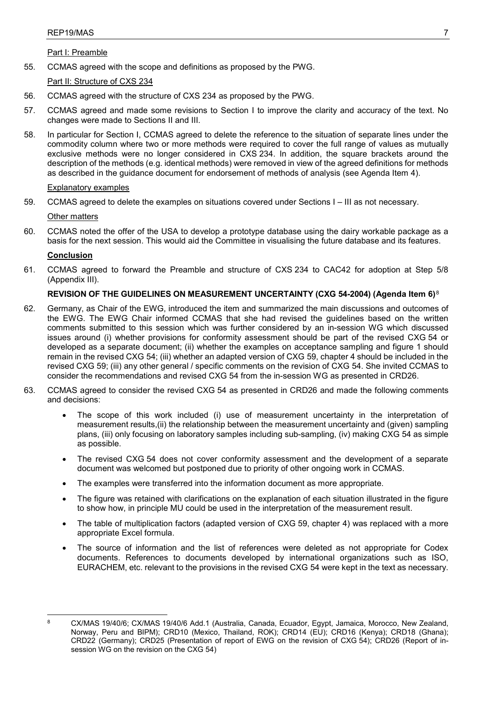Part I: Preamble

55. CCMAS agreed with the scope and definitions as proposed by the PWG.

Part II: Structure of CXS 234

- 56. CCMAS agreed with the structure of CXS 234 as proposed by the PWG.
- 57. CCMAS agreed and made some revisions to Section I to improve the clarity and accuracy of the text. No changes were made to Sections II and III.
- 58. In particular for Section I, CCMAS agreed to delete the reference to the situation of separate lines under the commodity column where two or more methods were required to cover the full range of values as mutually exclusive methods were no longer considered in CXS 234. In addition, the square brackets around the description of the methods (e.g. identical methods) were removed in view of the agreed definitions for methods as described in the guidance document for endorsement of methods of analysis (see Agenda Item 4).

# Explanatory examples

59. CCMAS agreed to delete the examples on situations covered under Sections I – III as not necessary.

# Other matters

60. CCMAS noted the offer of the USA to develop a prototype database using the dairy workable package as a basis for the next session. This would aid the Committee in visualising the future database and its features.

# **Conclusion**

61. CCMAS agreed to forward the Preamble and structure of CXS 234 to CAC42 for adoption at Step 5/8 (Appendix III).

# **REVISION OF THE GUIDELINES ON MEASUREMENT UNCERTAINTY (CXG 54-2004) (Agenda Item 6)**[8](#page-11-0)

- 62. Germany, as Chair of the EWG, introduced the item and summarized the main discussions and outcomes of the EWG. The EWG Chair informed CCMAS that she had revised the guidelines based on the written comments submitted to this session which was further considered by an in-session WG which discussed issues around (i) whether provisions for conformity assessment should be part of the revised CXG 54 or developed as a separate document; (ii) whether the examples on acceptance sampling and figure 1 should remain in the revised CXG 54; (iii) whether an adapted version of CXG 59, chapter 4 should be included in the revised CXG 59; (iii) any other general / specific comments on the revision of CXG 54. She invited CCMAS to consider the recommendations and revised CXG 54 from the in-session WG as presented in CRD26.
- 63. CCMAS agreed to consider the revised CXG 54 as presented in CRD26 and made the following comments and decisions:
	- The scope of this work included (i) use of measurement uncertainty in the interpretation of measurement results,(ii) the relationship between the measurement uncertainty and (given) sampling plans, (iii) only focusing on laboratory samples including sub-sampling, (iv) making CXG 54 as simple as possible.
	- The revised CXG 54 does not cover conformity assessment and the development of a separate document was welcomed but postponed due to priority of other ongoing work in CCMAS.
	- The examples were transferred into the information document as more appropriate.
	- The figure was retained with clarifications on the explanation of each situation illustrated in the figure to show how, in principle MU could be used in the interpretation of the measurement result.
	- The table of multiplication factors (adapted version of CXG 59, chapter 4) was replaced with a more appropriate Excel formula.
	- The source of information and the list of references were deleted as not appropriate for Codex documents. References to documents developed by international organizations such as ISO, EURACHEM, etc. relevant to the provisions in the revised CXG 54 were kept in the text as necessary.

<span id="page-11-0"></span> $\overline{a}$ 

<sup>8</sup> CX/MAS 19/40/6; CX/MAS 19/40/6 Add.1 (Australia, Canada, Ecuador, Egypt, Jamaica, Morocco, New Zealand, Norway, Peru and BIPM); CRD10 (Mexico, Thailand, ROK); CRD14 (EU); CRD16 (Kenya); CRD18 (Ghana); CRD22 (Germany); CRD25 (Presentation of report of EWG on the revision of CXG 54); CRD26 (Report of insession WG on the revision on the CXG 54)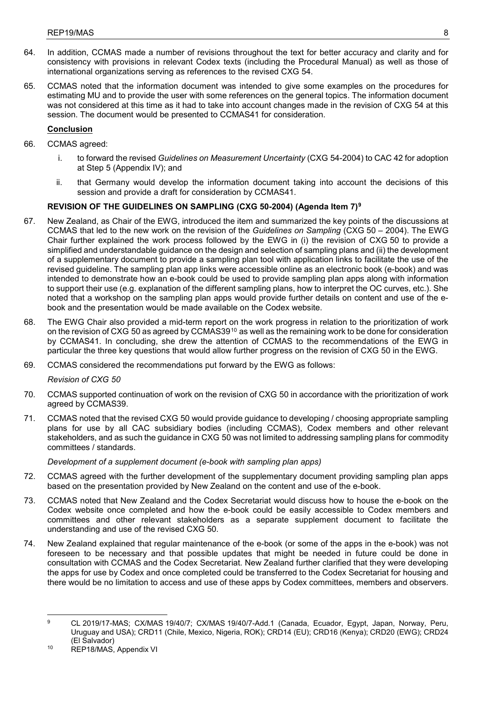- 64. In addition, CCMAS made a number of revisions throughout the text for better accuracy and clarity and for consistency with provisions in relevant Codex texts (including the Procedural Manual) as well as those of international organizations serving as references to the revised CXG 54.
- 65. CCMAS noted that the information document was intended to give some examples on the procedures for estimating MU and to provide the user with some references on the general topics. The information document was not considered at this time as it had to take into account changes made in the revision of CXG 54 at this session. The document would be presented to CCMAS41 for consideration.

# **Conclusion**

- 66. CCMAS agreed:
	- i. to forward the revised *Guidelines on Measurement Uncertainty* (CXG 54-2004) to CAC 42 for adoption at Step 5 (Appendix IV); and
	- ii. that Germany would develop the information document taking into account the decisions of this session and provide a draft for consideration by CCMAS41.

# **REVISION OF THE GUIDELINES ON SAMPLING (CXG 50-2004) (Agenda Item 7)[9](#page-12-0)**

- 67. New Zealand, as Chair of the EWG, introduced the item and summarized the key points of the discussions at CCMAS that led to the new work on the revision of the *Guidelines on Sampling* (CXG 50 – 2004). The EWG Chair further explained the work process followed by the EWG in (i) the revision of CXG 50 to provide a simplified and understandable guidance on the design and selection of sampling plans and (ii) the development of a supplementary document to provide a sampling plan tool with application links to facilitate the use of the revised guideline. The sampling plan app links were accessible online as an electronic book (e-book) and was intended to demonstrate how an e-book could be used to provide sampling plan apps along with information to support their use (e.g. explanation of the different sampling plans, how to interpret the OC curves, etc.). She noted that a workshop on the sampling plan apps would provide further details on content and use of the ebook and the presentation would be made available on the Codex website.
- 68. The EWG Chair also provided a mid-term report on the work progress in relation to the prioritization of work on the revision of CXG 50 as agreed by CCMAS39 $10$  as well as the remaining work to be done for consideration by CCMAS41. In concluding, she drew the attention of CCMAS to the recommendations of the EWG in particular the three key questions that would allow further progress on the revision of CXG 50 in the EWG.
- 69. CCMAS considered the recommendations put forward by the EWG as follows:

*Revision of CXG 50*

- 70. CCMAS supported continuation of work on the revision of CXG 50 in accordance with the prioritization of work agreed by CCMAS39.
- 71. CCMAS noted that the revised CXG 50 would provide guidance to developing / choosing appropriate sampling plans for use by all CAC subsidiary bodies (including CCMAS), Codex members and other relevant stakeholders, and as such the guidance in CXG 50 was not limited to addressing sampling plans for commodity committees / standards.

# *Development of a supplement document (e-book with sampling plan apps)*

- 72. CCMAS agreed with the further development of the supplementary document providing sampling plan apps based on the presentation provided by New Zealand on the content and use of the e-book.
- 73. CCMAS noted that New Zealand and the Codex Secretariat would discuss how to house the e-book on the Codex website once completed and how the e-book could be easily accessible to Codex members and committees and other relevant stakeholders as a separate supplement document to facilitate the understanding and use of the revised CXG 50.
- 74. New Zealand explained that regular maintenance of the e-book (or some of the apps in the e-book) was not foreseen to be necessary and that possible updates that might be needed in future could be done in consultation with CCMAS and the Codex Secretariat. New Zealand further clarified that they were developing the apps for use by Codex and once completed could be transferred to the Codex Secretariat for housing and there would be no limitation to access and use of these apps by Codex committees, members and observers.

<span id="page-12-0"></span> $\overline{a}$ <sup>9</sup> CL 2019/17-MAS; CX/MAS 19/40/7; CX/MAS 19/40/7-Add.1 (Canada, Ecuador, Egypt, Japan, Norway, Peru, Uruguay and USA); CRD11 (Chile, Mexico, Nigeria, ROK); CRD14 (EU); CRD16 (Kenya); CRD20 (EWG); CRD24 (El Salvador)

<span id="page-12-1"></span><sup>10</sup> REP18/MAS, Appendix VI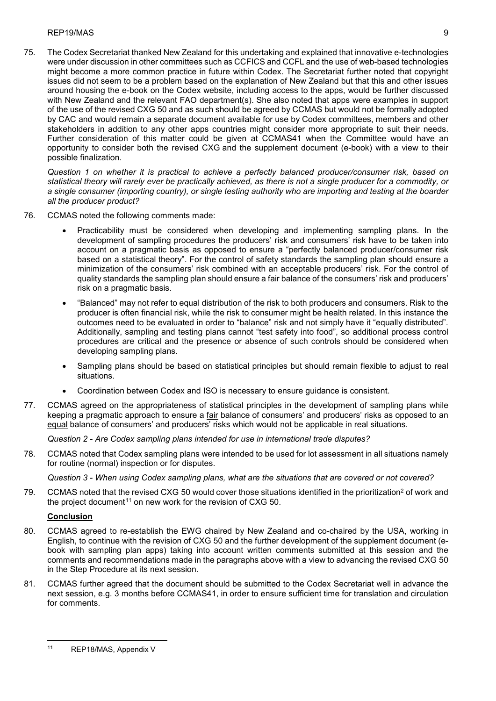75. The Codex Secretariat thanked New Zealand for this undertaking and explained that innovative e-technologies were under discussion in other committees such as CCFICS and CCFL and the use of web-based technologies might become a more common practice in future within Codex. The Secretariat further noted that copyright issues did not seem to be a problem based on the explanation of New Zealand but that this and other issues around housing the e-book on the Codex website, including access to the apps, would be further discussed with New Zealand and the relevant FAO department(s). She also noted that apps were examples in support of the use of the revised CXG 50 and as such should be agreed by CCMAS but would not be formally adopted by CAC and would remain a separate document available for use by Codex committees, members and other stakeholders in addition to any other apps countries might consider more appropriate to suit their needs. Further consideration of this matter could be given at CCMAS41 when the Committee would have an opportunity to consider both the revised CXG and the supplement document (e-book) with a view to their possible finalization.

*Question 1 on whether it is practical to achieve a perfectly balanced producer/consumer risk, based on statistical theory will rarely ever be practically achieved, as there is not a single producer for a commodity, or a single consumer (importing country), or single testing authority who are importing and testing at the boarder all the producer product?*

- 76. CCMAS noted the following comments made:
	- Practicability must be considered when developing and implementing sampling plans. In the development of sampling procedures the producers' risk and consumers' risk have to be taken into account on a pragmatic basis as opposed to ensure a "perfectly balanced producer/consumer risk based on a statistical theory". For the control of safety standards the sampling plan should ensure a minimization of the consumers' risk combined with an acceptable producers' risk. For the control of quality standards the sampling plan should ensure a fair balance of the consumers' risk and producers' risk on a pragmatic basis.
	- "Balanced" may not refer to equal distribution of the risk to both producers and consumers. Risk to the producer is often financial risk, while the risk to consumer might be health related. In this instance the outcomes need to be evaluated in order to "balance" risk and not simply have it "equally distributed". Additionally, sampling and testing plans cannot "test safety into food", so additional process control procedures are critical and the presence or absence of such controls should be considered when developing sampling plans.
	- Sampling plans should be based on statistical principles but should remain flexible to adjust to real situations.
	- Coordination between Codex and ISO is necessary to ensure guidance is consistent.
- 77. CCMAS agreed on the appropriateness of statistical principles in the development of sampling plans while keeping a pragmatic approach to ensure a fair balance of consumers' and producers' risks as opposed to an equal balance of consumers' and producers' risks which would not be applicable in real situations.

*Question 2 - Are Codex sampling plans intended for use in international trade disputes?*

78. CCMAS noted that Codex sampling plans were intended to be used for lot assessment in all situations namely for routine (normal) inspection or for disputes.

*Question 3 - When using Codex sampling plans, what are the situations that are covered or not covered?*

79. CCMAS noted that the revised CXG 50 would cover those situations identified in the prioritization<sup>2</sup> of work and the project document<sup>[11](#page-13-0)</sup> on new work for the revision of CXG 50.

# **Conclusion**

- 80. CCMAS agreed to re-establish the EWG chaired by New Zealand and co-chaired by the USA, working in English, to continue with the revision of CXG 50 and the further development of the supplement document (ebook with sampling plan apps) taking into account written comments submitted at this session and the comments and recommendations made in the paragraphs above with a view to advancing the revised CXG 50 in the Step Procedure at its next session.
- 81. CCMAS further agreed that the document should be submitted to the Codex Secretariat well in advance the next session, e.g. 3 months before CCMAS41, in order to ensure sufficient time for translation and circulation for comments.

<span id="page-13-0"></span> $11$ REP18/MAS, Appendix V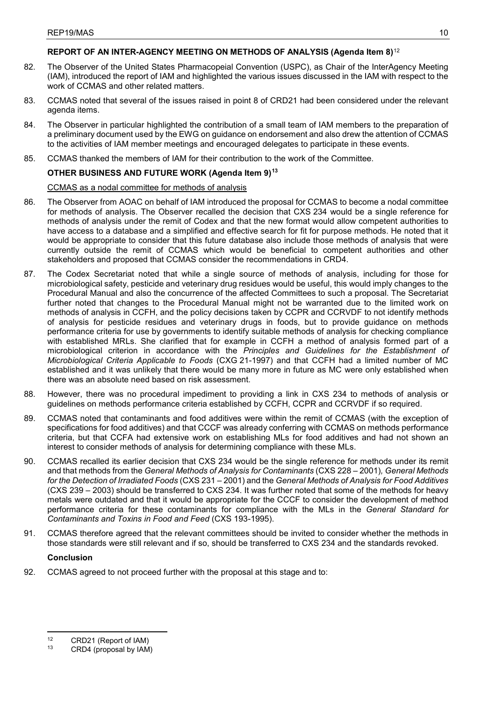# **REPORT OF AN INTER-AGENCY MEETING ON METHODS OF ANALYSIS (Agenda Item 8)**[12](#page-14-0)

- 82. The Observer of the United States Pharmacopeial Convention (USPC), as Chair of the InterAgency Meeting (IAM), introduced the report of IAM and highlighted the various issues discussed in the IAM with respect to the work of CCMAS and other related matters.
- 83. CCMAS noted that several of the issues raised in point 8 of CRD21 had been considered under the relevant agenda items.
- 84. The Observer in particular highlighted the contribution of a small team of IAM members to the preparation of a preliminary document used by the EWG on guidance on endorsement and also drew the attention of CCMAS to the activities of IAM member meetings and encouraged delegates to participate in these events.
- 85. CCMAS thanked the members of IAM for their contribution to the work of the Committee.

# **OTHER BUSINESS AND FUTURE WORK (Agenda Item 9)[13](#page-14-1)**

# CCMAS as a nodal committee for methods of analysis

- 86. The Observer from AOAC on behalf of IAM introduced the proposal for CCMAS to become a nodal committee for methods of analysis. The Observer recalled the decision that CXS 234 would be a single reference for methods of analysis under the remit of Codex and that the new format would allow competent authorities to have access to a database and a simplified and effective search for fit for purpose methods. He noted that it would be appropriate to consider that this future database also include those methods of analysis that were currently outside the remit of CCMAS which would be beneficial to competent authorities and other stakeholders and proposed that CCMAS consider the recommendations in CRD4.
- 87. The Codex Secretariat noted that while a single source of methods of analysis, including for those for microbiological safety, pesticide and veterinary drug residues would be useful, this would imply changes to the Procedural Manual and also the concurrence of the affected Committees to such a proposal. The Secretariat further noted that changes to the Procedural Manual might not be warranted due to the limited work on methods of analysis in CCFH, and the policy decisions taken by CCPR and CCRVDF to not identify methods of analysis for pesticide residues and veterinary drugs in foods, but to provide guidance on methods performance criteria for use by governments to identify suitable methods of analysis for checking compliance with established MRLs. She clarified that for example in CCFH a method of analysis formed part of a microbiological criterion in accordance with the *Principles and Guidelines for the Establishment of Microbiological Criteria Applicable to Foods* (CXG 21-1997) and that CCFH had a limited number of MC established and it was unlikely that there would be many more in future as MC were only established when there was an absolute need based on risk assessment.
- 88. However, there was no procedural impediment to providing a link in CXS 234 to methods of analysis or guidelines on methods performance criteria established by CCFH, CCPR and CCRVDF if so required.
- 89. CCMAS noted that contaminants and food additives were within the remit of CCMAS (with the exception of specifications for food additives) and that CCCF was already conferring with CCMAS on methods performance criteria, but that CCFA had extensive work on establishing MLs for food additives and had not shown an interest to consider methods of analysis for determining compliance with these MLs.
- 90. CCMAS recalled its earlier decision that CXS 234 would be the single reference for methods under its remit and that methods from the *General Methods of Analysis for Contaminants* (CXS 228 – 2001)*, General Methods for the Detection of Irradiated Foods* (CXS 231 – 2001) and the *General Methods of Analysis for Food Additives*  (CXS 239 – 2003) should be transferred to CXS 234. It was further noted that some of the methods for heavy metals were outdated and that it would be appropriate for the CCCF to consider the development of method performance criteria for these contaminants for compliance with the MLs in the *General Standard for Contaminants and Toxins in Food and Feed* (CXS 193-1995).
- 91. CCMAS therefore agreed that the relevant committees should be invited to consider whether the methods in those standards were still relevant and if so, should be transferred to CXS 234 and the standards revoked.

# **Conclusion**

 $\overline{a}$ 

92. CCMAS agreed to not proceed further with the proposal at this stage and to:

<span id="page-14-0"></span> $12$  CRD21 (Report of IAM)

<span id="page-14-1"></span>CRD4 (proposal by IAM)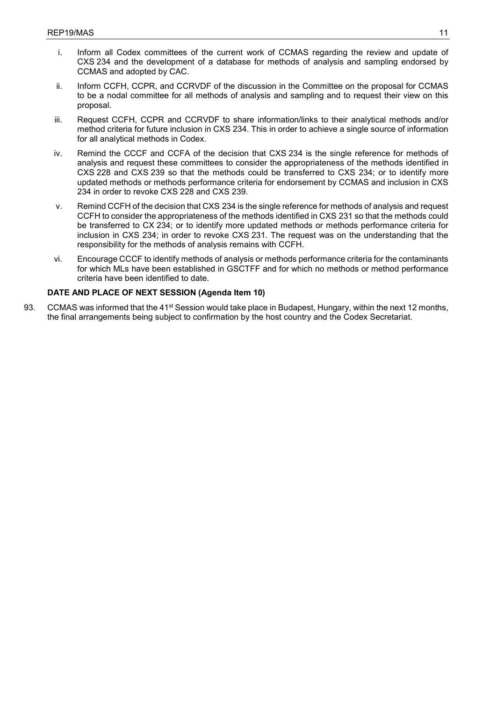- i. Inform all Codex committees of the current work of CCMAS regarding the review and update of CXS 234 and the development of a database for methods of analysis and sampling endorsed by CCMAS and adopted by CAC.
- ii. Inform CCFH, CCPR, and CCRVDF of the discussion in the Committee on the proposal for CCMAS to be a nodal committee for all methods of analysis and sampling and to request their view on this proposal.
- iii. Request CCFH, CCPR and CCRVDF to share information/links to their analytical methods and/or method criteria for future inclusion in CXS 234. This in order to achieve a single source of information for all analytical methods in Codex.
- iv. Remind the CCCF and CCFA of the decision that CXS 234 is the single reference for methods of analysis and request these committees to consider the appropriateness of the methods identified in CXS 228 and CXS 239 so that the methods could be transferred to CXS 234; or to identify more updated methods or methods performance criteria for endorsement by CCMAS and inclusion in CXS 234 in order to revoke CXS 228 and CXS 239.
- v. Remind CCFH of the decision that CXS 234 is the single reference for methods of analysis and request CCFH to consider the appropriateness of the methods identified in CXS 231 so that the methods could be transferred to CX 234; or to identify more updated methods or methods performance criteria for inclusion in CXS 234; in order to revoke CXS 231. The request was on the understanding that the responsibility for the methods of analysis remains with CCFH.
- vi. Encourage CCCF to identify methods of analysis or methods performance criteria for the contaminants for which MLs have been established in GSCTFF and for which no methods or method performance criteria have been identified to date.

# **DATE AND PLACE OF NEXT SESSION (Agenda Item 10)**

93. CCMAS was informed that the 41<sup>st</sup> Session would take place in Budapest, Hungary, within the next 12 months, the final arrangements being subject to confirmation by the host country and the Codex Secretariat.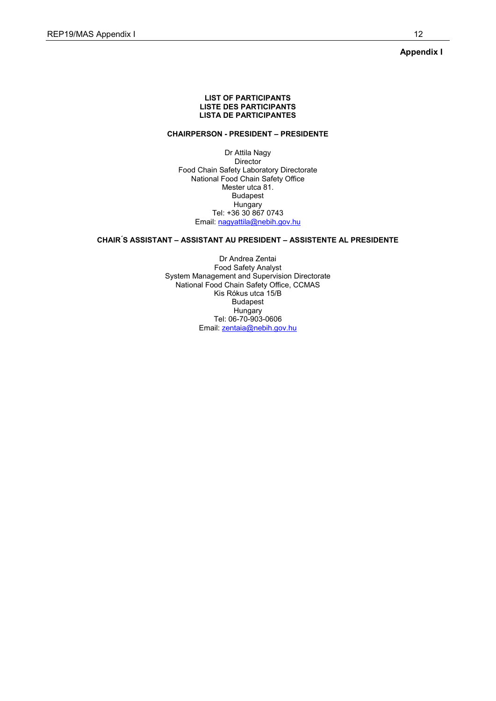**Appendix I**

#### **LIST OF PARTICIPANTS LISTE DES PARTICIPANTS LISTA DE PARTICIPANTES**

# **CHAIRPERSON - PRESIDENT – PRESIDENTE**

Dr Attila Nagy Director Food Chain Safety Laboratory Directorate National Food Chain Safety Office Mester utca 81. Budapest **Hungary** Tel: +36 30 867 0743 Email: [nagyattila@nebih.gov.hu](mailto:nagyattila@nebih.gov.hu)

### **CHAIR ́S ASSISTANT – ASSISTANT AU PRESIDENT – ASSISTENTE AL PRESIDENTE**

Dr Andrea Zentai Food Safety Analyst System Management and Supervision Directorate National Food Chain Safety Office, CCMAS Kis Rókus utca 15/B Budapest Hungary Tel: 06-70-903-0606 Email: [zentaia@nebih.gov.hu](mailto:zentaia@nebih.gov.hu)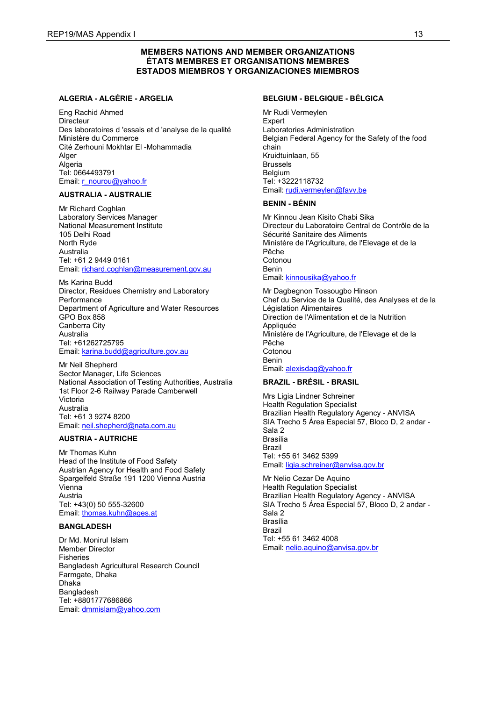# **MEMBERS NATIONS AND MEMBER ORGANIZATIONS ÉTATS MEMBRES ET ORGANISATIONS MEMBRES ESTADOS MIEMBROS Y ORGANIZACIONES MIEMBROS**

### **ALGERIA - ALGÉRIE - ARGELIA**

Eng Rachid Ahmed **Directeur** Des laboratoires d 'essais et d 'analyse de la qualité Ministère du Commerce Cité Zerhouni Mokhtar El -Mohammadia Alger Algeria Tel: 0664493791 Email: [r\\_nourou@yahoo.fr](mailto:r_nourou@yahoo.fr)

#### **AUSTRALIA - AUSTRALIE**

Mr Richard Coghlan Laboratory Services Manager National Measurement Institute 105 Delhi Road North Ryde Australia Tel: +61 2 9449 0161 Email: [richard.coghlan@measurement.gov.au](mailto:richard.coghlan@measurement.gov.au)

Ms Karina Budd Director, Residues Chemistry and Laboratory **Performance** Department of Agriculture and Water Resources GPO Box 858 Canberra City Australia Tel: +61262725795 Email: [karina.budd@agriculture.gov.au](mailto:karina.budd@agriculture.gov.au)

Mr Neil Shepherd Sector Manager, Life Sciences National Association of Testing Authorities, Australia 1st Floor 2-6 Railway Parade Camberwell Victoria Australia Tel: +61 3 9274 8200 Email: [neil.shepherd@nata.com.au](mailto:neil.shepherd@nata.com.au)

# **AUSTRIA - AUTRICHE**

Mr Thomas Kuhn Head of the Institute of Food Safety Austrian Agency for Health and Food Safety Spargelfeld Straße 191 1200 Vienna Austria Vienna Austria Tel: +43(0) 50 555-32600 Email: [thomas.kuhn@ages.at](mailto:thomas.kuhn@ages.at)

### **BANGLADESH**

Dr Md. Monirul Islam Member Director Fisheries Bangladesh Agricultural Research Council Farmgate, Dhaka Dhaka **Bangladesh** Tel: +8801777686866 Email: [dmmislam@yahoo.com](mailto:dmmislam@yahoo.com)

### **BELGIUM - BELGIQUE - BÉLGICA**

Mr Rudi Vermeylen **Expert** Laboratories Administration Belgian Federal Agency for the Safety of the food chain Kruidtuinlaan, 55 Brussels Belgium Tel: +3222118732 Email: [rudi.vermeylen@favv.be](mailto:rudi.vermeylen@favv.be)

#### **BENIN - BÉNIN**

Mr Kinnou Jean Kisito Chabi Sika Directeur du Laboratoire Central de Contrôle de la Sécurité Sanitaire des Aliments Ministère de l'Agriculture, de l'Elevage et de la Pêche Cotonou Benin Email: [kinnousika@yahoo.fr](mailto:kinnousika@yahoo.fr)

Mr Dagbegnon Tossougbo Hinson Chef du Service de la Qualité, des Analyses et de la Législation Alimentaires Direction de l'Alimentation et de la Nutrition Appliquée Ministère de l'Agriculture, de l'Elevage et de la Pêche Cotonou Benin Email: [alexisdag@yahoo.fr](mailto:alexisdag@yahoo.fr)

### **BRAZIL - BRÉSIL - BRASIL**

Mrs Ligia Lindner Schreiner Health Regulation Specialist Brazilian Health Regulatory Agency - ANVISA SIA Trecho 5 Área Especial 57, Bloco D, 2 andar - Sala 2 Brasília Brazil Tel: +55 61 3462 5399 Email: [ligia.schreiner@anvisa.gov.br](mailto:ligia.schreiner@anvisa.gov.br)

Mr Nelio Cezar De Aquino Health Regulation Specialist Brazilian Health Regulatory Agency - ANVISA SIA Trecho 5 Área Especial 57, Bloco D, 2 andar - Sala 2 Brasília Brazil Tel: +55 61 3462 4008 Email: [nelio.aquino@anvisa.gov.br](mailto:nelio.aquino@anvisa.gov.br)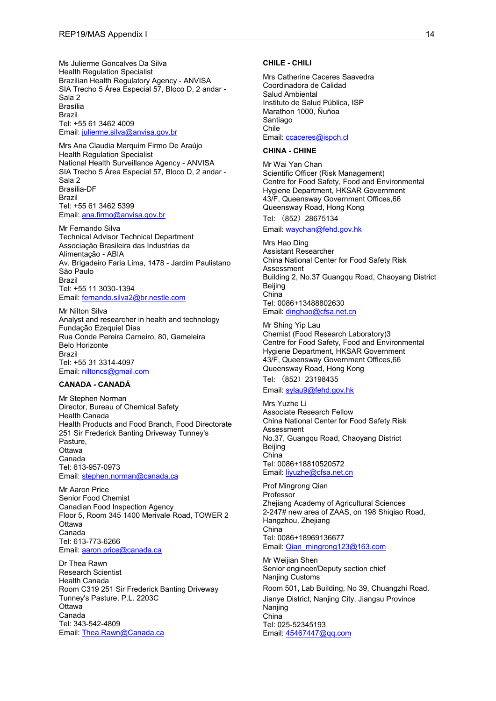Ms Julierme Goncalves Da Silva Health Regulation Specialist Brazilian Health Regulatory Agency - ANVISA SIA Trecho 5 Área Especial 57, Bloco D, 2 andar -Sala 2 Brasília Brazil Tel: +55 61 3462 4009 Email: [julierme.silva@anvisa.gov.br](mailto:julierme.silva@anvisa.gov.br)

Mrs Ana Claudia Marquim Firmo De Araújo Health Regulation Specialist National Health Surveillance Agency - ANVISA SIA Trecho 5 Área Especial 57, Bloco D, 2 andar - Sala 2 Brasília-DF Brazil Tel: +55 61 3462 5399 Email: [ana.firmo@anvisa.gov.br](mailto:ana.firmo@anvisa.gov.br)

Mr Fernando Silva Technical Advisor Technical Department Associação Brasileira das Industrias da Alimentação - ABIA Av. Brigadeiro Faria Lima, 1478 - Jardim Paulistano São Paulo Brazil Tel: +55 11 3030-1394 Email: [fernando.silva2@br.nestle.com](mailto:fernando.silva2@br.nestle.com)

Mr Nilton Silva Analyst and researcher in health and technology Fundação Ezequiel Dias Rua Conde Pereira Carneiro, 80, Gameleira Belo Horizonte Brazil Tel: +55 31 3314-4097 Email: [niltoncs@gmail.com](mailto:niltoncs@gmail.com)

#### **CANADA - CANADÁ**

Mr Stephen Norman Director, Bureau of Chemical Safety Health Canada Health Products and Food Branch, Food Directorate 251 Sir Frederick Banting Driveway Tunney's Pasture, **Ottawa** Canada Tel: 613-957-0973 Email: [stephen.norman@canada.ca](mailto:stephen.norman@canada.ca)

Mr Aaron Price Senior Food Chemist Canadian Food Inspection Agency Floor 5, Room 345 1400 Merivale Road, TOWER 2 **Ottawa** Canada Tel: 613-773-6266 Email: [aaron.price@canada.ca](mailto:aaron.price@canada.ca)

Dr Thea Rawn Research Scientist Health Canada Room C319 251 Sir Frederick Banting Driveway Tunney's Pasture, P.L. 2203C **Ottawa** Canada Tel: 343-542-4809 Email: [Thea.Rawn@Canada.ca](mailto:Thea.Rawn@Canada.ca)

#### **CHILE - CHILI**

Mrs Catherine Caceres Saavedra Coordinadora de Calidad Salud Ambiental Instituto de Salud Pública, ISP Marathon 1000, Ñuñoa Santiago Chile Email: [ccaceres@ispch.cl](mailto:ccaceres@ispch.cl)

#### **CHINA - CHINE**

Mr Wai Yan Chan Scientific Officer (Risk Management) Centre for Food Safety, Food and Environmental Hygiene Department, HKSAR Government 43/F, Queensway Government Offices,66 Queensway Road, Hong Kong

Tel: (852)28675134

Email: [waychan@fehd.gov.hk](mailto:waychan@fehd.gov.hk)

Mrs Hao Ding Assistant Researcher China National Center for Food Safety Risk Assessment Building 2, No.37 Guangqu Road, Chaoyang District Beijing China Tel: 0086+13488802630 Email: [dinghao@cfsa.net.cn](mailto:dinghao@cfsa.net.cn)

Mr Shing Yip Lau Chemist (Food Research Laboratory)3 Centre for Food Safety, Food and Environmental Hygiene Department, HKSAR Government 43/F, Queensway Government Offices,66 Queensway Road, Hong Kong

Tel: (852)23198435 Email: [sylau9@fehd.gov.hk](mailto:sylau9@fehd.gov.hk)

Mrs Yuzhe Li Associate Research Fellow China National Center for Food Safety Risk Assessment No.37, Guangqu Road, Chaoyang District Beijing China Tel: 0086+18810520572 Email: [liyuzhe@cfsa.net.cn](mailto:liyuzhe@cfsa.net.cn)

Prof Mingrong Qian Professor Zhejiang Academy of Agricultural Sciences 2-247# new area of ZAAS, on 198 Shiqiao Road, Hangzhou, Zhejiang China Tel: 0086+18969136677 Email: [Qian\\_mingrong123@163.com](mailto:Qian_mingrong123@163.com)

Mr Weijian Shen Senior engineer/Deputy section chief Nanjing Customs Room 501, Lab Building, No 39, Chuangzhi Road, Jianye District, Nanjing City, Jiangsu Province Naniing China Tel: 025-52345193 Email: [45467447@qq.com](mailto:45467447@qq.com)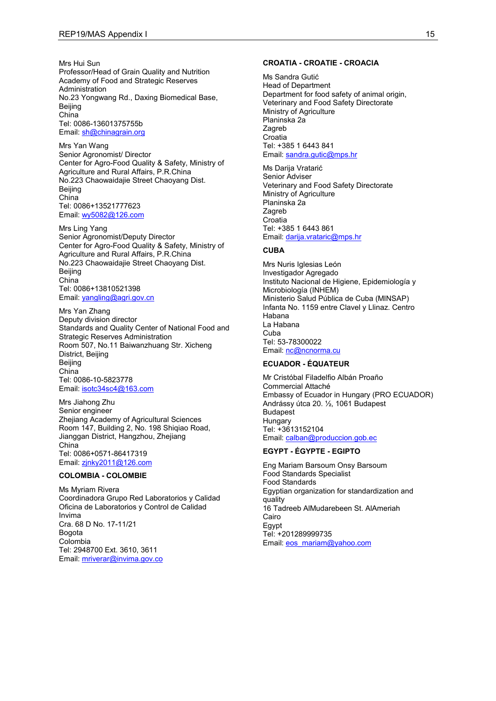Mrs Hui Sun Professor/Head of Grain Quality and Nutrition Academy of Food and Strategic Reserves Administration No.23 Yongwang Rd., Daxing Biomedical Base, Beijing China Tel: 0086-13601375755b Email: [sh@chinagrain.org](mailto:sh@chinagrain.org)

Mrs Yan Wang Senior Agronomist/ Director Center for Agro-Food Quality & Safety, Ministry of Agriculture and Rural Affairs, P.R.China No.223 Chaowaidajie Street Chaoyang Dist. Beijing China Tel: 0086+13521777623 Email: [wy5082@126.com](mailto:wy5082@126.com)

Mrs Ling Yang Senior Agronomist/Deputy Director Center for Agro-Food Quality & Safety, Ministry of Agriculture and Rural Affairs, P.R.China No.223 Chaowaidajie Street Chaoyang Dist. **Beiling** China Tel: 0086+13810521398 Email: [yangling@agri.gov.cn](mailto:yangling@agri.gov.cn)

Mrs Yan Zhang Deputy division director Standards and Quality Center of National Food and Strategic Reserves Administration Room 507, No.11 Baiwanzhuang Str. Xicheng District, Beijing Beijing China Tel: 0086-10-5823778 Email: [isotc34sc4@163.com](mailto:isotc34sc4@163.com)

Mrs Jiahong Zhu Senior engineer Zhejiang Academy of Agricultural Sciences Room 147, Building 2, No. 198 Shiqiao Road, Jianggan District, Hangzhou, Zhejiang China Tel: 0086+0571-86417319 Email: [zjnky2011@126.com](mailto:zjnky2011@126.com)

#### **COLOMBIA - COLOMBIE**

Ms Myriam Rivera Coordinadora Grupo Red Laboratorios y Calidad Oficina de Laboratorios y Control de Calidad Invima Cra. 68 D No. 17-11/21 Bogota Colombia Tel: 2948700 Ext. 3610, 3611 Email: [mriverar@invima.gov.co](mailto:mriverar@invima.gov.co)

#### **CROATIA - CROATIE - CROACIA**

Ms Sandra Gutić Head of Department Department for food safety of animal origin, Veterinary and Food Safety Directorate Ministry of Agriculture Planinska 2a Zagreb **Croatia** Tel: +385 1 6443 841 Email: [sandra.gutic@mps.hr](mailto:sandra.gutic@mps.hr)

Ms Darija Vratarić Senior Adviser Veterinary and Food Safety Directorate Ministry of Agriculture Planinska 2a Zagreb Croatia Tel: +385 1 6443 861 Email: [darija.vrataric@mps.hr](mailto:darija.vrataric@mps.hr)

#### **CUBA**

Mrs Nuris Iglesias León Investigador Agregado Instituto Nacional de Higiene, Epidemiología y Microbiología (INHEM) Ministerio Salud Pública de Cuba (MINSAP) Infanta No. 1159 entre Clavel y Llinaz. Centro Habana La Habana Cuba Tel: 53-78300022 Email: [nc@ncnorma.cu](mailto:nc@ncnorma.cu)

#### **ECUADOR - ÉQUATEUR**

Mr Cristóbal Filadelfio Albán Proaño Commercial Attaché Embassy of Ecuador in Hungary (PRO ECUADOR) Andrássy útca 20. ½, 1061 Budapest Budapest **Hungary** Tel: +3613152104 Email: [calban@produccion.gob.ec](mailto:calban@produccion.gob.ec)

### **EGYPT - ÉGYPTE - EGIPTO**

Eng Mariam Barsoum Onsy Barsoum Food Standards Specialist Food Standards Egyptian organization for standardization and quality 16 Tadreeb AlMudarebeen St. AlAmeriah Cairo Egypt Tel: +201289999735 Email: [eos\\_mariam@yahoo.com](mailto:eos_mariam@yahoo.com)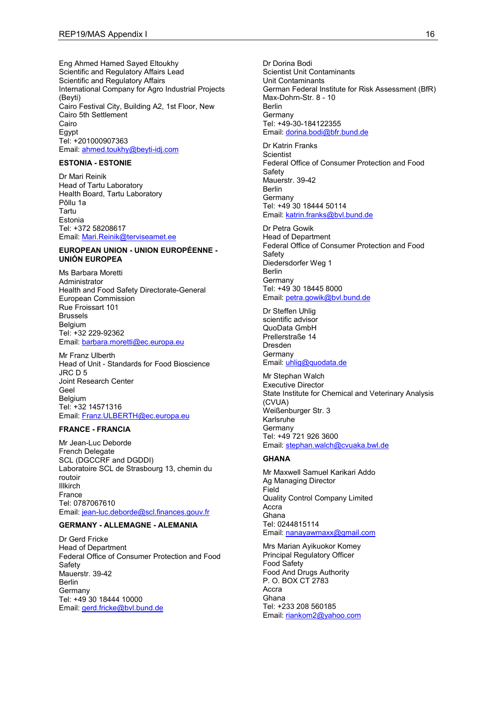Eng Ahmed Hamed Sayed Eltoukhy Scientific and Regulatory Affairs Lead Scientific and Regulatory Affairs International Company for Agro Industrial Projects (Beyti) Cairo Festival City, Building A2, 1st Floor, New Cairo 5th Settlement Cairo Egypt Tel: +201000907363 Email: [ahmed.toukhy@beyti-idj.com](mailto:ahmed.toukhy@beyti-idj.com)

### **ESTONIA - ESTONIE**

Dr Mari Reinik Head of Tartu Laboratory Health Board, Tartu Laboratory Põllu 1a Tartu Estonia Tel: +372 58208617 Email: [Mari.Reinik@terviseamet.ee](mailto:Mari.Reinik@terviseamet.ee)

#### **EUROPEAN UNION - UNION EUROPÉENNE - UNIÓN EUROPEA**

Ms Barbara Moretti **Administrator** Health and Food Safety Directorate-General European Commission Rue Froissart 101 Brussels Belgium Tel: +32 229-92362 Email: [barbara.moretti@ec.europa.eu](mailto:barbara.moretti@ec.europa.eu)

Mr Franz Ulberth Head of Unit - Standards for Food Bioscience JRC D 5 Joint Research Center Geel Belgium Tel: +32 14571316 Email: [Franz.ULBERTH@ec.europa.eu](mailto:Franz.ULBERTH@ec.europa.eu)

#### **FRANCE - FRANCIA**

Mr Jean-Luc Deborde French Delegate SCL (DGCCRF and DGDDI) Laboratoire SCL de Strasbourg 13, chemin du routoir Illkirch France Tel: 0787067610 Email: [jean-luc.deborde@scl.finances.gouv.fr](mailto:jean-luc.deborde@scl.finances.gouv.fr)

### **GERMANY - ALLEMAGNE - ALEMANIA**

Dr Gerd Fricke Head of Department Federal Office of Consumer Protection and Food **Safety** Mauerstr. 39-42 Berlin Germany Tel: +49 30 18444 10000 Email: [gerd.fricke@bvl.bund.de](mailto:gerd.fricke@bvl.bund.de)

Dr Dorina Bodi Scientist Unit Contaminants Unit Contaminants German Federal Institute for Risk Assessment (BfR) Max-Dohrn-Str. 8 - 10 Berlin **Germany** Tel: +49-30-184122355 Email: [dorina.bodi@bfr.bund.de](mailto:dorina.bodi@bfr.bund.de)

Dr Katrin Franks **Scientist** Federal Office of Consumer Protection and Food **Safety** Mauerstr. 39-42 Berlin **Germany** Tel: +49 30 18444 50114 Email: [katrin.franks@bvl.bund.de](mailto:katrin.franks@bvl.bund.de)

Dr Petra Gowik Head of Department Federal Office of Consumer Protection and Food **Safety** Diedersdorfer Weg 1 Berlin **Germany** Tel: +49 30 18445 8000 Email: [petra.gowik@bvl.bund.de](mailto:petra.gowik@bvl.bund.de)

Dr Steffen Uhlig scientific advisor QuoData GmbH Prellerstraße 14 Dresden Germany Email: [uhlig@quodata.de](mailto:uhlig@quodata.de)

Mr Stephan Walch Executive Director State Institute for Chemical and Veterinary Analysis (CVUA) Weißenburger Str. 3 Karlsruhe Germany Tel: +49 721 926 3600 Email: [stephan.walch@cvuaka.bwl.de](mailto:stephan.walch@cvuaka.bwl.de)

#### **GHANA**

Mr Maxwell Samuel Karikari Addo Ag Managing Director Field Quality Control Company Limited Accra Ghana Tel: 0244815114 Email: [nanayawmaxx@gmail.com](mailto:nanayawmaxx@gmail.com)

Mrs Marian Ayikuokor Komey Principal Regulatory Officer Food Safety Food And Drugs Authority P. O. BOX CT 2783 Accra Ghana Tel: +233 208 560185 Email: [riankom2@yahoo.com](mailto:riankom2@yahoo.com)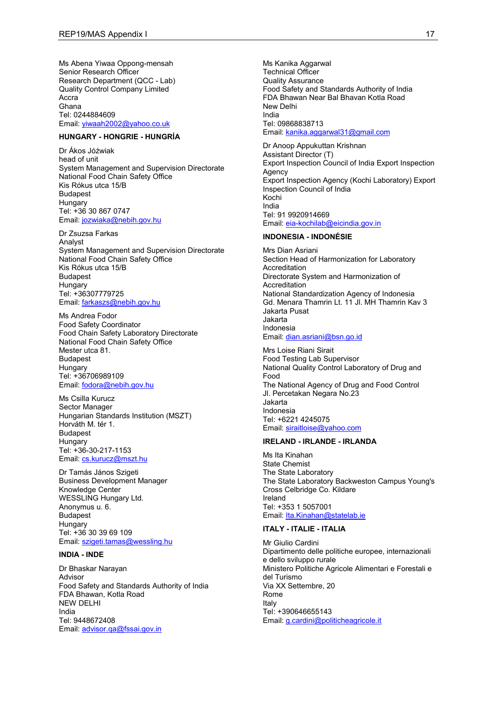Ms Abena Yiwaa Oppong-mensah Senior Research Officer Research Department (QCC - Lab) Quality Control Company Limited Accra Ghana Tel: 0244884609 Email: [yiwaah2002@yahoo.co.uk](mailto:yiwaah2002@yahoo.co.uk)

### **HUNGARY - HONGRIE - HUNGRÍA**

Dr Ákos Jóźwiak head of unit System Management and Supervision Directorate National Food Chain Safety Office Kis Rókus utca 15/B Budapest **Hungary** Tel: +36 30 867 0747 Email: [jozwiaka@nebih.gov.hu](mailto:jozwiaka@nebih.gov.hu)

Dr Zsuzsa Farkas Analyst System Management and Supervision Directorate National Food Chain Safety Office Kis Rókus utca 15/B Budapest **Hungary** Tel: +36307779725 Email: [farkaszs@nebih.gov.hu](mailto:farkaszs@nebih.gov.hu)

Ms Andrea Fodor Food Safety Coordinator Food Chain Safety Laboratory Directorate National Food Chain Safety Office Mester utca 81. Budapest Hungary Tel: +36706989109 Email: [fodora@nebih.gov.hu](mailto:fodora@nebih.gov.hu)

Ms Csilla Kurucz Sector Manager Hungarian Standards Institution (MSZT) Horváth M. tér 1. Budapest Hungary Tel: +36-30-217-1153 Email: [cs.kurucz@mszt.hu](mailto:cs.kurucz@mszt.hu)

Dr Tamás János Szigeti Business Development Manager Knowledge Center WESSLING Hungary Ltd. Anonymus u. 6. Budapest **Hungary** Tel: +36 30 39 69 109 Email: [szigeti.tamas@wessling.hu](mailto:szigeti.tamas@wessling.hu)

#### **INDIA - INDE**

Dr Bhaskar Narayan Advisor Food Safety and Standards Authority of India FDA Bhawan, Kotla Road NEW DELHI India Tel: 9448672408 Email: [advisor.qa@fssai.gov.in](mailto:advisor.qa@fssai.gov.in)

Ms Kanika Aggarwal Technical Officer Quality Assurance Food Safety and Standards Authority of India FDA Bhawan Near Bal Bhavan Kotla Road New Delhi India Tel: 09868838713 Email: [kanika.aggarwal31@gmail.com](mailto:kanika.aggarwal31@gmail.com)

Dr Anoop Appukuttan Krishnan Assistant Director (T) Export Inspection Council of India Export Inspection **Agency** Export Inspection Agency (Kochi Laboratory) Export Inspection Council of India Kochi India Tel: 91 9920914669 Email: [eia-kochilab@eicindia.gov.in](mailto:eia-kochilab@eicindia.gov.in)

### **INDONESIA - INDONÉSIE**

Mrs Dian Asriani Section Head of Harmonization for Laboratory Accreditation Directorate System and Harmonization of Accreditation National Standardization Agency of Indonesia Gd. Menara Thamrin Lt. 11 Jl. MH Thamrin Kav 3 Jakarta Pusat Jakarta Indonesia Email: [dian.asriani@bsn.go.id](mailto:dian.asriani@bsn.go.id)

Mrs Loise Riani Sirait Food Testing Lab Supervisor National Quality Control Laboratory of Drug and Food The National Agency of Drug and Food Control Jl. Percetakan Negara No.23 Jakarta Indonesia Tel: +6221 4245075 Email: [siraitloise@yahoo.com](mailto:siraitloise@yahoo.com)

# **IRELAND - IRLANDE - IRLANDA**

Ms Ita Kinahan State Chemist The State Laboratory The State Laboratory Backweston Campus Young's Cross Celbridge Co. Kildare Ireland Tel: +353 1 5057001 Email: [Ita.Kinahan@statelab.ie](mailto:Ita.Kinahan@statelab.ie)

#### **ITALY - ITALIE - ITALIA**

Mr Giulio Cardini Dipartimento delle politiche europee, internazionali e dello sviluppo rurale Ministero Politiche Agricole Alimentari e Forestali e del Turismo Via XX Settembre, 20 Rome Italy Tel: +390646655143 Email: [g.cardini@politicheagricole.it](mailto:g.cardini@politicheagricole.it)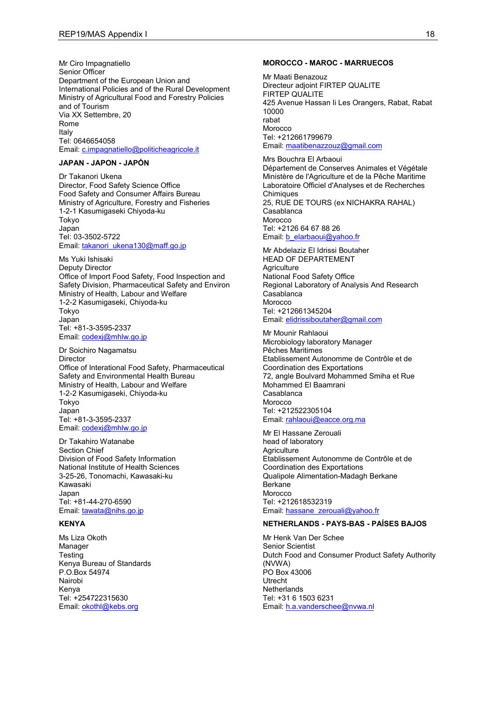Mr Ciro Impagnatiello Senior Officer Department of the European Union and International Policies and of the Rural Development Ministry of Agricultural Food and Forestry Policies and of Tourism Via XX Settembre, 20 Rome Italy Tel: 0646654058 Email: [c.impagnatiello@politicheagricole.it](mailto:c.impagnatiello@politicheagricole.it)

### **JAPAN - JAPON - JAPÓN**

Dr Takanori Ukena Director, Food Safety Science Office Food Safety and Consumer Affairs Bureau Ministry of Agriculture, Forestry and Fisheries 1-2-1 Kasumigaseki Chiyoda-ku Tokyo Japan Tel: 03-3502-5722 Email: [takanori\\_ukena130@maff.go.jp](mailto:takanori_ukena130@maff.go.jp)

Ms Yuki Ishisaki Deputy Director Office of Import Food Safety, Food Inspection and Safety Division, Pharmaceutical Safety and Environ Ministry of Health, Labour and Welfare 1-2-2 Kasumigaseki, Chiyoda-ku Tokyo Japan Tel: +81-3-3595-2337 Email: [codexj@mhlw.go.jp](mailto:codexj@mhlw.go.jp)

Dr Soichiro Nagamatsu Director Office of Interational Food Safety, Pharmaceutical Safety and Environmental Health Bureau Ministry of Health, Labour and Welfare 1-2-2 Kasumigaseki, Chiyoda-ku Tokyo Japan Tel: +81-3-3595-2337 Email: [codexj@mhlw.go.jp](mailto:codexj@mhlw.go.jp)

Dr Takahiro Watanabe Section Chief Division of Food Safety Information National Institute of Health Sciences 3-25-26, Tonomachi, Kawasaki-ku Kawasaki Japan Tel: +81-44-270-6590 Email: [tawata@nihs.go.jp](mailto:tawata@nihs.go.jp)

#### **KENYA**

Ms Liza Okoth Manager **Testing** Kenya Bureau of Standards P.O.Box 54974 Nairobi Kenya Tel: +254722315630 Email: [okothl@kebs.org](mailto:okothl@kebs.org)

#### **MOROCCO - MAROC - MARRUECOS**

Mr Maati Benazouz Directeur adjoint FIRTEP QUALITE FIRTEP QUALITE 425 Avenue Hassan Ii Les Orangers, Rabat, Rabat 10000 rabat Morocco Tel: +212661799679 Email: [maatibenazzouz@gmail.com](mailto:maatibenazzouz@gmail.com)

Mrs Bouchra El Arbaoui Département de Conserves Animales et Végétale Ministère de l'Agriculture et de la Pêche Maritime Laboratoire Officiel d'Analyses et de Recherches **Chimiques** 25, RUE DE TOURS (ex NICHAKRA RAHAL) Casablanca **Morocco** Tel: +2126 64 67 88 26 Email: [b\\_elarbaoui@yahoo.fr](mailto:b_elarbaoui@yahoo.fr)

Mr Abdelaziz El Idrissi Boutaher HEAD OF DEPARTEMENT **Agriculture** National Food Safety Office Regional Laboratory of Analysis And Research Casablanca Morocco Tel: +212661345204 Email: [elidrissiboutaher@gmail.com](mailto:elidrissiboutaher@gmail.com)

#### Mr Mounir Rahlaoui

Microbiology laboratory Manager Pêches Maritimes Etablissement Autonomme de Contrôle et de Coordination des Exportations 72, angle Boulvard Mohammed Smiha et Rue Mohammed El Baamrani Casablanca Morocco Tel: +212522305104 Email: [rahlaoui@eacce.org.ma](mailto:rahlaoui@eacce.org.ma)

Mr El Hassane Zerouali head of laboratory **Agriculture** Etablissement Autonomme de Contrôle et de Coordination des Exportations Qualipole Alimentation-Madagh Berkane Berkane Morocco Tel: +212618532319 Email: [hassane\\_zerouali@yahoo.fr](mailto:hassane_zerouali@yahoo.fr)

### **NETHERLANDS - PAYS-BAS - PAÍSES BAJOS**

Mr Henk Van Der Schee Senior Scientist Dutch Food and Consumer Product Safety Authority (NVWA) PO Box 43006 Utrecht **Netherlands** Tel: +31 6 1503 6231 Email: [h.a.vanderschee@nvwa.nl](mailto:h.a.vanderschee@nvwa.nl)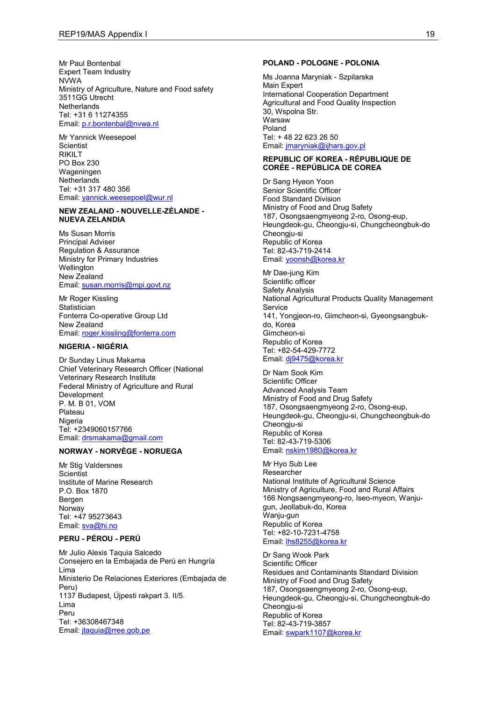Mr Paul Bontenbal Expert Team Industry NVWA Ministry of Agriculture, Nature and Food safety 3511GG Utrecht **Netherlands** Tel: +31 6 11274355 Email: [p.r.bontenbal@nvwa.nl](mailto:p.r.bontenbal@nvwa.nl)

Mr Yannick Weesepoel **Scientist RIKILT** PO Box 230 Wageningen **Netherlands** Tel: +31 317 480 356 Email: [yannick.weesepoel@wur.nl](mailto:yannick.weesepoel@wur.nl)

#### **NEW ZEALAND - NOUVELLE-ZÉLANDE - NUEVA ZELANDIA**

Ms Susan Morris Principal Adviser Regulation & Assurance Ministry for Primary Industries **Wellington** New Zealand Email: [susan.morris@mpi.govt.nz](mailto:susan.morris@mpi.govt.nz)

Mr Roger Kissling **Statistician** Fonterra Co-operative Group Ltd New Zealand Email: [roger.kissling@fonterra.com](mailto:roger.kissling@fonterra.com)

### **NIGERIA - NIGÉRIA**

Dr Sunday Linus Makama Chief Veterinary Research Officer (National Veterinary Research Institute Federal Ministry of Agriculture and Rural Development P. M. B 01, VOM Plateau **Nigeria** Tel: +2349060157766 Email: [drsmakama@gmail.com](mailto:drsmakama@gmail.com)

### **NORWAY - NORVÈGE - NORUEGA**

Mr Stig Valdersnes **Scientist** Institute of Marine Research P.O. Box 1870 Bergen Norway Tel: +47 95273643 Email: [sva@hi.no](mailto:sva@hi.no)

#### **PERU - PÉROU - PERÚ**

Mr Julio Alexis Taquia Salcedo Consejero en la Embajada de Perú en Hungría Lima Ministerio De Relaciones Exteriores (Embajada de Peru) 1137 Budapest, Újpesti rakpart 3. II/5. Lima Peru Tel: +36308467348 Email: [jtaquia@rree.gob.pe](mailto:jtaquia@rree.gob.pe)

#### **POLAND - POLOGNE - POLONIA**

Ms Joanna Maryniak - Szpilarska Main Expert International Cooperation Department Agricultural and Food Quality Inspection 30, Wspolna Str. Warsaw Poland Tel: + 48 22 623 26 50 Email: [jmaryniak@ijhars.gov.pl](mailto:jmaryniak@ijhars.gov.pl)

#### **REPUBLIC OF KOREA - RÉPUBLIQUE DE CORÉE - REPÚBLICA DE COREA**

Dr Sang Hyeon Yoon Senior Scientific Officer Food Standard Division Ministry of Food and Drug Safety 187, Osongsaengmyeong 2-ro, Osong-eup, Heungdeok-gu, Cheongju-si, Chungcheongbuk-do Cheongju-si Republic of Korea Tel: 82-43-719-2414 Email: [yoonsh@korea.kr](mailto:yoonsh@korea.kr)

Mr Dae-jung Kim Scientific officer Safety Analysis National Agricultural Products Quality Management **Service** 141, Yongjeon-ro, Gimcheon-si, Gyeongsangbukdo, Korea Gimcheon-si Republic of Korea Tel: +82-54-429-7772 Email: [dj9475@korea.kr](mailto:dj9475@korea.kr)

Dr Nam Sook Kim Scientific Officer Advanced Analysis Team Ministry of Food and Drug Safety 187, Osongsaengmyeong 2-ro, Osong-eup, Heungdeok-gu, Cheongju-si, Chungcheongbuk-do Cheongju-si Republic of Korea Tel: 82-43-719-5306 Email: [nskim1980@korea.kr](mailto:nskim1980@korea.kr)

Mr Hyo Sub Lee Researcher National Institute of Agricultural Science Ministry of Agriculture, Food and Rural Affairs 166 Nongsaengmyeong-ro, Iseo-myeon, Wanjugun, Jeollabuk-do, Korea Wanju-gun Republic of Korea Tel: +82-10-7231-4758 Email: [lhs8255@korea.kr](mailto:lhs8255@korea.kr)

Dr Sang Wook Park Scientific Officer Residues and Contaminants Standard Division Ministry of Food and Drug Safety 187, Osongsaengmyeong 2-ro, Osong-eup, Heungdeok-gu, Cheongju-si, Chungcheongbuk-do Cheongju-si Republic of Korea Tel: 82-43-719-3857 Email: [swpark1107@korea.kr](mailto:swpark1107@korea.kr)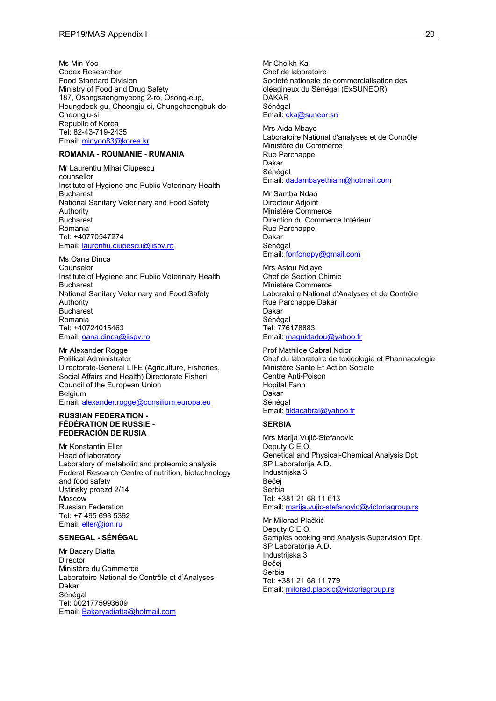Ms Min Yoo Codex Researcher Food Standard Division Ministry of Food and Drug Safety 187, Osongsaengmyeong 2-ro, Osong-eup, Heungdeok-gu, Cheongju-si, Chungcheongbuk-do Cheongju-si Republic of Korea Tel: 82-43-719-2435 Email: [minyoo83@korea.kr](mailto:minyoo83@korea.kr)

#### **ROMANIA - ROUMANIE - RUMANIA**

Mr Laurentiu Mihai Ciupescu counsellor Institute of Hygiene and Public Veterinary Health Bucharest National Sanitary Veterinary and Food Safety Authority **Bucharest** Romania Tel: +40770547274 Email: [laurentiu.ciupescu@iispv.ro](mailto:laurentiu.ciupescu@iispv.ro)

Ms Oana Dinca Counselor Institute of Hygiene and Public Veterinary Health Bucharest National Sanitary Veterinary and Food Safety Authority **Bucharest** Romania Tel: +40724015463 Email: [oana.dinca@iispv.ro](mailto:oana.dinca@iispv.ro)

Mr Alexander Rogge Political Administrator Directorate‐General LIFE (Agriculture, Fisheries, Social Affairs and Health) Directorate Fisheri Council of the European Union Belgium Email: [alexander.rogge@consilium.europa.eu](mailto:alexander.rogge@consilium.europa.eu)

#### **RUSSIAN FEDERATION - FÉDÉRATION DE RUSSIE - FEDERACIÓN DE RUSIA**

Mr Konstantin Eller Head of laboratory Laboratory of metabolic and proteomic analysis Federal Research Centre of nutrition, biotechnology and food safety Ustinsky proezd 2/14 Moscow Russian Federation Tel: +7 495 698 5392 Email: [eller@ion.ru](mailto:eller@ion.ru)

#### **SENEGAL - SÉNÉGAL**

Mr Bacary Diatta Director Ministère du Commerce Laboratoire National de Contrôle et d'Analyses Dakar Sénégal Tel: 0021775993609 Email: [Bakaryadiatta@hotmail.com](mailto:Bakaryadiatta@hotmail.com)

Mr Cheikh Ka Chef de laboratoire Société nationale de commercialisation des oléagineux du Sénégal (ExSUNEOR) DAKAR Sénégal Email: [cka@suneor.sn](mailto:cka@suneor.sn)

Mrs Aida Mbaye Laboratoire National d'analyses et de Contrôle Ministère du Commerce Rue Parchappe Dakar Sénégal Email: [dadambayethiam@hotmail.com](mailto:dadambayethiam@hotmail.com)

Mr Samba Ndao Directeur Adjoint Ministère Commerce Direction du Commerce Intérieur Rue Parchappe Dakar Sénégal Email: [fonfonopy@gmail.com](mailto:fonfonopy@gmail.com)

Mrs Astou Ndiaye Chef de Section Chimie Ministère Commerce Laboratoire National d'Analyses et de Contrôle Rue Parchappe Dakar Dakar Sénégal Tel: 776178883 Email: [maguidadou@yahoo.fr](mailto:maguidadou@yahoo.fr)

Prof Mathilde Cabral Ndior Chef du laboratoire de toxicologie et Pharmacologie Ministère Sante Et Action Sociale Centre Anti-Poison Hopital Fann Dakar Sénégal Email: [tildacabral@yahoo.fr](mailto:tildacabral@yahoo.fr)

# **SERBIA**

Mrs Marija Vujić-Stefanović Deputy C.E.O. Genetical and Physical-Chemical Analysis Dpt. SP Laboratorija A.D. Industrijska 3 Bečej Serbia Tel: +381 21 68 11 613 Email: [marija.vujic-stefanovic@victoriagroup.rs](mailto:marija.vujic-stefanovic@victoriagroup.rs)

Mr Milorad Plačkić Deputy C.E.O. Samples booking and Analysis Supervision Dpt. SP Laboratorija A.D. Industrijska 3 Bečej Serbia Tel: +381 21 68 11 779 Email: [milorad.plackic@victoriagroup.rs](mailto:milorad.plackic@victoriagroup.rs)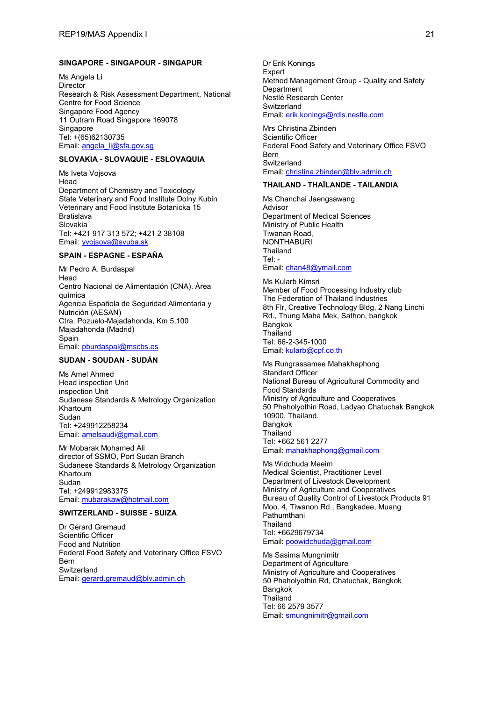#### **SINGAPORE - SINGAPOUR - SINGAPUR**

Ms Angela Li **Director** Research & Risk Assessment Department, National Centre for Food Science Singapore Food Agency 11 Outram Road Singapore 169078 **Singapore** Tel: +(65)62130735 Email: [angela\\_li@sfa.gov.sg](mailto:angela_li@sfa.gov.sg)

#### **SLOVAKIA - SLOVAQUIE - ESLOVAQUIA**

Ms Iveta Vojsova Head Department of Chemistry and Toxicology State Veterinary and Food Institute Dolny Kubin Veterinary and Food Institute Botanicka 15 **Bratislava** Slovakia Tel: +421 917 313 572; +421 2 38108 Email: **yvojsova@svuba.sk** 

#### **SPAIN - ESPAGNE - ESPAÑA**

Mr Pedro A. Burdaspal Head Centro Nacional de Alimentación (CNA). Área química Agencia Española de Seguridad Alimentaria y Nutrición (AESAN) Ctra. Pozuelo-Majadahonda, Km 5,100 Majadahonda (Madrid) Spain Email: [pburdaspal@mscbs.es](mailto:pburdaspal@mscbs.es)

#### **SUDAN - SOUDAN - SUDÁN**

Ms Amel Ahmed Head inspection Unit inspection Unit Sudanese Standards & Metrology Organization Khartoum Sudan Tel: +249912258234 Email: [amelsaudi@gmail.com](mailto:amelsaudi@gmail.com)

Mr Mobarak Mohamed Ali director of SSMO, Port Sudan Branch Sudanese Standards & Metrology Organization Khartoum Sudan Tel: +249912983375 Email: [mubarakaw@hotmail.com](mailto:mubarakaw@hotmail.com)

# **SWITZERLAND - SUISSE - SUIZA**

Dr Gérard Gremaud Scientific Officer Food and Nutrition Federal Food Safety and Veterinary Office FSVO Bern **Switzerland** Email: [gerard.gremaud@blv.admin.ch](mailto:gerard.gremaud@blv.admin.ch)

Dr Erik Konings **Expert** Method Management Group - Quality and Safety **Department** Nestlé Research Center **Switzerland** Email: [erik.konings@rdls.nestle.com](mailto:erik.konings@rdls.nestle.com)

Mrs Christina Zbinden Scientific Officer Federal Food Safety and Veterinary Office FSVO Bern **Switzerland** Email: [christina.zbinden@blv.admin.ch](mailto:christina.zbinden@blv.admin.ch)

#### **THAILAND - THAÏLANDE - TAILANDIA**

Ms Chanchai Jaengsawang Advisor Department of Medical Sciences Ministry of Public Health Tiwanan Road, **NONTHABURI** Thailand Tel: - Email: [chan48@ymail.com](mailto:chan48@ymail.com)

Ms Kularb Kimsri Member of Food Processing Industry club The Federation of Thailand Industries 8th Flr, Creative Technology Bldg, 2 Nang Linchi Rd., Thung Maha Mek, Sathon, bangkok Bangkok Thailand Tel: 66-2-345-1000 Email: [kularb@cpf.co.th](mailto:kularb@cpf.co.th)

Ms Rungrassamee Mahakhaphong Standard Officer National Bureau of Agricultural Commodity and Food Standards Ministry of Agriculture and Cooperatives 50 Phaholyothin Road, Ladyao Chatuchak Bangkok 10900. Thailand. Bangkok **Thailand** Tel: +662 561 2277 Email: [mahakhaphong@gmail.com](mailto:mahakhaphong@gmail.com)

Ms Widchuda Meeim Medical Scientist, Practitioner Level Department of Livestock Development Ministry of Agriculture and Cooperatives Bureau of Quality Control of Livestock Products 91 Moo. 4, Tiwanon Rd., Bangkadee, Muang Pathumthani **Thailand** Tel: +6629679734 Email: [poowidchuda@gmail.com](mailto:poowidchuda@gmail.com)

Ms Sasima Mungnimitr Department of Agriculture Ministry of Agriculture and Cooperatives 50 Phaholyothin Rd, Chatuchak, Bangkok Bangkok Thailand Tel: 66 2579 3577 Email: [smungnimitr@gmail.com](mailto:smungnimitr@gmail.com)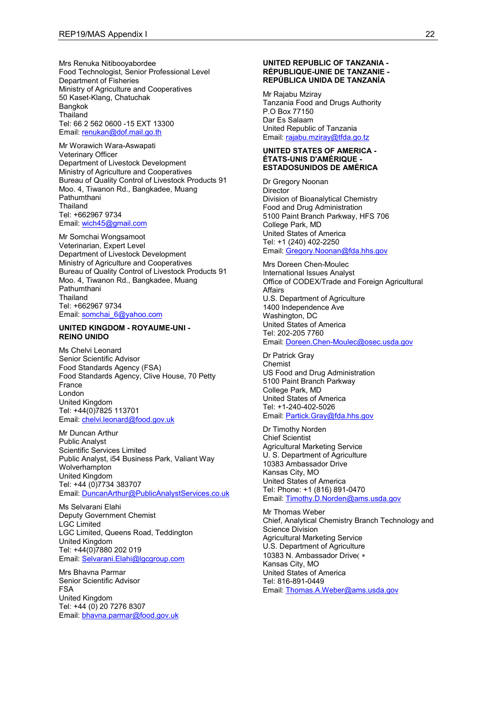Mrs Renuka Nitibooyabordee Food Technologist, Senior Professional Level Department of Fisheries Ministry of Agriculture and Cooperatives 50 Kaset-Klang, Chatuchak Bangkok **Thailand** Tel: 66 2 562 0600 -15 EXT 13300 Email: [renukan@dof.mail.go.th](mailto:renukan@dof.mail.go.th)

Mr Worawich Wara-Aswapati Veterinary Officer Department of Livestock Development Ministry of Agriculture and Cooperatives Bureau of Quality Control of Livestock Products 91 Moo. 4, Tiwanon Rd., Bangkadee, Muang Pathumthani **Thailand** Tel: +662967 9734 Email: [wich45@gmail.com](mailto:wich45@gmail.com)

Mr Somchai Wongsamoot Veterinarian, Expert Level Department of Livestock Development Ministry of Agriculture and Cooperatives Bureau of Quality Control of Livestock Products 91 Moo. 4, Tiwanon Rd., Bangkadee, Muang Pathumthani **Thailand** Tel: +662967 9734 Email: [somchai\\_6@yahoo.com](mailto:somchai_6@yahoo.com)

#### **UNITED KINGDOM - ROYAUME-UNI - REINO UNIDO**

Ms Chelvi Leonard Senior Scientific Advisor Food Standards Agency (FSA) Food Standards Agency, Clive House, 70 Petty France London United Kingdom Tel: +44(0)7825 113701 Email: [chelvi.leonard@food.gov.uk](mailto:chelvi.leonard@food.gov.uk)

Mr Duncan Arthur Public Analyst Scientific Services Limited Public Analyst, i54 Business Park, Valiant Way Wolverhampton United Kingdom Tel: +44 (0)7734 383707 Email: [DuncanArthur@PublicAnalystServices.co.uk](mailto:DuncanArthur@PublicAnalystServices.co.uk)

Ms Selvarani Elahi Deputy Government Chemist LGC Limited LGC Limited, Queens Road, Teddington United Kingdom Tel: +44(0)7880 202 019 Email: [Selvarani.Elahi@lgcgroup.com](mailto:Selvarani.Elahi@lgcgroup.com)

Mrs Bhavna Parmar Senior Scientific Advisor FSA United Kingdom Tel: +44 (0) 20 7276 8307 Email: [bhavna.parmar@food.gov.uk](mailto:bhavna.parmar@food.gov.uk)

#### **UNITED REPUBLIC OF TANZANIA - RÉPUBLIQUE-UNIE DE TANZANIE - REPÚBLICA UNIDA DE TANZANÍA**

Mr Rajabu Mziray Tanzania Food and Drugs Authority P.O Box 77150 Dar Es Salaam United Republic of Tanzania Email: [rajabu.mziray@tfda.go.tz](mailto:rajabu.mziray@tfda.go.tz)

#### **UNITED STATES OF AMERICA - ÉTATS-UNIS D'AMÉRIQUE - ESTADOSUNIDOS DE AMÉRICA**

Dr Gregory Noonan **Director** Division of Bioanalytical Chemistry Food and Drug Administration 5100 Paint Branch Parkway, HFS 706 College Park, MD United States of America Tel: +1 (240) 402-2250 Email: [Gregory.Noonan@fda.hhs.gov](mailto:Gregory.Noonan@fda.hhs.gov)

Mrs Doreen Chen-Moulec International Issues Analyst Office of CODEX/Trade and Foreign Agricultural Affairs U.S. Department of Agriculture 1400 Independence Ave Washington, DC United States of America Tel: 202-205 7760 Email: [Doreen.Chen-Moulec@osec.usda.gov](mailto:Doreen.Chen-Moulec@osec.usda.gov)

Dr Patrick Gray Chemist US Food and Drug Administration 5100 Paint Branch Parkway College Park, MD United States of America Tel: +1-240-402-5026 Email: [Partick.Gray@fda.hhs.gov](mailto:Partick.Gray@fda.hhs.gov)

Dr Timothy Norden Chief Scientist Agricultural Marketing Service U. S. Department of Agriculture 10383 Ambassador Drive Kansas City, MO United States of America Tel: Phone: +1 (816) 891-0470 Email: [Timothy.D.Norden@ams.usda.gov](mailto:Timothy.D.Norden@ams.usda.gov)

Mr Thomas Weber Chief, Analytical Chemistry Branch Technology and Science Division Agricultural Marketing Service U.S. Department of Agriculture 10383 N. Ambassador Drive( ∗ Kansas City, MO United States of America Tel: 816-891-0449 Email: [Thomas.A.Weber@ams.usda.gov](mailto:Thomas.A.Weber@ams.usda.gov)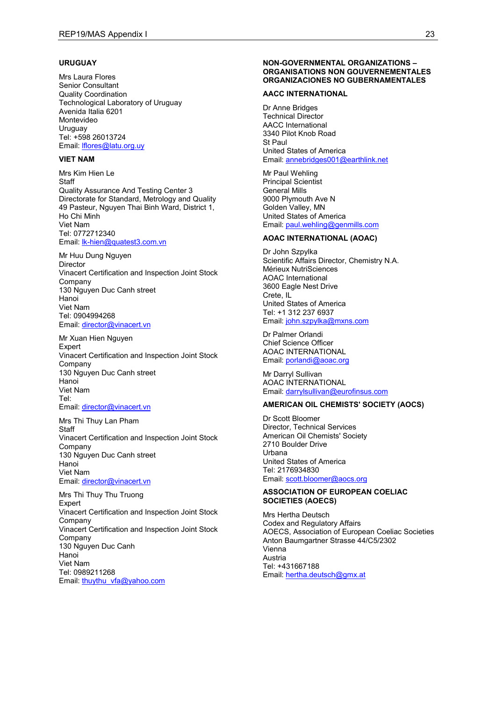#### **URUGUAY**

Mrs Laura Flores Senior Consultant Quality Coordination Technological Laboratory of Uruguay Avenida Italia 6201 Montevideo **Uruguay** Tel: +598 26013724 Email: **fores@latu.org.uy** 

### **VIET NAM**

Mrs Kim Hien Le **Staff** Quality Assurance And Testing Center 3 Directorate for Standard, Metrology and Quality 49 Pasteur, Nguyen Thai Binh Ward, District 1, Ho Chi Minh Viet Nam Tel: 0772712340 Email: [lk-hien@quatest3.com.vn](mailto:lk-hien@quatest3.com.vn)

Mr Huu Dung Nguyen **Director** Vinacert Certification and Inspection Joint Stock Company 130 Nguyen Duc Canh street Hanoi Viet Nam Tel: 0904994268 Email: [director@vinacert.vn](mailto:director@vinacert.vn)

Mr Xuan Hien Nguyen Expert Vinacert Certification and Inspection Joint Stock Company 130 Nguyen Duc Canh street Hanoi Viet Nam Tel: Email: [director@vinacert.vn](mailto:director@vinacert.vn)

Mrs Thi Thuy Lan Pham **Staff** Vinacert Certification and Inspection Joint Stock Company 130 Nguyen Duc Canh street Hanoi Viet Nam Email: [director@vinacert.vn](mailto:director@vinacert.vn)

Mrs Thi Thuy Thu Truong Expert Vinacert Certification and Inspection Joint Stock Company Vinacert Certification and Inspection Joint Stock Company 130 Nguyen Duc Canh Hanoi Viet Nam Tel: 0989211268 Email: [thuythu\\_vfa@yahoo.com](mailto:thuythu_vfa@yahoo.com)

#### **NON-GOVERNMENTAL ORGANIZATIONS – ORGANISATIONS NON GOUVERNEMENTALES ORGANIZACIONES NO GUBERNAMENTALES**

#### **AACC INTERNATIONAL**

Dr Anne Bridges Technical Director AACC International 3340 Pilot Knob Road St Paul United States of America Email: [annebridges001@earthlink.net](mailto:annebridges001@earthlink.net)

Mr Paul Wehling Principal Scientist General Mills 9000 Plymouth Ave N Golden Valley, MN United States of America Email: [paul.wehling@genmills.com](mailto:paul.wehling@genmills.com)

#### **AOAC INTERNATIONAL (AOAC)**

Dr John Szpylka Scientific Affairs Director, Chemistry N.A. Mérieux NutriSciences AOAC International 3600 Eagle Nest Drive Crete, IL United States of America Tel: +1 312 237 6937 Email: [john.szpylka@mxns.com](mailto:john.szpylka@mxns.com)

Dr Palmer Orlandi Chief Science Officer AOAC INTERNATIONAL Email: [porlandi@aoac.org](mailto:porlandi@aoac.org)

Mr Darryl Sullivan AOAC INTERNATIONAL Email: [darrylsullivan@eurofinsus.com](mailto:darrylsullivan@eurofinsus.com)

### **AMERICAN OIL CHEMISTS' SOCIETY (AOCS)**

Dr Scott Bloomer Director, Technical Services American Oil Chemists' Society 2710 Boulder Drive Urbana United States of America Tel: 2176934830 Email: [scott.bloomer@aocs.org](mailto:scott.bloomer@aocs.org)

#### **ASSOCIATION OF EUROPEAN COELIAC SOCIETIES (AOECS)**

Mrs Hertha Deutsch Codex and Regulatory Affairs AOECS, Association of European Coeliac Societies Anton Baumgartner Strasse 44/C5/2302 Vienna Austria Tel: +431667188 Email: [hertha.deutsch@gmx.at](mailto:hertha.deutsch@gmx.at)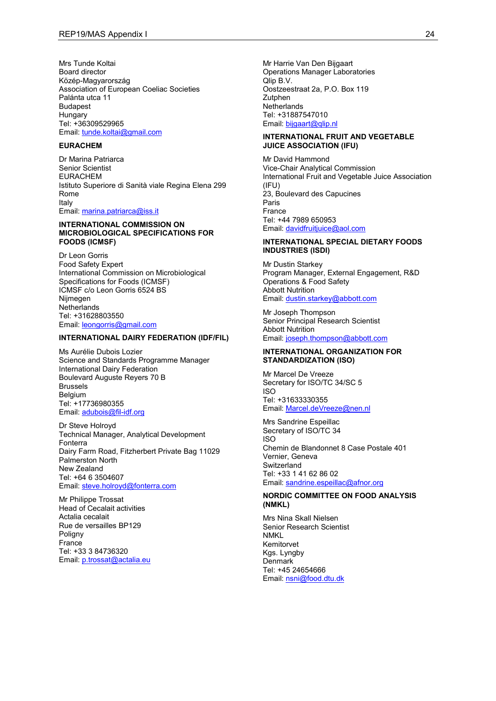Mrs Tunde Koltai Board director Közép-Magyarország Association of European Coeliac Societies Palánta utca 11 Budapest **Hungary** Tel: +36309529965 Email: [tunde.koltai@gmail.com](mailto:tunde.koltai@gmail.com)

### **EURACHEM**

Dr Marina Patriarca Senior Scientist EURACHEM Istituto Superiore di Sanità viale Regina Elena 299 Rome Italy Email: [marina.patriarca@iss.it](mailto:marina.patriarca@iss.it)

#### **INTERNATIONAL COMMISSION ON MICROBIOLOGICAL SPECIFICATIONS FOR FOODS (ICMSF)**

Dr Leon Gorris Food Safety Expert International Commission on Microbiological Specifications for Foods (ICMSF) ICMSF c/o Leon Gorris 6524 BS Nijmegen **Netherlands** Tel: +31628803550 Email: [leongorris@gmail.com](mailto:leongorris@gmail.com)

#### **INTERNATIONAL DAIRY FEDERATION (IDF/FIL)**

Ms Aurélie Dubois Lozier Science and Standards Programme Manager International Dairy Federation Boulevard Auguste Reyers 70 B Brussels Belgium Tel: +17736980355 Email: [adubois@fil-idf.org](mailto:adubois@fil-idf.org)

Dr Steve Holroyd Technical Manager, Analytical Development Fonterra Dairy Farm Road, Fitzherbert Private Bag 11029 Palmerston North New Zealand Tel: +64 6 3504607 Email: [steve.holroyd@fonterra.com](mailto:steve.holroyd@fonterra.com)

Mr Philippe Trossat Head of Cecalait activities Actalia cecalait Rue de versailles BP129 Poligny **France** Tel: +33 3 84736320 Email: [p.trossat@actalia.eu](mailto:p.trossat@actalia.eu)

Mr Harrie Van Den Bijgaart Operations Manager Laboratories Qlip B.V. Oostzeestraat 2a, P.O. Box 119 **Zutphen Netherlands** Tel: +31887547010 Email: [bijgaart@qlip.nl](mailto:bijgaart@qlip.nl)

### **INTERNATIONAL FRUIT AND VEGETABLE JUICE ASSOCIATION (IFU)**

Mr David Hammond Vice-Chair Analytical Commission International Fruit and Vegetable Juice Association  $(IFIJ)$ 23, Boulevard des Capucines Paris France Tel: +44 7989 650953 Email: [davidfruitjuice@aol.com](mailto:davidfruitjuice@aol.com)

#### **INTERNATIONAL SPECIAL DIETARY FOODS INDUSTRIES (ISDI)**

Mr Dustin Starkey Program Manager, External Engagement, R&D Operations & Food Safety Abbott Nutrition Email: [dustin.starkey@abbott.com](mailto:dustin.starkey@abbott.com)

Mr Joseph Thompson Senior Principal Research Scientist Abbott Nutrition Email: [joseph.thompson@abbott.com](mailto:joseph.thompson@abbott.com)

#### **INTERNATIONAL ORGANIZATION FOR STANDARDIZATION (ISO)**

Mr Marcel De Vreeze Secretary for ISO/TC 34/SC 5 ISO Tel: +31633330355 Email: [Marcel.deVreeze@nen.nl](mailto:Marcel.deVreeze@nen.nl)

Mrs Sandrine Espeillac Secretary of ISO/TC 34 ISO Chemin de Blandonnet 8 Case Postale 401 Vernier, Geneva **Switzerland** Tel: +33 1 41 62 86 02 Email: [sandrine.espeillac@afnor.org](mailto:sandrine.espeillac@afnor.org)

#### **NORDIC COMMITTEE ON FOOD ANALYSIS (NMKL)**

Mrs Nina Skall Nielsen Senior Research Scientist NMKL Kemitorvet Kgs. Lyngby Denmark Tel: +45 24654666 Email: [nsni@food.dtu.dk](mailto:nsni@food.dtu.dk)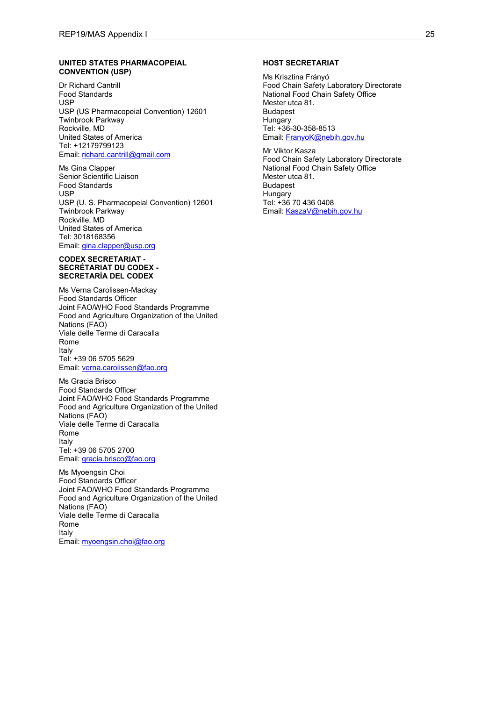#### **UNITED STATES PHARMACOPEIAL CONVENTION (USP)**

Dr Richard Cantrill Food Standards USP USP (US Pharmacopeial Convention) 12601 Twinbrook Parkway Rockville, MD United States of America Tel: +12179799123 Email: [richard.cantrill@gmail.com](mailto:richard.cantrill@gmail.com)

Ms Gina Clapper Senior Scientific Liaison Food Standards USP USP (U. S. Pharmacopeial Convention) 12601 Twinbrook Parkway Rockville, MD United States of America Tel: 3018168356 Email: [gina.clapper@usp.org](mailto:gina.clapper@usp.org)

#### **CODEX SECRETARIAT - SECRÉTARIAT DU CODEX - SECRETARÍA DEL CODEX**

Ms Verna Carolissen-Mackay Food Standards Officer Joint FAO/WHO Food Standards Programme Food and Agriculture Organization of the United Nations (FAO) Viale delle Terme di Caracalla Rome Italy Tel: +39 06 5705 5629 Email: [verna.carolissen@fao.org](mailto:verna.carolissen@fao.org)

Ms Gracia Brisco Food Standards Officer Joint FAO/WHO Food Standards Programme Food and Agriculture Organization of the United Nations (FAO) Viale delle Terme di Caracalla Rome Italy Tel: +39 06 5705 2700 Email: [gracia.brisco@fao.org](mailto:gracia.brisco@fao.org)

Ms Myoengsin Choi Food Standards Officer Joint FAO/WHO Food Standards Programme Food and Agriculture Organization of the United Nations (FAO) Viale delle Terme di Caracalla Rome Italy Email: [myoengsin.choi@fao.org](mailto:myoengsin.choi@fao.org)

#### **HOST SECRETARIAT**

Ms Krisztina Frányó Food Chain Safety Laboratory Directorate National Food Chain Safety Office Mester utca 81. Budapest Hungary Tel: +36-30-358-8513 Email: [FranyoK@nebih.gov.hu](mailto:FranyoK@nebih.gov.hu)

Mr Viktor Kasza Food Chain Safety Laboratory Directorate National Food Chain Safety Office Mester utca 81. Budapest **Hungary** Tel: +36 70 436 0408 Email: [KaszaV@nebih.gov.hu](mailto:KaszaV@nebih.gov.hu)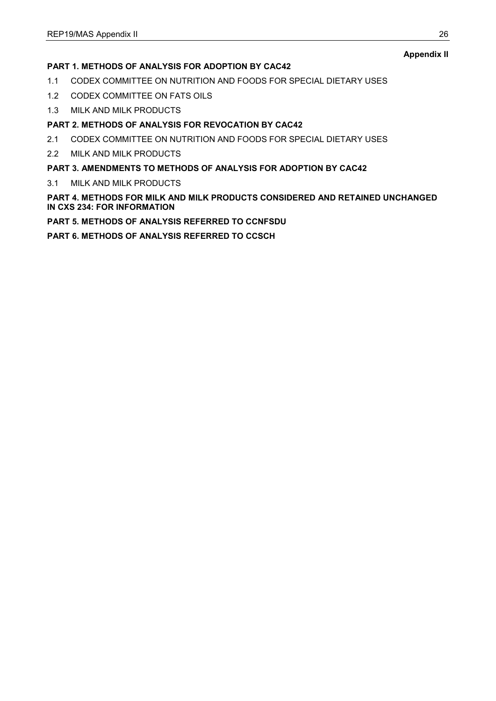# **Appendix II**

# **PART 1. METHODS OF ANALYSIS FOR ADOPTION BY CAC42**

- 1.1 CODEX COMMITTEE ON NUTRITION AND FOODS FOR SPECIAL DIETARY USES
- 1.2 CODEX COMMITTEE ON FATS OILS
- 1.3 MILK AND MILK PRODUCTS

# **PART 2. METHODS OF ANALYSIS FOR REVOCATION BY CAC42**

- 2.1 CODEX COMMITTEE ON NUTRITION AND FOODS FOR SPECIAL DIETARY USES
- 2.2 MILK AND MILK PRODUCTS

# **PART 3. AMENDMENTS TO METHODS OF ANALYSIS FOR ADOPTION BY CAC42**

3.1 MILK AND MILK PRODUCTS

# **PART 4. METHODS FOR MILK AND MILK PRODUCTS CONSIDERED AND RETAINED UNCHANGED IN CXS 234: FOR INFORMATION**

# **PART 5. METHODS OF ANALYSIS REFERRED TO CCNFSDU**

**PART 6. METHODS OF ANALYSIS REFERRED TO CCSCH**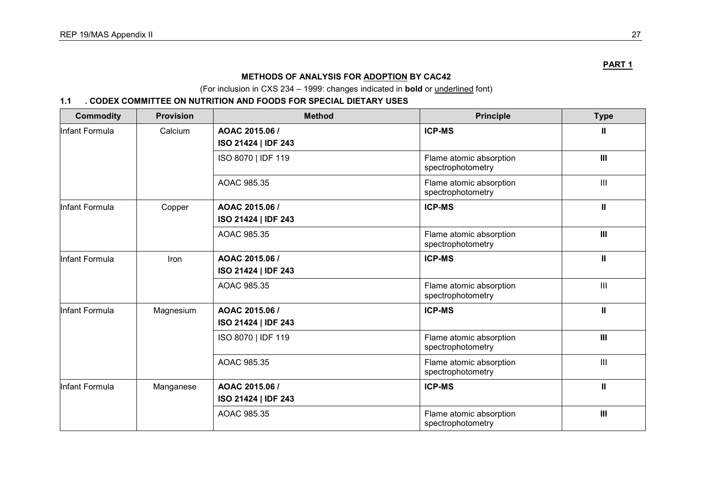# **METHODS OF ANALYSIS FOR ADOPTION BY CAC42**

(For inclusion in CXS 234 – 1999: changes indicated in **bold** or underlined font)

# **1.1 . CODEX COMMITTEE ON NUTRITION AND FOODS FOR SPECIAL DIETARY USES**

| <b>Commodity</b> | <b>Provision</b> | <b>Method</b>                         | <b>Principle</b>                             | <b>Type</b>    |
|------------------|------------------|---------------------------------------|----------------------------------------------|----------------|
| Infant Formula   | Calcium          | AOAC 2015.06 /<br>ISO 21424   IDF 243 | <b>ICP-MS</b>                                | $\mathbf{u}$   |
|                  |                  | ISO 8070   IDF 119                    | Flame atomic absorption<br>spectrophotometry | III            |
|                  |                  | AOAC 985.35                           | Flame atomic absorption<br>spectrophotometry | $\mathbf{III}$ |
| Infant Formula   | Copper           | AOAC 2015.06 /<br>ISO 21424   IDF 243 | <b>ICP-MS</b>                                | $\mathbf{I}$   |
|                  |                  | AOAC 985.35                           | Flame atomic absorption<br>spectrophotometry | III            |
| Infant Formula   | Iron             | AOAC 2015.06 /<br>ISO 21424   IDF 243 | <b>ICP-MS</b>                                | $\mathbf{I}$   |
|                  |                  | AOAC 985.35                           | Flame atomic absorption<br>spectrophotometry | $\mathbf{III}$ |
| Infant Formula   | Magnesium        | AOAC 2015.06 /<br>ISO 21424   IDF 243 | <b>ICP-MS</b>                                | $\mathbf{I}$   |
|                  |                  | ISO 8070   IDF 119                    | Flame atomic absorption<br>spectrophotometry | III            |
|                  |                  | AOAC 985.35                           | Flame atomic absorption<br>spectrophotometry | $\mathbf{III}$ |
| Infant Formula   | Manganese        | AOAC 2015.06 /<br>ISO 21424   IDF 243 | <b>ICP-MS</b>                                | $\mathbf{I}$   |
|                  |                  | AOAC 985.35                           | Flame atomic absorption<br>spectrophotometry | III            |

**PART 1**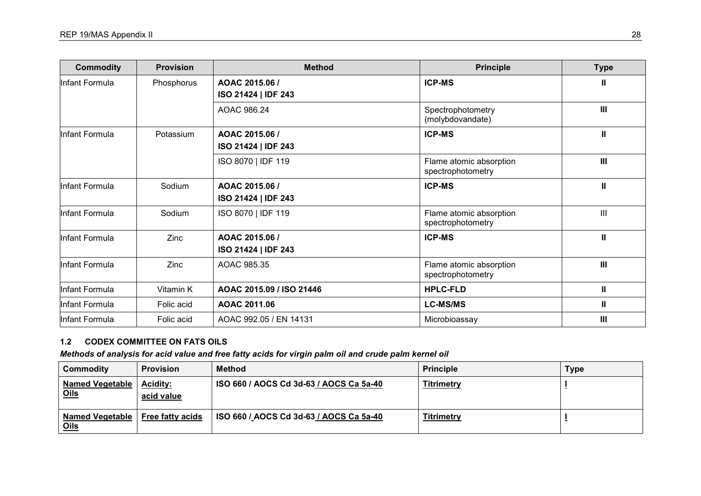| <b>Commodity</b> | <b>Provision</b> | <b>Method</b>                         | <b>Principle</b>                             | <b>Type</b>        |
|------------------|------------------|---------------------------------------|----------------------------------------------|--------------------|
| Infant Formula   | Phosphorus       | AOAC 2015.06 /<br>ISO 21424   IDF 243 | <b>ICP-MS</b>                                | Ш                  |
|                  |                  | AOAC 986.24                           | Spectrophotometry<br>(molybdovandate)        | $\mathbf{III}$     |
| Infant Formula   | Potassium        | AOAC 2015.06 /<br>ISO 21424   IDF 243 | <b>ICP-MS</b>                                | $\mathbf{I}$       |
|                  |                  | ISO 8070   IDF 119                    | Flame atomic absorption<br>spectrophotometry | $\mathbf{III}$     |
| Infant Formula   | Sodium           | AOAC 2015.06 /<br>ISO 21424   IDF 243 | <b>ICP-MS</b>                                | Ш                  |
| Infant Formula   | Sodium           | ISO 8070   IDF 119                    | Flame atomic absorption<br>spectrophotometry | $\mathop{\rm III}$ |
| Infant Formula   | Zinc             | AOAC 2015.06 /<br>ISO 21424   IDF 243 | <b>ICP-MS</b>                                | Ш                  |
| Infant Formula   | Zinc             | AOAC 985.35                           | Flame atomic absorption<br>spectrophotometry | $\mathbf{III}$     |
| Infant Formula   | Vitamin K        | AOAC 2015.09 / ISO 21446              | <b>HPLC-FLD</b>                              | Ш                  |
| Infant Formula   | Folic acid       | AOAC 2011.06                          | <b>LC-MS/MS</b>                              | Ш                  |
| Infant Formula   | Folic acid       | AOAC 992.05 / EN 14131                | Microbioassay                                | $\mathbf{III}$     |

# **1.2 CODEX COMMITTEE ON FATS OILS**

# *Methods of analysis for acid value and free fatty acids for virgin palm oil and crude palm kernel oil*

| Commodity                      | <b>Provision</b>              | <b>Method</b>                           | <b>Principle</b>  | <b>Type</b> |
|--------------------------------|-------------------------------|-----------------------------------------|-------------------|-------------|
| Named Vegetable<br><u>Oils</u> | <b>Acidity:</b><br>acid value | ISO 660 / AOCS Cd 3d-63 / AOCS Ca 5a-40 | <b>Titrimetry</b> |             |
| Named Vegetable<br><u>Oils</u> | <b>Free fatty acids</b>       | ISO 660 / AOCS Cd 3d-63 / AOCS Ca 5a-40 | <b>Titrimetry</b> |             |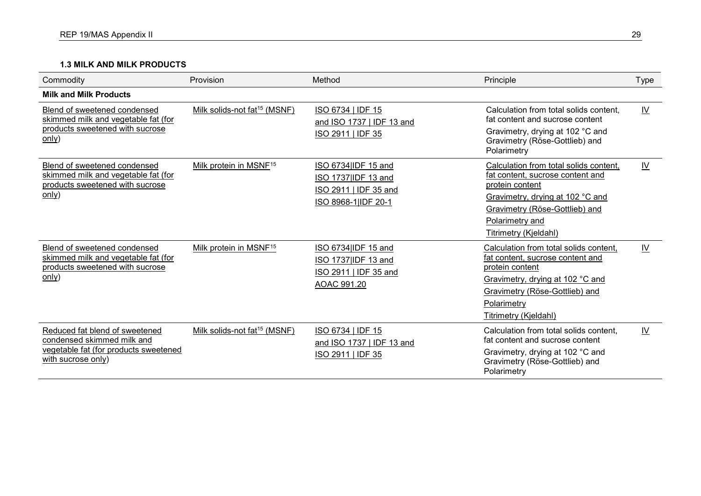# **1.3 MILK AND MILK PRODUCTS**

| Commodity                                                                                                                   | Provision                                | Method                                                                                     | Principle                                                                                                                                                                                                       | <b>Type</b> |
|-----------------------------------------------------------------------------------------------------------------------------|------------------------------------------|--------------------------------------------------------------------------------------------|-----------------------------------------------------------------------------------------------------------------------------------------------------------------------------------------------------------------|-------------|
| <b>Milk and Milk Products</b>                                                                                               |                                          |                                                                                            |                                                                                                                                                                                                                 |             |
| Blend of sweetened condensed<br>skimmed milk and vegetable fat (for<br>products sweetened with sucrose<br>only)             | Milk solids-not fat <sup>15</sup> (MSNF) | ISO 6734   IDF 15<br>and ISO 1737   IDF 13 and<br>ISO 2911   IDF 35                        | Calculation from total solids content,<br>fat content and sucrose content<br>Gravimetry, drying at 102 °C and<br>Gravimetry (Röse-Gottlieb) and<br>Polarimetry                                                  | <u>IV</u>   |
| Blend of sweetened condensed<br>skimmed milk and vegetable fat (for<br>products sweetened with sucrose<br>only)             | Milk protein in MSNF <sup>15</sup>       | ISO 6734 IDF 15 and<br>ISO 1737 IDF 13 and<br>ISO 2911   IDF 35 and<br>ISO 8968-1 IDF 20-1 | Calculation from total solids content,<br>fat content, sucrose content and<br>protein content<br>Gravimetry, drying at 102 °C and<br>Gravimetry (Röse-Gottlieb) and<br>Polarimetry and<br>Titrimetry (Kjeldahl) | IV          |
| Blend of sweetened condensed<br>skimmed milk and vegetable fat (for<br>products sweetened with sucrose<br>only)             | Milk protein in MSNF <sup>15</sup>       | ISO 6734 IDF 15 and<br>ISO 1737 IDF 13 and<br>ISO 2911   IDF 35 and<br>AOAC 991.20         | Calculation from total solids content,<br>fat content, sucrose content and<br>protein content<br>Gravimetry, drying at 102 °C and<br>Gravimetry (Röse-Gottlieb) and<br>Polarimetry<br>Titrimetry (Kjeldahl)     | IV          |
| Reduced fat blend of sweetened<br>condensed skimmed milk and<br>vegetable fat (for products sweetened<br>with sucrose only) | Milk solids-not fat <sup>15</sup> (MSNF) | ISO 6734   IDF 15<br>and ISO 1737   IDF 13 and<br>ISO 2911   IDF 35                        | Calculation from total solids content,<br>fat content and sucrose content<br>Gravimetry, drying at 102 °C and<br>Gravimetry (Röse-Gottlieb) and<br>Polarimetry                                                  | <u>IV</u>   |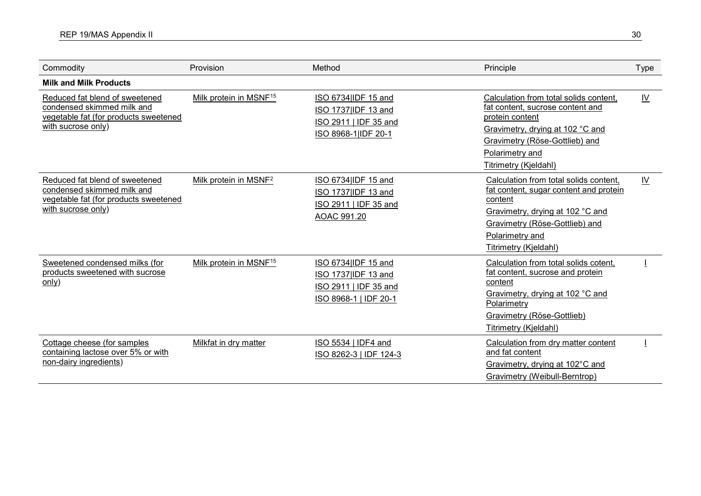| Commodity                                                                                                                   | Provision                          | Method                                                                                       | Principle                                                                                                                                                                                                       | Type                      |
|-----------------------------------------------------------------------------------------------------------------------------|------------------------------------|----------------------------------------------------------------------------------------------|-----------------------------------------------------------------------------------------------------------------------------------------------------------------------------------------------------------------|---------------------------|
| <b>Milk and Milk Products</b>                                                                                               |                                    |                                                                                              |                                                                                                                                                                                                                 |                           |
| Reduced fat blend of sweetened<br>condensed skimmed milk and<br>vegetable fat (for products sweetened<br>with sucrose only) | Milk protein in MSNF <sup>15</sup> | ISO 6734 IDF 15 and<br>ISO 1737 IDF 13 and<br>ISO 2911   IDF 35 and<br>ISO 8968-1 IDF 20-1   | Calculation from total solids content,<br>fat content, sucrose content and<br>protein content<br>Gravimetry, drying at 102 °C and<br>Gravimetry (Röse-Gottlieb) and<br>Polarimetry and<br>Titrimetry (Kjeldahl) | $\underline{\mathsf{IV}}$ |
| Reduced fat blend of sweetened<br>condensed skimmed milk and<br>vegetable fat (for products sweetened<br>with sucrose only) | Milk protein in MSNF <sup>2</sup>  | ISO 6734 IDF 15 and<br>ISO 1737 IDF 13 and<br>ISO 2911   IDF 35 and<br>AOAC 991.20           | Calculation from total solids content,<br>fat content, sugar content and protein<br>content<br>Gravimetry, drying at 102 °C and<br>Gravimetry (Röse-Gottlieb) and<br>Polarimetry and<br>Titrimetry (Kjeldahl)   | $\underline{\mathsf{IV}}$ |
| Sweetened condensed milks (for<br>products sweetened with sucrose<br>only)                                                  | Milk protein in MSNF <sup>15</sup> | ISO 6734 IDF 15 and<br>ISO 1737 IDF 13 and<br>ISO 2911   IDF 35 and<br>ISO 8968-1   IDF 20-1 | Calculation from total solids cotent,<br>fat content, sucrose and protein<br>content<br>Gravimetry, drying at 102 °C and<br>Polarimetry<br>Gravimetry (Röse-Gottlieb)<br><b>Titrimetry (Kjeldahl)</b>           |                           |
| Cottage cheese (for samples<br>containing lactose over 5% or with<br>non-dairy ingredients)                                 | Milkfat in dry matter              | ISO 5534   IDF4 and<br>ISO 8262-3   IDF 124-3                                                | Calculation from dry matter content<br>and fat content<br>Gravimetry, drying at 102°C and<br>Gravimetry (Weibull-Berntrop)                                                                                      |                           |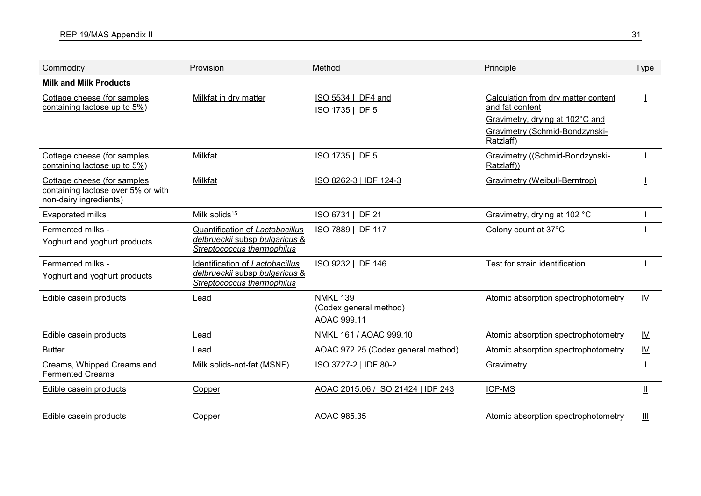| Commodity                                                                                   | Provision                                                                                       | Method                                                   | Principle                                                                                                                                | <b>Type</b>               |
|---------------------------------------------------------------------------------------------|-------------------------------------------------------------------------------------------------|----------------------------------------------------------|------------------------------------------------------------------------------------------------------------------------------------------|---------------------------|
| <b>Milk and Milk Products</b>                                                               |                                                                                                 |                                                          |                                                                                                                                          |                           |
| Cottage cheese (for samples<br>containing lactose up to 5%)                                 | Milkfat in dry matter                                                                           | ISO 5534   IDF4 and<br>ISO 1735   IDF 5                  | Calculation from dry matter content<br>and fat content<br>Gravimetry, drying at 102°C and<br>Gravimetry (Schmid-Bondzynski-<br>Ratzlaff) |                           |
| Cottage cheese (for samples<br>containing lactose up to 5%)                                 | Milkfat                                                                                         | ISO 1735   IDF 5                                         | Gravimetry ((Schmid-Bondzynski-<br>Ratzlaff))                                                                                            |                           |
| Cottage cheese (for samples<br>containing lactose over 5% or with<br>non-dairy ingredients) | Milkfat                                                                                         | ISO 8262-3   IDF 124-3                                   | Gravimetry (Weibull-Berntrop)                                                                                                            |                           |
| <b>Evaporated milks</b>                                                                     | Milk solids <sup>15</sup>                                                                       | ISO 6731   IDF 21                                        | Gravimetry, drying at 102 °C                                                                                                             |                           |
| Fermented milks -<br>Yoghurt and yoghurt products                                           | Quantification of Lactobacillus<br>delbrueckii subsp bulgaricus &<br>Streptococcus thermophilus | ISO 7889   IDF 117                                       | Colony count at 37°C                                                                                                                     |                           |
| Fermented milks -<br>Yoghurt and yoghurt products                                           | Identification of Lactobacillus<br>delbrueckii subsp bulgaricus &<br>Streptococcus thermophilus | ISO 9232   IDF 146                                       | Test for strain identification                                                                                                           |                           |
| Edible casein products                                                                      | Lead                                                                                            | <b>NMKL 139</b><br>(Codex general method)<br>AOAC 999.11 | Atomic absorption spectrophotometry                                                                                                      | IV                        |
| Edible casein products                                                                      | Lead                                                                                            | NMKL 161 / AOAC 999.10                                   | Atomic absorption spectrophotometry                                                                                                      | $\underline{\mathsf{IV}}$ |
| <b>Butter</b>                                                                               | Lead                                                                                            | AOAC 972.25 (Codex general method)                       | Atomic absorption spectrophotometry                                                                                                      | $\underline{\mathsf{IV}}$ |
| Creams, Whipped Creams and<br><b>Fermented Creams</b>                                       | Milk solids-not-fat (MSNF)                                                                      | ISO 3727-2   IDF 80-2                                    | Gravimetry                                                                                                                               |                           |
| Edible casein products                                                                      | Copper                                                                                          | AOAC 2015.06 / ISO 21424   IDF 243                       | ICP-MS                                                                                                                                   | Щ                         |
| Edible casein products                                                                      | Copper                                                                                          | AOAC 985.35                                              | Atomic absorption spectrophotometry                                                                                                      | Ш                         |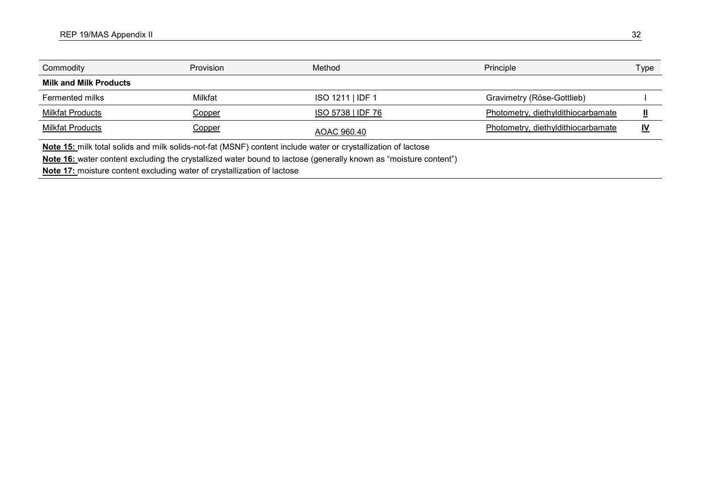| Commodity                     | <b>Provision</b> | Method                                                                                                            | Principle                          | Type      |
|-------------------------------|------------------|-------------------------------------------------------------------------------------------------------------------|------------------------------------|-----------|
| <b>Milk and Milk Products</b> |                  |                                                                                                                   |                                    |           |
| Fermented milks               | Milkfat          | ISO 1211   IDF 1                                                                                                  | Gravimetry (Röse-Gottlieb)         |           |
| <b>Milkfat Products</b>       | <u>Copper</u>    | ISO 5738   IDF 76                                                                                                 | Photometry, diethyldithiocarbamate |           |
| <b>Milkfat Products</b>       | <u>Copper</u>    | AOAC 960.40                                                                                                       | Photometry, diethyldithiocarbamate | <u>IV</u> |
|                               |                  | Alata 4 F. a. 30. tatal and ha 31. and an 31. and 31. (MONIF) and anti-other traded as a smooth Banding of Latern |                                    |           |

**Note 15:** milk total solids and milk solids-not-fat (MSNF) content include water or crystallization of lactose

**Note 16:** water content excluding the crystallized water bound to lactose (generally known as "moisture content")

**Note 17:** moisture content excluding water of crystallization of lactose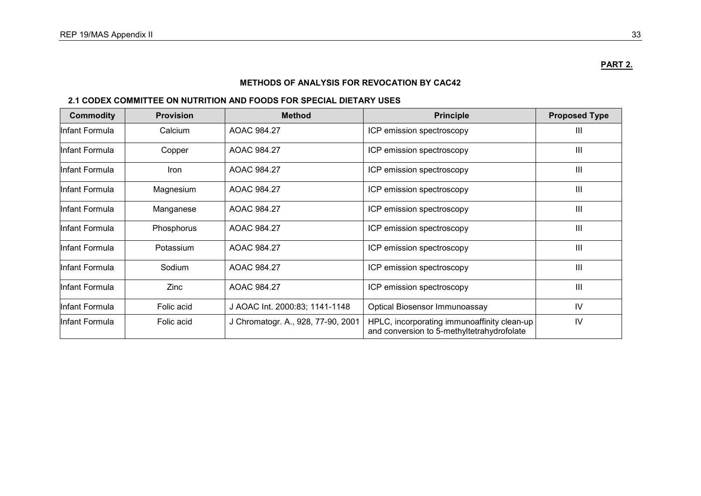# **METHODS OF ANALYSIS FOR REVOCATION BY CAC42**

# **2.1 CODEX COMMITTEE ON NUTRITION AND FOODS FOR SPECIAL DIETARY USES**

| <b>Commodity</b> | <b>Provision</b> | <b>Method</b>                      | <b>Principle</b>                                                                          | <b>Proposed Type</b> |
|------------------|------------------|------------------------------------|-------------------------------------------------------------------------------------------|----------------------|
| Infant Formula   | Calcium          | AOAC 984.27                        | ICP emission spectroscopy                                                                 | $\mathbf{III}$       |
| Infant Formula   | Copper           | AOAC 984.27                        | ICP emission spectroscopy                                                                 | Ш                    |
| Infant Formula   | <b>Iron</b>      | AOAC 984.27                        | ICP emission spectroscopy                                                                 | Ш                    |
| Infant Formula   | Magnesium        | AOAC 984.27                        | ICP emission spectroscopy                                                                 | III                  |
| Infant Formula   | Manganese        | AOAC 984.27                        | ICP emission spectroscopy                                                                 | $\mathbf{III}$       |
| Infant Formula   | Phosphorus       | AOAC 984.27                        | ICP emission spectroscopy                                                                 | $\mathbf{III}$       |
| Infant Formula   | Potassium        | AOAC 984.27                        | ICP emission spectroscopy                                                                 | $\mathbf{III}$       |
| Infant Formula   | Sodium           | AOAC 984.27                        | ICP emission spectroscopy                                                                 | $\mathbf{III}$       |
| Infant Formula   | Zinc             | AOAC 984.27                        | ICP emission spectroscopy                                                                 | $\mathbf{III}$       |
| Infant Formula   | Folic acid       | J AOAC Int. 2000:83; 1141-1148     | <b>Optical Biosensor Immunoassay</b>                                                      | IV                   |
| Infant Formula   | Folic acid       | J Chromatogr. A., 928, 77-90, 2001 | HPLC, incorporating immunoaffinity clean-up<br>and conversion to 5-methyltetrahydrofolate | IV                   |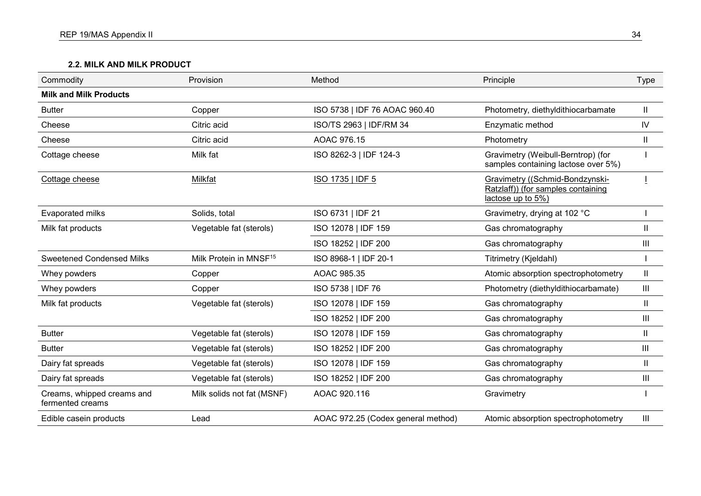# **2.2. MILK AND MILK PRODUCT**

| Commodity                                      | Provision                          | Method                             | Principle                                                                                  | <b>Type</b>    |
|------------------------------------------------|------------------------------------|------------------------------------|--------------------------------------------------------------------------------------------|----------------|
| <b>Milk and Milk Products</b>                  |                                    |                                    |                                                                                            |                |
| <b>Butter</b>                                  | Copper                             | ISO 5738   IDF 76 AOAC 960.40      | Photometry, diethyldithiocarbamate                                                         | Ш              |
| Cheese                                         | Citric acid                        | ISO/TS 2963   IDF/RM 34            | Enzymatic method                                                                           | ${\sf IV}$     |
| Cheese                                         | Citric acid                        | AOAC 976.15                        | Photometry                                                                                 | $\mathbf{II}$  |
| Cottage cheese                                 | Milk fat                           | ISO 8262-3   IDF 124-3             | Gravimetry (Weibull-Berntrop) (for<br>samples containing lactose over 5%)                  |                |
| Cottage cheese                                 | Milkfat                            | <b>ISO 1735   IDF 5</b>            | Gravimetry ((Schmid-Bondzynski-<br>Ratzlaff)) (for samples containing<br>lactose up to 5%) |                |
| Evaporated milks                               | Solids, total                      | ISO 6731   IDF 21                  | Gravimetry, drying at 102 °C                                                               |                |
| Milk fat products                              | Vegetable fat (sterols)            | ISO 12078   IDF 159                | Gas chromatography                                                                         | Ш              |
|                                                |                                    | ISO 18252   IDF 200                | Gas chromatography                                                                         | Ш              |
| <b>Sweetened Condensed Milks</b>               | Milk Protein in MNSF <sup>15</sup> | ISO 8968-1   IDF 20-1              | Titrimetry (Kjeldahl)                                                                      |                |
| Whey powders                                   | Copper                             | AOAC 985.35                        | Atomic absorption spectrophotometry                                                        | $\mathbf{II}$  |
| Whey powders                                   | Copper                             | ISO 5738   IDF 76                  | Photometry (diethyldithiocarbamate)                                                        | $\mathbf{III}$ |
| Milk fat products                              | Vegetable fat (sterols)            | ISO 12078   IDF 159                | Gas chromatography                                                                         | Ш              |
|                                                |                                    | ISO 18252   IDF 200                | Gas chromatography                                                                         | $\  \ $        |
| <b>Butter</b>                                  | Vegetable fat (sterols)            | ISO 12078   IDF 159                | Gas chromatography                                                                         | Ш              |
| <b>Butter</b>                                  | Vegetable fat (sterols)            | ISO 18252   IDF 200                | Gas chromatography                                                                         | Ш              |
| Dairy fat spreads                              | Vegetable fat (sterols)            | ISO 12078   IDF 159                | Gas chromatography                                                                         | $\mathbf{I}$   |
| Dairy fat spreads                              | Vegetable fat (sterols)            | ISO 18252   IDF 200                | Gas chromatography                                                                         | $\  \ $        |
| Creams, whipped creams and<br>fermented creams | Milk solids not fat (MSNF)         | AOAC 920.116                       | Gravimetry                                                                                 |                |
| Edible casein products                         | Lead                               | AOAC 972.25 (Codex general method) | Atomic absorption spectrophotometry                                                        | $\  \ $        |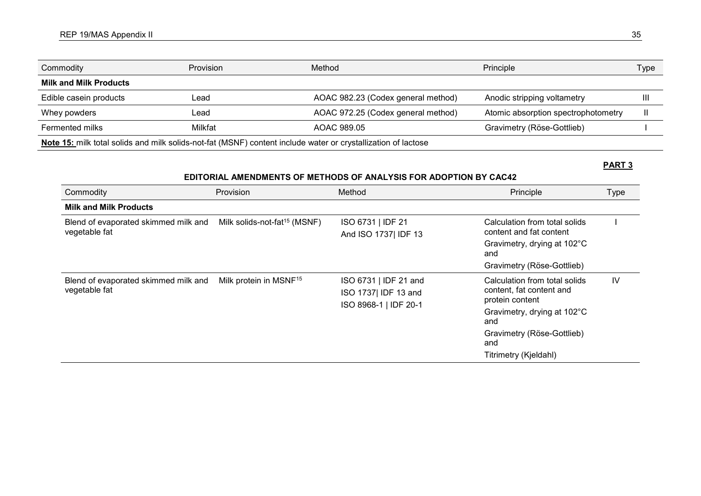| Commodity                                                                                                     | <b>Provision</b> | Method                             | Principle                           | Type |
|---------------------------------------------------------------------------------------------------------------|------------------|------------------------------------|-------------------------------------|------|
| <b>Milk and Milk Products</b>                                                                                 |                  |                                    |                                     |      |
| Edible casein products                                                                                        | Lead             | AOAC 982.23 (Codex general method) | Anodic stripping voltametry         |      |
| Whey powders                                                                                                  | _ead.            | AOAC 972.25 (Codex general method) | Atomic absorption spectrophotometry |      |
| Fermented milks                                                                                               | Milkfat          | AOAC 989.05                        | Gravimetry (Röse-Gottlieb)          |      |
| Note 15: milk total solids and milk solids-not-fat (MSNF) content include water or crystallization of lactose |                  |                                    |                                     |      |

# **PART 3**

# **EDITORIAL AMENDMENTS OF METHODS OF ANALYSIS FOR ADOPTION BY CAC42**

| Commodity                                             | Provision                                | Method                                                                | Principle                                                                    | <b>Type</b> |
|-------------------------------------------------------|------------------------------------------|-----------------------------------------------------------------------|------------------------------------------------------------------------------|-------------|
| <b>Milk and Milk Products</b>                         |                                          |                                                                       |                                                                              |             |
| Blend of evaporated skimmed milk and<br>vegetable fat | Milk solids-not-fat <sup>15</sup> (MSNF) | ISO 6731   IDF 21<br>And ISO 1737 IDF 13                              | Calculation from total solids<br>content and fat content                     |             |
|                                                       |                                          |                                                                       | Gravimetry, drying at 102°C<br>and                                           |             |
|                                                       |                                          |                                                                       | Gravimetry (Röse-Gottlieb)                                                   |             |
| Blend of evaporated skimmed milk and<br>vegetable fat | Milk protein in MSNF <sup>15</sup>       | ISO 6731   IDF 21 and<br>ISO 1737 IDF 13 and<br>ISO 8968-1   IDF 20-1 | Calculation from total solids<br>content, fat content and<br>protein content | IV          |
|                                                       |                                          |                                                                       | Gravimetry, drying at 102°C<br>and                                           |             |
|                                                       |                                          |                                                                       | Gravimetry (Röse-Gottlieb)<br>and                                            |             |
|                                                       |                                          |                                                                       | Titrimetry (Kjeldahl)                                                        |             |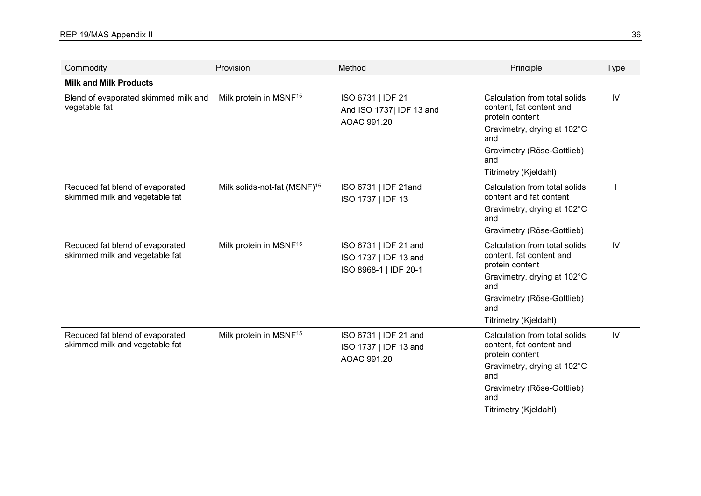| Commodity                                                         | Provision                                | Method                                                        | Principle                                                                                                          | <b>Type</b> |
|-------------------------------------------------------------------|------------------------------------------|---------------------------------------------------------------|--------------------------------------------------------------------------------------------------------------------|-------------|
| <b>Milk and Milk Products</b>                                     |                                          |                                                               |                                                                                                                    |             |
| Blend of evaporated skimmed milk and<br>vegetable fat             | Milk protein in MSNF <sup>15</sup>       | ISO 6731   IDF 21<br>And ISO 1737  IDF 13 and<br>AOAC 991.20  | Calculation from total solids<br>content, fat content and<br>protein content<br>Gravimetry, drying at 102°C<br>and | IV          |
|                                                                   |                                          |                                                               | Gravimetry (Röse-Gottlieb)<br>and                                                                                  |             |
|                                                                   |                                          |                                                               | Titrimetry (Kjeldahl)                                                                                              |             |
| Reduced fat blend of evaporated<br>skimmed milk and vegetable fat | Milk solids-not-fat (MSNF) <sup>15</sup> | ISO 6731   IDF 21and<br>ISO 1737   IDF 13                     | Calculation from total solids<br>content and fat content                                                           |             |
|                                                                   |                                          |                                                               | Gravimetry, drying at 102°C<br>and                                                                                 |             |
|                                                                   |                                          |                                                               | Gravimetry (Röse-Gottlieb)                                                                                         |             |
| Reduced fat blend of evaporated<br>skimmed milk and vegetable fat | Milk protein in MSNF <sup>15</sup>       | ISO 6731   IDF 21 and<br>ISO 1737   IDF 13 and                | Calculation from total solids<br>content, fat content and<br>protein content                                       | IV          |
|                                                                   |                                          | ISO 8968-1   IDF 20-1                                         | Gravimetry, drying at 102°C<br>and                                                                                 |             |
|                                                                   |                                          |                                                               | Gravimetry (Röse-Gottlieb)<br>and                                                                                  |             |
|                                                                   |                                          |                                                               | Titrimetry (Kjeldahl)                                                                                              |             |
| Reduced fat blend of evaporated<br>skimmed milk and vegetable fat | Milk protein in MSNF <sup>15</sup>       | ISO 6731   IDF 21 and<br>ISO 1737   IDF 13 and<br>AOAC 991.20 | Calculation from total solids<br>content, fat content and<br>protein content                                       | IV          |
|                                                                   |                                          |                                                               | Gravimetry, drying at 102°C<br>and                                                                                 |             |
|                                                                   |                                          |                                                               | Gravimetry (Röse-Gottlieb)<br>and                                                                                  |             |
|                                                                   |                                          |                                                               | Titrimetry (Kjeldahl)                                                                                              |             |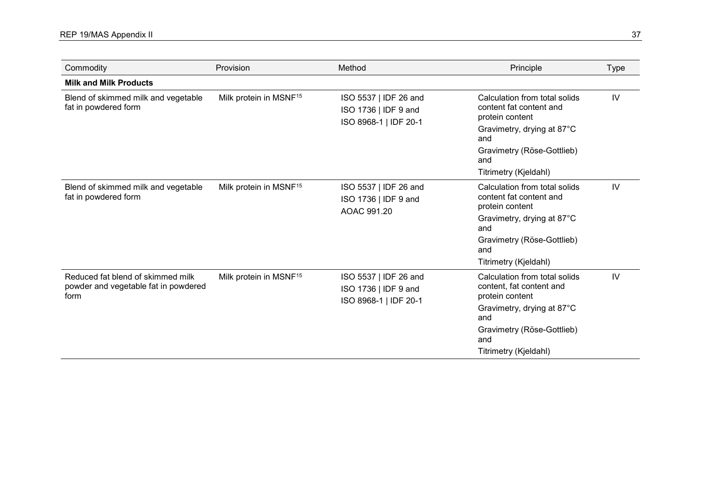| Commodity                                                                         | Provision                          | Method                                                                 | Principle                                                                                                                                                                       | <b>Type</b> |
|-----------------------------------------------------------------------------------|------------------------------------|------------------------------------------------------------------------|---------------------------------------------------------------------------------------------------------------------------------------------------------------------------------|-------------|
| <b>Milk and Milk Products</b>                                                     |                                    |                                                                        |                                                                                                                                                                                 |             |
| Blend of skimmed milk and vegetable<br>fat in powdered form                       | Milk protein in MSNF <sup>15</sup> | ISO 5537   IDF 26 and<br>ISO 1736   IDF 9 and<br>ISO 8968-1   IDF 20-1 | Calculation from total solids<br>content fat content and<br>protein content<br>Gravimetry, drying at 87°C<br>and<br>Gravimetry (Röse-Gottlieb)<br>and<br>Titrimetry (Kjeldahl)  | IV          |
| Blend of skimmed milk and vegetable<br>fat in powdered form                       | Milk protein in MSNF <sup>15</sup> | ISO 5537   IDF 26 and<br>ISO 1736   IDF 9 and<br>AOAC 991.20           | Calculation from total solids<br>content fat content and<br>protein content<br>Gravimetry, drying at 87°C<br>and<br>Gravimetry (Röse-Gottlieb)<br>and<br>Titrimetry (Kjeldahl)  | IV          |
| Reduced fat blend of skimmed milk<br>powder and vegetable fat in powdered<br>form | Milk protein in MSNF <sup>15</sup> | ISO 5537   IDF 26 and<br>ISO 1736   IDF 9 and<br>ISO 8968-1   IDF 20-1 | Calculation from total solids<br>content, fat content and<br>protein content<br>Gravimetry, drying at 87°C<br>and<br>Gravimetry (Röse-Gottlieb)<br>and<br>Titrimetry (Kjeldahl) | IV          |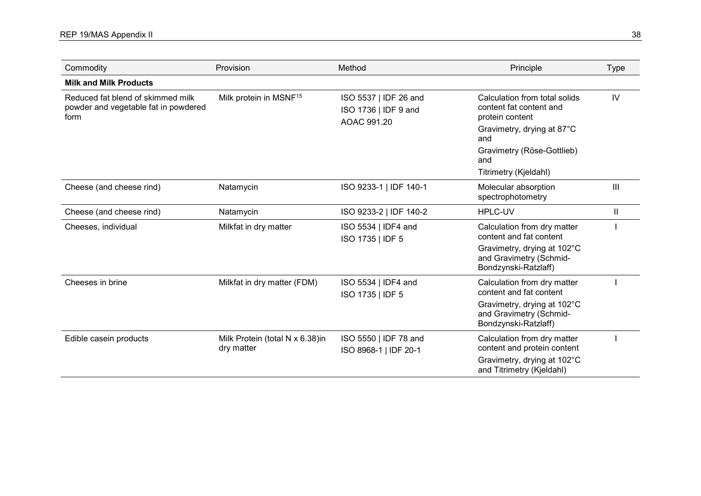| Commodity                                                                         | Provision                                     | Method                                                       | Principle                                                                                                        | <b>Type</b>  |
|-----------------------------------------------------------------------------------|-----------------------------------------------|--------------------------------------------------------------|------------------------------------------------------------------------------------------------------------------|--------------|
| <b>Milk and Milk Products</b>                                                     |                                               |                                                              |                                                                                                                  |              |
| Reduced fat blend of skimmed milk<br>powder and vegetable fat in powdered<br>form | Milk protein in MSNF <sup>15</sup>            | ISO 5537   IDF 26 and<br>ISO 1736   IDF 9 and<br>AOAC 991.20 | Calculation from total solids<br>content fat content and<br>protein content<br>Gravimetry, drying at 87°C<br>and | IV           |
|                                                                                   |                                               |                                                              | Gravimetry (Röse-Gottlieb)<br>and                                                                                |              |
|                                                                                   |                                               |                                                              | Titrimetry (Kjeldahl)                                                                                            |              |
| Cheese (and cheese rind)                                                          | Natamycin                                     | ISO 9233-1   IDF 140-1                                       | Molecular absorption<br>spectrophotometry                                                                        | Ш            |
| Cheese (and cheese rind)                                                          | Natamycin                                     | ISO 9233-2   IDF 140-2                                       | <b>HPLC-UV</b>                                                                                                   | $\mathbf{H}$ |
| Cheeses, individual                                                               | Milkfat in dry matter                         | ISO 5534   IDF4 and<br>ISO 1735   IDF 5                      | Calculation from dry matter<br>content and fat content                                                           |              |
|                                                                                   |                                               |                                                              | Gravimetry, drying at 102°C<br>and Gravimetry (Schmid-<br>Bondzynski-Ratzlaff)                                   |              |
| Cheeses in brine                                                                  | Milkfat in dry matter (FDM)                   | ISO 5534   IDF4 and<br>ISO 1735   IDF 5                      | Calculation from dry matter<br>content and fat content                                                           |              |
|                                                                                   |                                               |                                                              | Gravimetry, drying at 102°C<br>and Gravimetry (Schmid-<br>Bondzynski-Ratzlaff)                                   |              |
| Edible casein products                                                            | Milk Protein (total N x 6.38)in<br>dry matter | ISO 5550   IDF 78 and<br>ISO 8968-1   IDF 20-1               | Calculation from dry matter<br>content and protein content                                                       |              |
|                                                                                   |                                               |                                                              | Gravimetry, drying at 102°C<br>and Titrimetry (Kjeldahl)                                                         |              |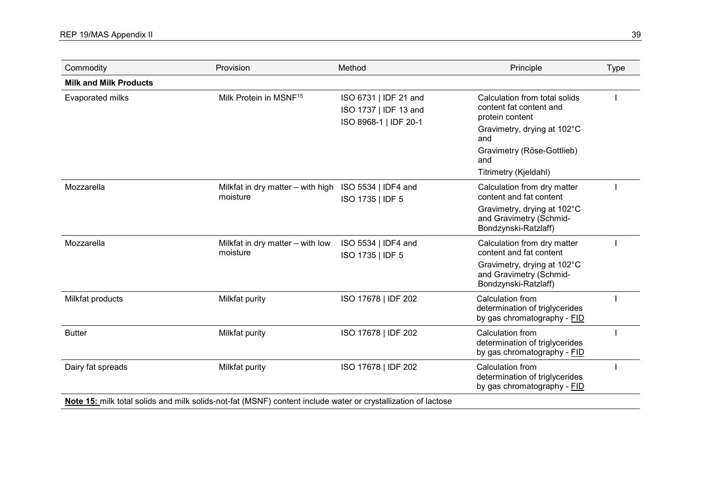| Commodity                     | Provision                                                                                                     | Method                                                                  | Principle                                                                                                                                                                       | <b>Type</b> |
|-------------------------------|---------------------------------------------------------------------------------------------------------------|-------------------------------------------------------------------------|---------------------------------------------------------------------------------------------------------------------------------------------------------------------------------|-------------|
| <b>Milk and Milk Products</b> |                                                                                                               |                                                                         |                                                                                                                                                                                 |             |
| <b>Evaporated milks</b>       | Milk Protein in MSNF <sup>15</sup>                                                                            | ISO 6731   IDF 21 and<br>ISO 1737   IDF 13 and<br>ISO 8968-1   IDF 20-1 | Calculation from total solids<br>content fat content and<br>protein content<br>Gravimetry, drying at 102°C<br>and<br>Gravimetry (Röse-Gottlieb)<br>and<br>Titrimetry (Kjeldahl) |             |
| Mozzarella                    | Milkfat in dry matter - with high ISO 5534   IDF4 and<br>moisture                                             | ISO 1735   IDF 5                                                        | Calculation from dry matter<br>content and fat content<br>Gravimetry, drying at 102°C<br>and Gravimetry (Schmid-<br>Bondzynski-Ratzlaff)                                        |             |
| Mozzarella                    | Milkfat in dry matter - with low<br>moisture                                                                  | ISO 5534   IDF4 and<br>ISO 1735   IDF 5                                 | Calculation from dry matter<br>content and fat content<br>Gravimetry, drying at 102°C<br>and Gravimetry (Schmid-<br>Bondzynski-Ratzlaff)                                        |             |
| Milkfat products              | Milkfat purity                                                                                                | ISO 17678   IDF 202                                                     | Calculation from<br>determination of triglycerides<br>by gas chromatography - FID                                                                                               |             |
| <b>Butter</b>                 | Milkfat purity                                                                                                | ISO 17678   IDF 202                                                     | Calculation from<br>determination of triglycerides<br>by gas chromatography - FID                                                                                               |             |
| Dairy fat spreads             | Milkfat purity                                                                                                | ISO 17678   IDF 202                                                     | Calculation from<br>determination of triglycerides<br>by gas chromatography - FID                                                                                               |             |
|                               | Note 15: milk total solids and milk solids-not-fat (MSNF) content include water or crystallization of lactose |                                                                         |                                                                                                                                                                                 |             |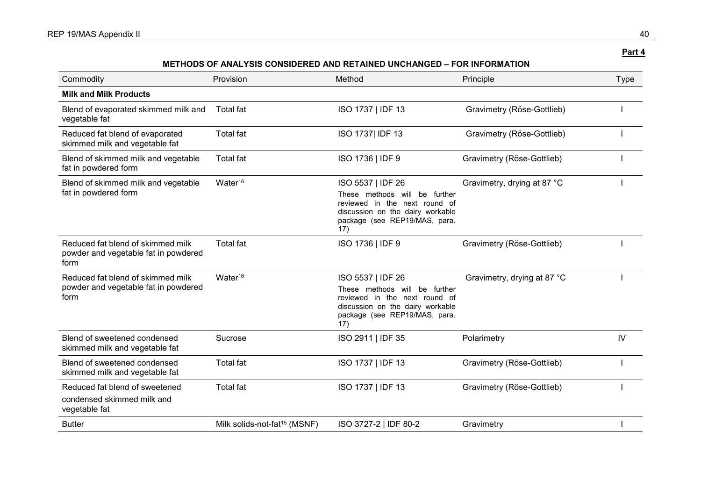| Commodity                                                                         | Provision                                | Method                                                                                                                                                             | Principle                   | <b>Type</b> |
|-----------------------------------------------------------------------------------|------------------------------------------|--------------------------------------------------------------------------------------------------------------------------------------------------------------------|-----------------------------|-------------|
| <b>Milk and Milk Products</b>                                                     |                                          |                                                                                                                                                                    |                             |             |
| Blend of evaporated skimmed milk and<br>vegetable fat                             | <b>Total fat</b>                         | ISO 1737   IDF 13                                                                                                                                                  | Gravimetry (Röse-Gottlieb)  |             |
| Reduced fat blend of evaporated<br>skimmed milk and vegetable fat                 | <b>Total fat</b>                         | ISO 1737 IDF 13                                                                                                                                                    | Gravimetry (Röse-Gottlieb)  |             |
| Blend of skimmed milk and vegetable<br>fat in powdered form                       | <b>Total fat</b>                         | ISO 1736   IDF 9                                                                                                                                                   | Gravimetry (Röse-Gottlieb)  |             |
| Blend of skimmed milk and vegetable<br>fat in powdered form                       | Water $16$                               | ISO 5537   IDF 26<br>These methods will<br>be further<br>reviewed in the next round of<br>discussion on the dairy workable<br>package (see REP19/MAS, para.<br>17) | Gravimetry, drying at 87 °C |             |
| Reduced fat blend of skimmed milk<br>powder and vegetable fat in powdered<br>form | <b>Total fat</b>                         | ISO 1736   IDF 9                                                                                                                                                   | Gravimetry (Röse-Gottlieb)  |             |
| Reduced fat blend of skimmed milk<br>powder and vegetable fat in powdered<br>form | Water $16$                               | ISO 5537   IDF 26<br>These methods will<br>be further<br>reviewed in the next round of<br>discussion on the dairy workable<br>package (see REP19/MAS, para.<br>17) | Gravimetry, drying at 87 °C |             |
| Blend of sweetened condensed<br>skimmed milk and vegetable fat                    | Sucrose                                  | ISO 2911   IDF 35                                                                                                                                                  | Polarimetry                 | IV          |
| Blend of sweetened condensed<br>skimmed milk and vegetable fat                    | <b>Total fat</b>                         | ISO 1737   IDF 13                                                                                                                                                  | Gravimetry (Röse-Gottlieb)  |             |
| Reduced fat blend of sweetened<br>condensed skimmed milk and<br>vegetable fat     | <b>Total fat</b>                         | ISO 1737   IDF 13                                                                                                                                                  | Gravimetry (Röse-Gottlieb)  |             |
| <b>Butter</b>                                                                     | Milk solids-not-fat <sup>15</sup> (MSNF) | ISO 3727-2   IDF 80-2                                                                                                                                              | Gravimetry                  |             |

**METHODS OF ANALYSIS CONSIDERED AND RETAINED UNCHANGED – FOR INFORMATION**

**Part 4**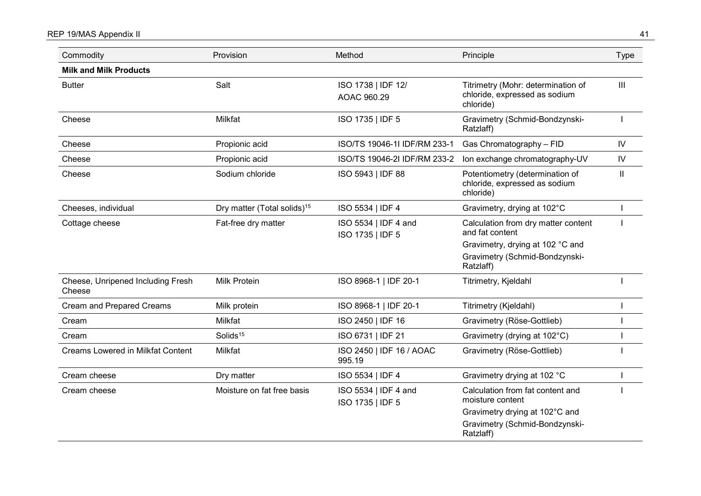# REP 19/MAS Appendix II 41

| Commodity                                   | Provision                               | Method                                   | Principle                                                                        | <b>Type</b>    |
|---------------------------------------------|-----------------------------------------|------------------------------------------|----------------------------------------------------------------------------------|----------------|
| <b>Milk and Milk Products</b>               |                                         |                                          |                                                                                  |                |
| <b>Butter</b>                               | Salt                                    | ISO 1738   IDF 12/<br>AOAC 960.29        | Titrimetry (Mohr: determination of<br>chloride, expressed as sodium<br>chloride) | $\mathbf{III}$ |
| Cheese                                      | Milkfat                                 | ISO 1735   IDF 5                         | Gravimetry (Schmid-Bondzynski-<br>Ratzlaff)                                      |                |
| Cheese                                      | Propionic acid                          | ISO/TS 19046-1I IDF/RM 233-1             | Gas Chromatography - FID                                                         | ${\sf IV}$     |
| Cheese                                      | Propionic acid                          | ISO/TS 19046-2I IDF/RM 233-2             | Ion exchange chromatography-UV                                                   | ${\sf IV}$     |
| Cheese                                      | Sodium chloride                         | ISO 5943   IDF 88                        | Potentiometry (determination of<br>chloride, expressed as sodium<br>chloride)    | $\mathbf{II}$  |
| Cheeses, individual                         | Dry matter (Total solids) <sup>15</sup> | ISO 5534   IDF 4                         | Gravimetry, drying at 102°C                                                      |                |
| Cottage cheese                              | Fat-free dry matter                     | ISO 5534   IDF 4 and<br>ISO 1735   IDF 5 | Calculation from dry matter content<br>and fat content                           |                |
|                                             |                                         |                                          | Gravimetry, drying at 102 °C and<br>Gravimetry (Schmid-Bondzynski-<br>Ratzlaff)  |                |
| Cheese, Unripened Including Fresh<br>Cheese | <b>Milk Protein</b>                     | ISO 8968-1   IDF 20-1                    | Titrimetry, Kjeldahl                                                             |                |
| <b>Cream and Prepared Creams</b>            | Milk protein                            | ISO 8968-1   IDF 20-1                    | Titrimetry (Kjeldahl)                                                            |                |
| Cream                                       | Milkfat                                 | ISO 2450   IDF 16                        | Gravimetry (Röse-Gottlieb)                                                       |                |
| Cream                                       | Solids <sup>15</sup>                    | ISO 6731   IDF 21                        | Gravimetry (drying at 102°C)                                                     |                |
| <b>Creams Lowered in Milkfat Content</b>    | Milkfat                                 | ISO 2450   IDF 16 / AOAC<br>995.19       | Gravimetry (Röse-Gottlieb)                                                       |                |
| Cream cheese                                | Dry matter                              | ISO 5534   IDF 4                         | Gravimetry drying at 102 °C                                                      |                |
| Cream cheese                                | Moisture on fat free basis              | ISO 5534   IDF 4 and<br>ISO 1735   IDF 5 | Calculation from fat content and<br>moisture content                             |                |
|                                             |                                         |                                          | Gravimetry drying at 102°C and                                                   |                |
|                                             |                                         |                                          | Gravimetry (Schmid-Bondzynski-<br>Ratzlaff)                                      |                |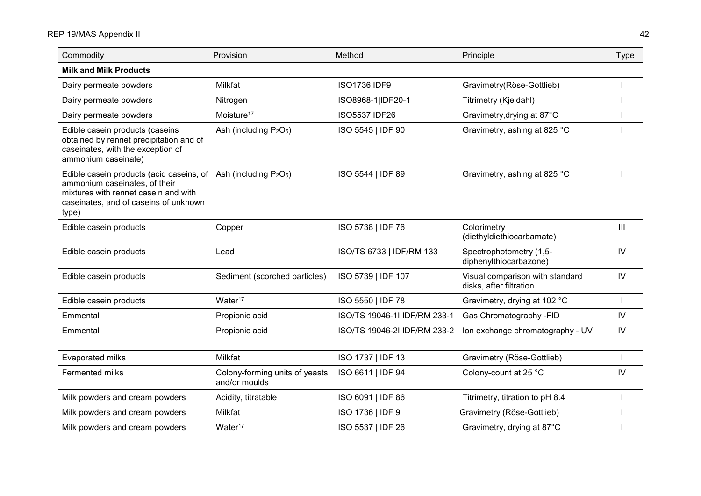# REP 19/MAS Appendix II 42

| Commodity                                                                                                                                                                                     | Provision                                       | Method                       | Principle                                                  | <b>Type</b>   |
|-----------------------------------------------------------------------------------------------------------------------------------------------------------------------------------------------|-------------------------------------------------|------------------------------|------------------------------------------------------------|---------------|
| <b>Milk and Milk Products</b>                                                                                                                                                                 |                                                 |                              |                                                            |               |
| Dairy permeate powders                                                                                                                                                                        | Milkfat                                         | ISO1736 IDF9                 | Gravimetry(Röse-Gottlieb)                                  |               |
| Dairy permeate powders                                                                                                                                                                        | Nitrogen                                        | ISO8968-1 IDF20-1            | Titrimetry (Kjeldahl)                                      |               |
| Dairy permeate powders                                                                                                                                                                        | Moisture <sup>17</sup>                          | ISO5537 IDF26                | Gravimetry, drying at 87°C                                 |               |
| Edible casein products (caseins<br>obtained by rennet precipitation and of<br>caseinates, with the exception of<br>ammonium caseinate)                                                        | Ash (including $P_2O_5$ )                       | ISO 5545   IDF 90            | Gravimetry, ashing at 825 °C                               |               |
| Edible casein products (acid caseins, of Ash (including $P_2O_5$ )<br>ammonium caseinates, of their<br>mixtures with rennet casein and with<br>caseinates, and of caseins of unknown<br>type) |                                                 | ISO 5544   IDF 89            | Gravimetry, ashing at 825 °C                               |               |
| Edible casein products                                                                                                                                                                        | Copper                                          | ISO 5738   IDF 76            | Colorimetry<br>(diethyldiethiocarbamate)                   | III           |
| Edible casein products                                                                                                                                                                        | Lead                                            | ISO/TS 6733   IDF/RM 133     | Spectrophotometry (1,5-<br>diphenylthiocarbazone)          | ${\sf IV}$    |
| Edible casein products                                                                                                                                                                        | Sediment (scorched particles)                   | ISO 5739   IDF 107           | Visual comparison with standard<br>disks, after filtration | IV            |
| Edible casein products                                                                                                                                                                        | Water <sup>17</sup>                             | ISO 5550   IDF 78            | Gravimetry, drying at 102 °C                               |               |
| Emmental                                                                                                                                                                                      | Propionic acid                                  | ISO/TS 19046-1I IDF/RM 233-1 | Gas Chromatography -FID                                    | IV            |
| Emmental                                                                                                                                                                                      | Propionic acid                                  | ISO/TS 19046-2I IDF/RM 233-2 | Ion exchange chromatography - UV                           | IV            |
| Evaporated milks                                                                                                                                                                              | Milkfat                                         | ISO 1737   IDF 13            | Gravimetry (Röse-Gottlieb)                                 |               |
| Fermented milks                                                                                                                                                                               | Colony-forming units of yeasts<br>and/or moulds | ISO 6611   IDF 94            | Colony-count at 25 °C                                      | $\mathsf{IV}$ |
| Milk powders and cream powders                                                                                                                                                                | Acidity, titratable                             | ISO 6091   IDF 86            | Titrimetry, titration to pH 8.4                            |               |
| Milk powders and cream powders                                                                                                                                                                | Milkfat                                         | ISO 1736   IDF 9             | Gravimetry (Röse-Gottlieb)                                 |               |
| Milk powders and cream powders                                                                                                                                                                | Water <sup>17</sup>                             | ISO 5537   IDF 26            | Gravimetry, drying at 87°C                                 |               |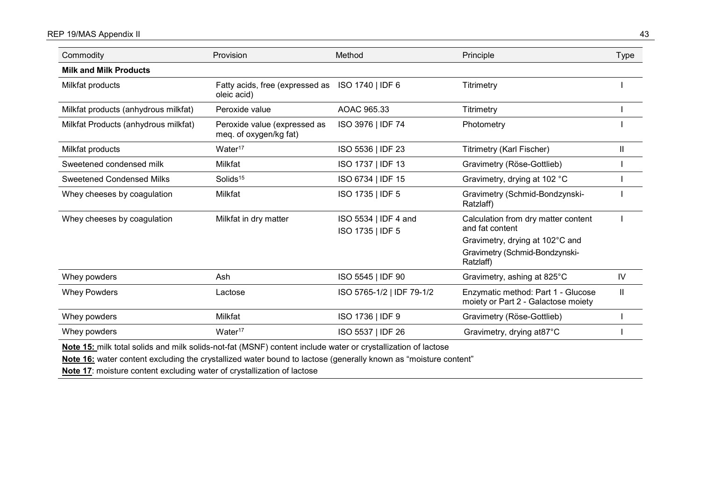# REP 19/MAS Appendix II 43

| Commodity                                                                                                     | Provision                                                       | Method                                   | Principle                                                                 | Type         |
|---------------------------------------------------------------------------------------------------------------|-----------------------------------------------------------------|------------------------------------------|---------------------------------------------------------------------------|--------------|
| <b>Milk and Milk Products</b>                                                                                 |                                                                 |                                          |                                                                           |              |
| Milkfat products                                                                                              | Fatty acids, free (expressed as ISO 1740   IDF 6<br>oleic acid) |                                          | Titrimetry                                                                |              |
| Milkfat products (anhydrous milkfat)                                                                          | Peroxide value                                                  | AOAC 965.33                              | <b>Titrimetry</b>                                                         |              |
| Milkfat Products (anhydrous milkfat)                                                                          | Peroxide value (expressed as<br>meq. of oxygen/kg fat)          | ISO 3976   IDF 74                        | Photometry                                                                |              |
| Milkfat products                                                                                              | Water <sup>17</sup>                                             | ISO 5536   IDF 23                        | Titrimetry (Karl Fischer)                                                 | Ш            |
| Sweetened condensed milk                                                                                      | Milkfat                                                         | ISO 1737   IDF 13                        | Gravimetry (Röse-Gottlieb)                                                |              |
| <b>Sweetened Condensed Milks</b>                                                                              | Solids <sup>15</sup>                                            | ISO 6734   IDF 15                        | Gravimetry, drying at 102 °C                                              |              |
| Whey cheeses by coagulation                                                                                   | Milkfat                                                         | ISO 1735   IDF 5                         | Gravimetry (Schmid-Bondzynski-<br>Ratzlaff)                               |              |
| Whey cheeses by coagulation                                                                                   | Milkfat in dry matter                                           | ISO 5534   IDF 4 and<br>ISO 1735   IDF 5 | Calculation from dry matter content<br>and fat content                    |              |
|                                                                                                               |                                                                 |                                          | Gravimetry, drying at 102°C and                                           |              |
|                                                                                                               |                                                                 |                                          | Gravimetry (Schmid-Bondzynski-<br>Ratzlaff)                               |              |
| Whey powders                                                                                                  | Ash                                                             | ISO 5545   IDF 90                        | Gravimetry, ashing at 825°C                                               | IV           |
| <b>Whey Powders</b>                                                                                           | Lactose                                                         | ISO 5765-1/2   IDF 79-1/2                | Enzymatic method: Part 1 - Glucose<br>moiety or Part 2 - Galactose moiety | $\mathbf{H}$ |
| Whey powders                                                                                                  | Milkfat                                                         | ISO 1736   IDF 9                         | Gravimetry (Röse-Gottlieb)                                                |              |
| Whey powders                                                                                                  | Water <sup>17</sup>                                             | ISO 5537   IDF 26                        | Gravimetry, drying at87°C                                                 |              |
| Note 15; milk total solids and milk solids-not-fat (MSNE) content include water or crystallization of lactose |                                                                 |                                          |                                                                           |              |

**Note 15:** milk total solids and milk solids-not-fat (MSNF) content include water or crystallization of lactose

**Note 16:** water content excluding the crystallized water bound to lactose (generally known as "moisture content"

**Note 17**: moisture content excluding water of crystallization of lactose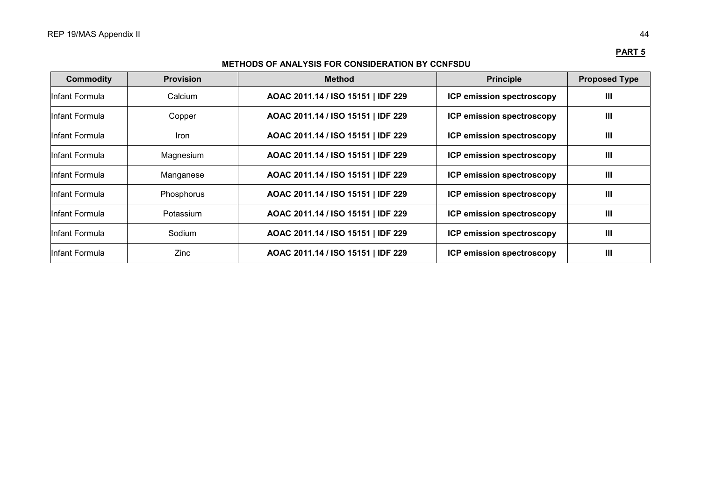# **PART 5**

# **METHODS OF ANALYSIS FOR CONSIDERATION BY CCNFSDU**

| <b>Commodity</b> | <b>Provision</b> | <b>Method</b>                      | <b>Principle</b>          | <b>Proposed Type</b> |
|------------------|------------------|------------------------------------|---------------------------|----------------------|
| llnfant Formula  | Calcium          | AOAC 2011.14 / ISO 15151   IDF 229 | ICP emission spectroscopy | $\mathbf{m}$         |
| Infant Formula   | Copper           | AOAC 2011.14 / ISO 15151   IDF 229 | ICP emission spectroscopy | $\mathbf{III}$       |
| Infant Formula   | <b>Iron</b>      | AOAC 2011.14 / ISO 15151   IDF 229 | ICP emission spectroscopy | Ш                    |
| Infant Formula   | Magnesium        | AOAC 2011.14 / ISO 15151   IDF 229 | ICP emission spectroscopy | $\mathbf{III}$       |
| Infant Formula.  | Manganese        | AOAC 2011.14 / ISO 15151   IDF 229 | ICP emission spectroscopy | $\mathbf{III}$       |
| Infant Formula   | Phosphorus       | AOAC 2011.14 / ISO 15151   IDF 229 | ICP emission spectroscopy | Ш                    |
| Infant Formula   | Potassium        | AOAC 2011.14 / ISO 15151   IDF 229 | ICP emission spectroscopy | Ш                    |
| Infant Formula.  | Sodium           | AOAC 2011.14 / ISO 15151   IDF 229 | ICP emission spectroscopy | $\mathbf{III}$       |
| Infant Formula   | Zinc             | AOAC 2011.14 / ISO 15151   IDF 229 | ICP emission spectroscopy | $\mathbf{III}$       |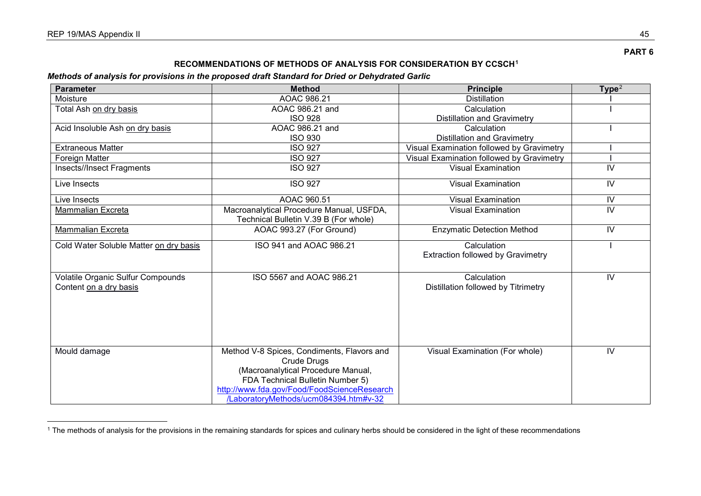$\overline{a}$ 

# <span id="page-49-1"></span><span id="page-49-0"></span>**RECOMMENDATIONS OF METHODS OF ANALYSIS FOR CONSIDERATION BY CCSCH[1](#page-49-0)**

# *Methods of analysis for provisions in the proposed draft Standard for Dried or Dehydrated Garlic*

| <b>Parameter</b>                       | <b>Method</b>                               | <b>Principle</b>                          | Type <sup>2</sup> |
|----------------------------------------|---------------------------------------------|-------------------------------------------|-------------------|
| Moisture                               | AOAC 986.21                                 | <b>Distillation</b>                       |                   |
| Total Ash on dry basis                 | AOAC 986.21 and                             | Calculation                               |                   |
|                                        | <b>ISO 928</b>                              | <b>Distillation and Gravimetry</b>        |                   |
| Acid Insoluble Ash on dry basis        | AOAC 986.21 and                             | Calculation                               |                   |
|                                        | <b>ISO 930</b>                              | <b>Distillation and Gravimetry</b>        |                   |
| <b>Extraneous Matter</b>               | <b>ISO 927</b>                              | Visual Examination followed by Gravimetry |                   |
| <b>Foreign Matter</b>                  | <b>ISO 927</b>                              | Visual Examination followed by Gravimetry |                   |
| Insects//Insect Fragments              | <b>ISO 927</b>                              | <b>Visual Examination</b>                 | IV                |
| Live Insects                           | <b>ISO 927</b>                              | <b>Visual Examination</b>                 | IV                |
| Live Insects                           | AOAC 960.51                                 | <b>Visual Examination</b>                 | IV                |
| Mammalian Excreta                      | Macroanalytical Procedure Manual, USFDA,    | <b>Visual Examination</b>                 | IV                |
|                                        | Technical Bulletin V.39 B (For whole)       |                                           |                   |
| Mammalian Excreta                      | AOAC 993.27 (For Ground)                    | <b>Enzymatic Detection Method</b>         | IV                |
| Cold Water Soluble Matter on dry basis | ISO 941 and AOAC 986.21                     | Calculation                               |                   |
|                                        |                                             | <b>Extraction followed by Gravimetry</b>  |                   |
| Volatile Organic Sulfur Compounds      | ISO 5567 and AOAC 986.21                    | Calculation                               | IV                |
| Content on a dry basis                 |                                             | Distillation followed by Titrimetry       |                   |
|                                        |                                             |                                           |                   |
|                                        |                                             |                                           |                   |
|                                        |                                             |                                           |                   |
|                                        |                                             |                                           |                   |
|                                        |                                             |                                           |                   |
|                                        |                                             |                                           |                   |
| Mould damage                           | Method V-8 Spices, Condiments, Flavors and  | Visual Examination (For whole)            | IV                |
|                                        | <b>Crude Drugs</b>                          |                                           |                   |
|                                        | (Macroanalytical Procedure Manual,          |                                           |                   |
|                                        | FDA Technical Bulletin Number 5)            |                                           |                   |
|                                        | http://www.fda.gov/Food/FoodScienceResearch |                                           |                   |
|                                        | /LaboratoryMethods/ucm084394.htm#v-32       |                                           |                   |

 $^1$  The methods of analysis for the provisions in the remaining standards for spices and culinary herbs should be considered in the light of these recommendations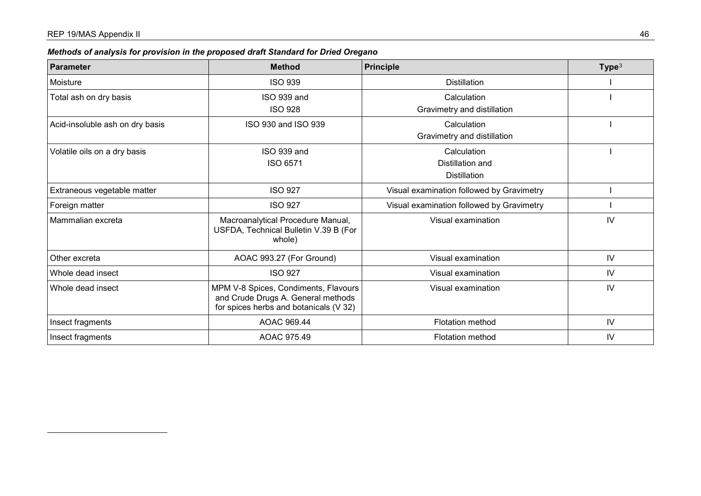$\overline{a}$ 

<span id="page-50-0"></span>

| <b>Parameter</b>                | <b>Method</b>                                                                                                        | Principle                                 | Type <sup>3</sup> |
|---------------------------------|----------------------------------------------------------------------------------------------------------------------|-------------------------------------------|-------------------|
| Moisture                        | <b>ISO 939</b>                                                                                                       | <b>Distillation</b>                       |                   |
| Total ash on dry basis          | ISO 939 and                                                                                                          | Calculation                               |                   |
|                                 | <b>ISO 928</b>                                                                                                       | Gravimetry and distillation               |                   |
| Acid-insoluble ash on dry basis | ISO 930 and ISO 939                                                                                                  | Calculation                               |                   |
|                                 |                                                                                                                      | Gravimetry and distillation               |                   |
| Volatile oils on a dry basis    | ISO 939 and                                                                                                          | Calculation                               |                   |
|                                 | ISO 6571                                                                                                             | Distillation and                          |                   |
|                                 |                                                                                                                      | <b>Distillation</b>                       |                   |
| Extraneous vegetable matter     | <b>ISO 927</b>                                                                                                       | Visual examination followed by Gravimetry |                   |
| Foreign matter                  | <b>ISO 927</b>                                                                                                       | Visual examination followed by Gravimetry |                   |
| Mammalian excreta               | Macroanalytical Procedure Manual,<br>USFDA, Technical Bulletin V.39 B (For<br>whole)                                 | Visual examination                        | IV                |
| Other excreta                   | AOAC 993.27 (For Ground)                                                                                             | Visual examination                        | IV                |
| Whole dead insect               | <b>ISO 927</b>                                                                                                       | Visual examination                        | IV                |
| Whole dead insect               | MPM V-8 Spices, Condiments, Flavours<br>and Crude Drugs A. General methods<br>for spices herbs and botanicals (V 32) | Visual examination                        | IV                |
| Insect fragments                | AOAC 969.44                                                                                                          | <b>Flotation method</b>                   | IV                |
| Insect fragments                | AOAC 975.49                                                                                                          | <b>Flotation method</b>                   | IV                |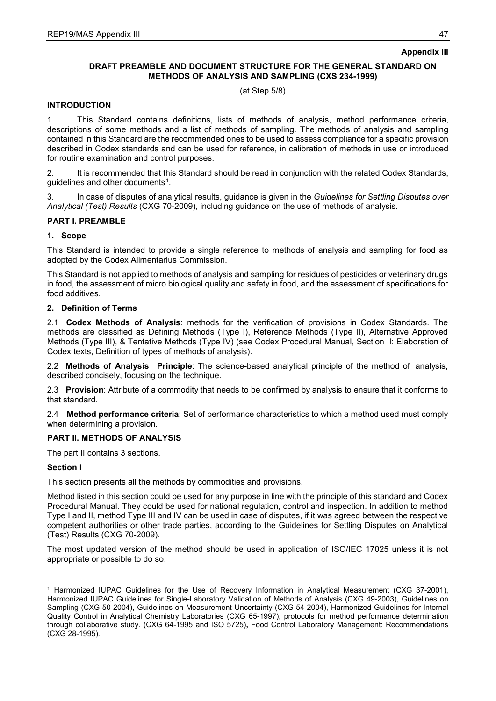# **Appendix III**

# **DRAFT PREAMBLE AND DOCUMENT STRUCTURE FOR THE GENERAL STANDARD ON METHODS OF ANALYSIS AND SAMPLING (CXS 234-1999)**

(at Step 5/8)

# **INTRODUCTION**

1. This Standard contains definitions, lists of methods of analysis, method performance criteria, descriptions of some methods and a list of methods of sampling. The methods of analysis and sampling contained in this Standard are the recommended ones to be used to assess compliance for a specific provision described in Codex standards and can be used for reference, in calibration of methods in use or introduced for routine examination and control purposes.

2. It is recommended that this Standard should be read in conjunction with the related Codex Standards, guidelines and other documents**[1](#page-51-0)**.

3. In case of disputes of analytical results, guidance is given in the *Guidelines for Settling Disputes over Analytical (Test) Results* (CXG 70-2009), including guidance on the use of methods of analysis.

# **PART I. PREAMBLE**

# **1. Scope**

This Standard is intended to provide a single reference to methods of analysis and sampling for food as adopted by the Codex Alimentarius Commission.

This Standard is not applied to methods of analysis and sampling for residues of pesticides or veterinary drugs in food, the assessment of micro biological quality and safety in food, and the assessment of specifications for food additives.

# **2. Definition of Terms**

2.1 **Codex Methods of Analysis**: methods for the verification of provisions in Codex Standards. The methods are classified as Defining Methods (Type I), Reference Methods (Type II), Alternative Approved Methods (Type III), & Tentative Methods (Type IV) (see Codex Procedural Manual, Section II: Elaboration of Codex texts, Definition of types of methods of analysis).

2.2 **Methods of Analysis Principle**: The science-based analytical principle of the method of analysis, described concisely, focusing on the technique.

2.3 **Provision**: Attribute of a commodity that needs to be confirmed by analysis to ensure that it conforms to that standard.

2.4 **Method performance criteria**: Set of performance characteristics to which a method used must comply when determining a provision.

### **PART II. METHODS OF ANALYSIS**

The part II contains 3 sections.

### **Section I**

-

This section presents all the methods by commodities and provisions.

Method listed in this section could be used for any purpose in line with the principle of this standard and Codex Procedural Manual. They could be used for national regulation, control and inspection. In addition to method Type I and II, method Type III and IV can be used in case of disputes, if it was agreed between the respective competent authorities or other trade parties, according to the Guidelines for Settling Disputes on Analytical (Test) Results (CXG 70-2009).

The most updated version of the method should be used in application of ISO/IEC 17025 unless it is not appropriate or possible to do so.

<span id="page-51-0"></span><sup>1</sup> Harmonized IUPAC Guidelines for the Use of Recovery Information in Analytical Measurement (CXG 37-2001), Harmonized IUPAC Guidelines for Single-Laboratory Validation of Methods of Analysis (CXG 49-2003), Guidelines on Sampling (CXG 50-2004), Guidelines on Measurement Uncertainty (CXG 54-2004), Harmonized Guidelines for Internal Quality Control in Analytical Chemistry Laboratories (CXG 65-1997), protocols for method performance determination through collaborative study. (CXG 64-1995 and ISO 5725)**,** Food Control Laboratory Management: Recommendations (CXG 28-1995).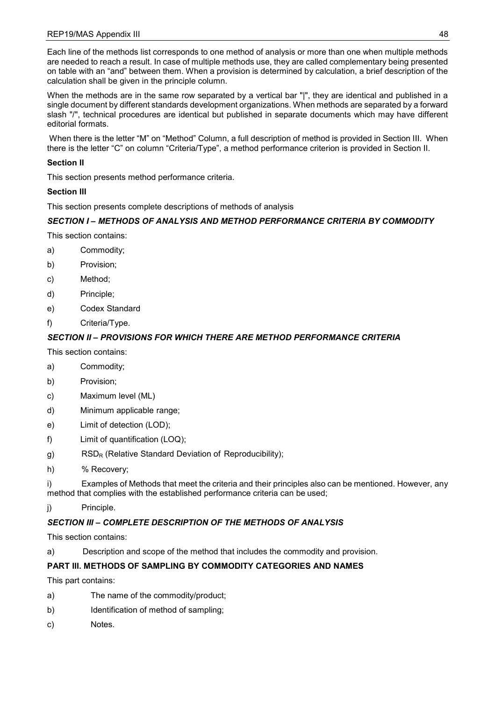Each line of the methods list corresponds to one method of analysis or more than one when multiple methods are needed to reach a result. In case of multiple methods use, they are called complementary being presented on table with an "and" between them. When a provision is determined by calculation, a brief description of the calculation shall be given in the principle column.

When the methods are in the same row separated by a vertical bar "|", they are identical and published in a single document by different standards development organizations. When methods are separated by a forward slash "/", technical procedures are identical but published in separate documents which may have different editorial formats.

When there is the letter "M" on "Method" Column, a full description of method is provided in Section III. When there is the letter "C" on column "Criteria/Type", a method performance criterion is provided in Section II.

# **Section II**

This section presents method performance criteria.

# **Section III**

This section presents complete descriptions of methods of analysis

# *SECTION I – METHODS OF ANALYSIS AND METHOD PERFORMANCE CRITERIA BY COMMODITY*

This section contains:

- a) Commodity;
- b) Provision;
- c) Method;
- d) Principle;
- e) Codex Standard
- f) Criteria/Type.

# *SECTION II – PROVISIONS FOR WHICH THERE ARE METHOD PERFORMANCE CRITERIA*

This section contains:

- a) Commodity;
- b) Provision;
- c) Maximum level (ML)
- d) Minimum applicable range;
- e) Limit of detection (LOD);
- f) Limit of quantification (LOQ);
- g) RSD<sub>R</sub> (Relative Standard Deviation of Reproducibility);
- h) % Recovery;

i) Examples of Methods that meet the criteria and their principles also can be mentioned. However, any method that complies with the established performance criteria can be used;

j) Principle.

# *SECTION III – COMPLETE DESCRIPTION OF THE METHODS OF ANALYSIS*

This section contains:

a) Description and scope of the method that includes the commodity and provision.

# **PART III. METHODS OF SAMPLING BY COMMODITY CATEGORIES AND NAMES**

This part contains:

- a) The name of the commodity/product;
- b) Identification of method of sampling;
- c) Notes.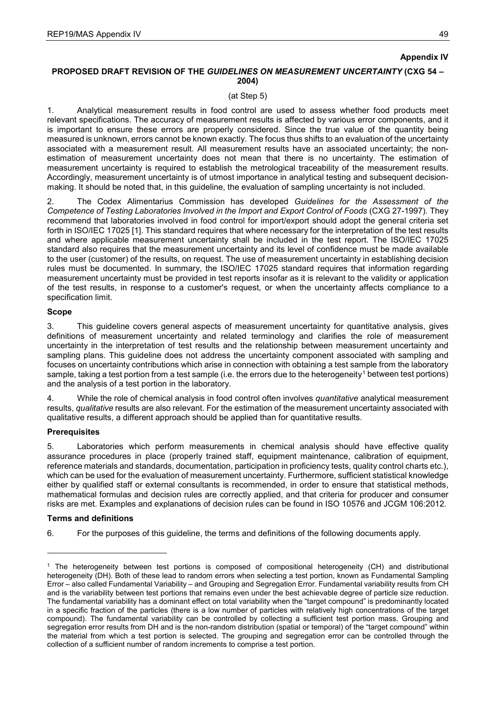# **Appendix IV**

# **PROPOSED DRAFT REVISION OF THE** *GUIDELINES ON MEASUREMENT UNCERTAINTY* **(CXG 54 – 2004)**

(at Step 5)

1. Analytical measurement results in food control are used to assess whether food products meet relevant specifications. The accuracy of measurement results is affected by various error components, and it is important to ensure these errors are properly considered. Since the true value of the quantity being measured is unknown, errors cannot be known exactly. The focus thus shifts to an evaluation of the uncertainty associated with a measurement result. All measurement results have an associated uncertainty; the nonestimation of measurement uncertainty does not mean that there is no uncertainty. The estimation of measurement uncertainty is required to establish the metrological traceability of the measurement results. Accordingly, measurement uncertainty is of utmost importance in analytical testing and subsequent decisionmaking. It should be noted that, in this guideline, the evaluation of sampling uncertainty is not included.

2. The Codex Alimentarius Commission has developed *Guidelines for the Assessment of the Competence of Testing Laboratories Involved in the Import and Export Control of Foods* (CXG 27-1997). They recommend that laboratories involved in food control for import/export should adopt the general criteria set forth in ISO/IEC 17025 [1]. This standard requires that where necessary for the interpretation of the test results and where applicable measurement uncertainty shall be included in the test report. The ISO/IEC 17025 standard also requires that the measurement uncertainty and its level of confidence must be made available to the user (customer) of the results, on request. The use of measurement uncertainty in establishing decision rules must be documented. In summary, the ISO/IEC 17025 standard requires that information regarding measurement uncertainty must be provided in test reports insofar as it is relevant to the validity or application of the test results, in response to a customer's request, or when the uncertainty affects compliance to a specification limit.

### **Scope**

3. This guideline covers general aspects of measurement uncertainty for quantitative analysis, gives definitions of measurement uncertainty and related terminology and clarifies the role of measurement uncertainty in the interpretation of test results and the relationship between measurement uncertainty and sampling plans. This guideline does not address the uncertainty component associated with sampling and focuses on uncertainty contributions which arise in connection with obtaining a test sample from the laboratory sample, taking a test portion from a test sample (i.e. the errors due to the heterogeneity<sup>[1](#page-53-0)</sup> between test portions) and the analysis of a test portion in the laboratory.

4. While the role of chemical analysis in food control often involves *quantitative* analytical measurement results, *qualitative* results are also relevant. For the estimation of the measurement uncertainty associated with qualitative results, a different approach should be applied than for quantitative results.

### **Prerequisites**

5. Laboratories which perform measurements in chemical analysis should have effective quality assurance procedures in place (properly trained staff, equipment maintenance, calibration of equipment, reference materials and standards, documentation, participation in proficiency tests, quality control charts etc.), which can be used for the evaluation of measurement uncertainty. Furthermore, sufficient statistical knowledge either by qualified staff or external consultants is recommended, in order to ensure that statistical methods, mathematical formulas and decision rules are correctly applied, and that criteria for producer and consumer risks are met. Examples and explanations of decision rules can be found in ISO 10576 and JCGM 106:2012.

### **Terms and definitions**

-

6. For the purposes of this guideline, the terms and definitions of the following documents apply.

<span id="page-53-0"></span><sup>1</sup> The heterogeneity between test portions is composed of compositional heterogeneity (CH) and distributional heterogeneity (DH). Both of these lead to random errors when selecting a test portion, known as Fundamental Sampling Error – also called Fundamental Variability – and Grouping and Segregation Error. Fundamental variability results from CH and is the variability between test portions that remains even under the best achievable degree of particle size reduction. The fundamental variability has a dominant effect on total variability when the "target compound" is predominantly located in a specific fraction of the particles (there is a low number of particles with relatively high concentrations of the target compound). The fundamental variability can be controlled by collecting a sufficient test portion mass. Grouping and segregation error results from DH and is the non-random distribution (spatial or temporal) of the "target compound" within the material from which a test portion is selected. The grouping and segregation error can be controlled through the collection of a sufficient number of random increments to comprise a test portion.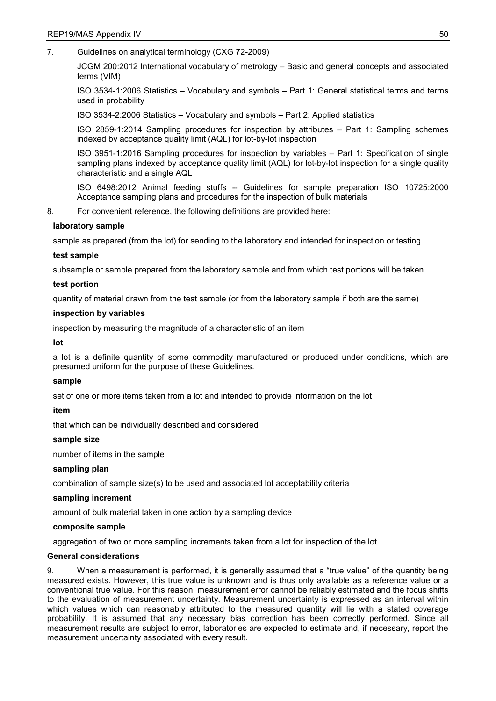7. Guidelines on analytical terminology (CXG 72-2009)

JCGM 200:2012 International vocabulary of metrology – Basic and general concepts and associated terms (VIM)

ISO 3534-1:2006 Statistics – Vocabulary and symbols – Part 1: General statistical terms and terms used in probability

ISO 3534-2:2006 Statistics – Vocabulary and symbols – Part 2: Applied statistics

ISO 2859-1:2014 Sampling procedures for inspection by attributes – Part 1: Sampling schemes indexed by acceptance quality limit (AQL) for lot-by-lot inspection

ISO 3951-1:2016 Sampling procedures for inspection by variables – Part 1: Specification of single sampling plans indexed by acceptance quality limit (AQL) for lot-by-lot inspection for a single quality characteristic and a single AQL

ISO 6498:2012 Animal feeding stuffs -- Guidelines for sample preparation ISO 10725:2000 Acceptance sampling plans and procedures for the inspection of bulk materials

8. For convenient reference, the following definitions are provided here:

# **laboratory sample**

sample as prepared (from the lot) for sending to the laboratory and intended for inspection or testing

# **test sample**

subsample or sample prepared from the laboratory sample and from which test portions will be taken

# **test portion**

quantity of material drawn from the test sample (or from the laboratory sample if both are the same)

# **inspection by variables**

inspection by measuring the magnitude of a characteristic of an item

### **lot**

a lot is a definite quantity of some commodity manufactured or produced under conditions, which are presumed uniform for the purpose of these Guidelines.

### **sample**

set of one or more items taken from a lot and intended to provide information on the lot

### **item**

that which can be individually described and considered

### **sample size**

number of items in the sample

### **sampling plan**

combination of sample size(s) to be used and associated lot acceptability criteria

# **sampling increment**

amount of bulk material taken in one action by a sampling device

### **composite sample**

aggregation of two or more sampling increments taken from a lot for inspection of the lot

### **General considerations**

9. When a measurement is performed, it is generally assumed that a "true value" of the quantity being measured exists. However, this true value is unknown and is thus only available as a reference value or a conventional true value. For this reason, measurement error cannot be reliably estimated and the focus shifts to the evaluation of measurement uncertainty. Measurement uncertainty is expressed as an interval within which values which can reasonably attributed to the measured quantity will lie with a stated coverage probability. It is assumed that any necessary bias correction has been correctly performed. Since all measurement results are subject to error, laboratories are expected to estimate and, if necessary, report the measurement uncertainty associated with every result.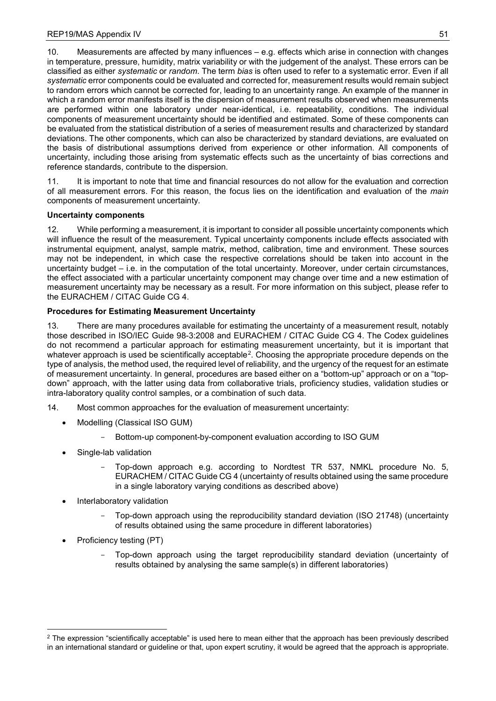10. Measurements are affected by many influences – e.g. effects which arise in connection with changes in temperature, pressure, humidity, matrix variability or with the judgement of the analyst. These errors can be classified as either *systematic* or *random*. The term *bias* is often used to refer to a systematic error. Even if all *systematic* error components could be evaluated and corrected for, measurement results would remain subject to random errors which cannot be corrected for, leading to an uncertainty range. An example of the manner in which a random error manifests itself is the dispersion of measurement results observed when measurements are performed within one laboratory under near-identical, i.e. repeatability, conditions. The individual components of measurement uncertainty should be identified and estimated. Some of these components can be evaluated from the statistical distribution of a series of measurement results and characterized by standard deviations. The other components, which can also be characterized by standard deviations, are evaluated on the basis of distributional assumptions derived from experience or other information. All components of uncertainty, including those arising from systematic effects such as the uncertainty of bias corrections and reference standards, contribute to the dispersion.

11. It is important to note that time and financial resources do not allow for the evaluation and correction of all measurement errors. For this reason, the focus lies on the identification and evaluation of the *main* components of measurement uncertainty.

# **Uncertainty components**

12. While performing a measurement, it is important to consider all possible uncertainty components which will influence the result of the measurement. Typical uncertainty components include effects associated with instrumental equipment, analyst, sample matrix, method, calibration, time and environment. These sources may not be independent, in which case the respective correlations should be taken into account in the uncertainty budget – i.e. in the computation of the total uncertainty. Moreover, under certain circumstances, the effect associated with a particular uncertainty component may change over time and a new estimation of measurement uncertainty may be necessary as a result. For more information on this subject, please refer to the EURACHEM / CITAC Guide CG 4.

# **Procedures for Estimating Measurement Uncertainty**

13. There are many procedures available for estimating the uncertainty of a measurement result, notably those described in ISO/IEC Guide 98-3:2008 and EURACHEM / CITAC Guide CG 4. The Codex guidelines do not recommend a particular approach for estimating measurement uncertainty, but it is important that whatever approach is used be scientifically acceptable[2](#page-55-0). Choosing the appropriate procedure depends on the type of analysis, the method used, the required level of reliability, and the urgency of the request for an estimate of measurement uncertainty. In general, procedures are based either on a "bottom-up" approach or on a "topdown" approach, with the latter using data from collaborative trials, proficiency studies, validation studies or intra-laboratory quality control samples, or a combination of such data.

- 14. Most common approaches for the evaluation of measurement uncertainty:
	- Modelling (Classical ISO GUM)
		- Bottom-up component-by-component evaluation according to ISO GUM
	- Single-lab validation
		- Top-down approach e.g. according to Nordtest TR 537, NMKL procedure No. 5, EURACHEM / CITAC Guide CG 4 (uncertainty of results obtained using the same procedure in a single laboratory varying conditions as described above)
	- Interlaboratory validation
		- Top-down approach using the reproducibility standard deviation (ISO 21748) (uncertainty of results obtained using the same procedure in different laboratories)
	- Proficiency testing (PT)

-

Top-down approach using the target reproducibility standard deviation (uncertainty of results obtained by analysing the same sample(s) in different laboratories)

<span id="page-55-0"></span> $2$  The expression "scientifically acceptable" is used here to mean either that the approach has been previously described in an international standard or guideline or that, upon expert scrutiny, it would be agreed that the approach is appropriate.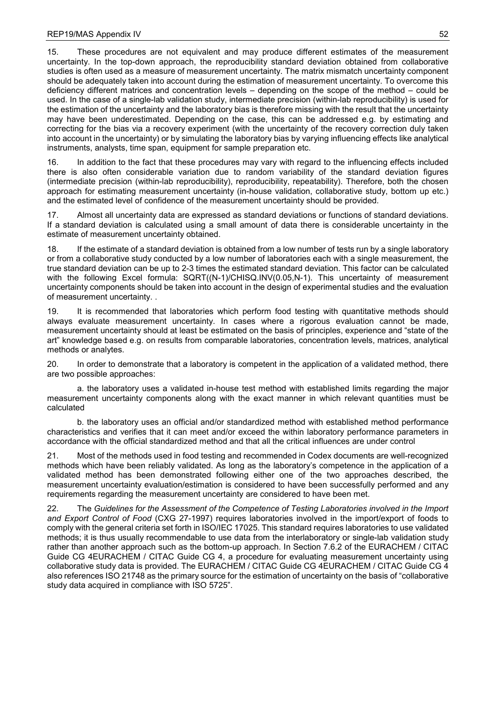15. These procedures are not equivalent and may produce different estimates of the measurement uncertainty. In the top-down approach, the reproducibility standard deviation obtained from collaborative studies is often used as a measure of measurement uncertainty. The matrix mismatch uncertainty component should be adequately taken into account during the estimation of measurement uncertainty. To overcome this deficiency different matrices and concentration levels – depending on the scope of the method – could be used. In the case of a single-lab validation study, intermediate precision (within-lab reproducibility) is used for the estimation of the uncertainty and the laboratory bias is therefore missing with the result that the uncertainty may have been underestimated. Depending on the case, this can be addressed e.g. by estimating and correcting for the bias via a recovery experiment (with the uncertainty of the recovery correction duly taken into account in the uncertainty) or by simulating the laboratory bias by varying influencing effects like analytical instruments, analysts, time span, equipment for sample preparation etc.

16. In addition to the fact that these procedures may vary with regard to the influencing effects included there is also often considerable variation due to random variability of the standard deviation figures (intermediate precision (within-lab reproducibility), reproducibility, repeatability). Therefore, both the chosen approach for estimating measurement uncertainty (in-house validation, collaborative study, bottom up etc.) and the estimated level of confidence of the measurement uncertainty should be provided.

17. Almost all uncertainty data are expressed as standard deviations or functions of standard deviations. If a standard deviation is calculated using a small amount of data there is considerable uncertainty in the estimate of measurement uncertainty obtained.

18. If the estimate of a standard deviation is obtained from a low number of tests run by a single laboratory or from a collaborative study conducted by a low number of laboratories each with a single measurement, the true standard deviation can be up to 2-3 times the estimated standard deviation. This factor can be calculated with the following Excel formula: SQRT((N-1)/CHISQ.INV(0.05,N-1). This uncertainty of measurement uncertainty components should be taken into account in the design of experimental studies and the evaluation of measurement uncertainty. .

19. It is recommended that laboratories which perform food testing with quantitative methods should always evaluate measurement uncertainty. In cases where a rigorous evaluation cannot be made, measurement uncertainty should at least be estimated on the basis of principles, experience and "state of the art" knowledge based e.g. on results from comparable laboratories, concentration levels, matrices, analytical methods or analytes.

20. In order to demonstrate that a laboratory is competent in the application of a validated method, there are two possible approaches:

a. the laboratory uses a validated in-house test method with established limits regarding the major measurement uncertainty components along with the exact manner in which relevant quantities must be calculated

b. the laboratory uses an official and/or standardized method with established method performance characteristics and verifies that it can meet and/or exceed the within laboratory performance parameters in accordance with the official standardized method and that all the critical influences are under control

21. Most of the methods used in food testing and recommended in Codex documents are well-recognized methods which have been reliably validated. As long as the laboratory's competence in the application of a validated method has been demonstrated following either one of the two approaches described, the measurement uncertainty evaluation/estimation is considered to have been successfully performed and any requirements regarding the measurement uncertainty are considered to have been met.

22. The *Guidelines for the Assessment of the Competence of Testing Laboratories involved in the Import and Export Control of Food* (CXG 27-1997) requires laboratories involved in the import/export of foods to comply with the general criteria set forth in ISO/IEC 17025. This standard requires laboratories to use validated methods; it is thus usually recommendable to use data from the interlaboratory or single-lab validation study rather than another approach such as the bottom-up approach. In Section 7.6.2 of the EURACHEM / CITAC Guide CG 4EURACHEM / CITAC Guide CG 4, a procedure for evaluating measurement uncertainty using collaborative study data is provided. The EURACHEM / CITAC Guide CG 4EURACHEM / CITAC Guide CG 4 also references ISO 21748 as the primary source for the estimation of uncertainty on the basis of "collaborative study data acquired in compliance with ISO 5725".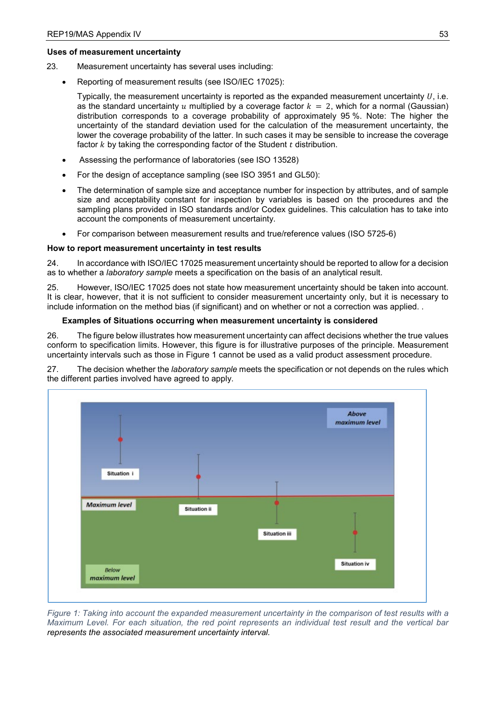# **Uses of measurement uncertainty**

- 23. Measurement uncertainty has several uses including:
	- Reporting of measurement results (see ISO/IEC 17025):

Typically, the measurement uncertainty is reported as the expanded measurement uncertainty  $U$ , i.e. as the standard uncertainty u multiplied by a coverage factor  $k = 2$ , which for a normal (Gaussian) distribution corresponds to a coverage probability of approximately 95 %. Note: The higher the uncertainty of the standard deviation used for the calculation of the measurement uncertainty, the lower the coverage probability of the latter. In such cases it may be sensible to increase the coverage factor  $k$  by taking the corresponding factor of the Student  $t$  distribution.

- Assessing the performance of laboratories (see ISO 13528)
- For the design of acceptance sampling (see ISO 3951 and GL50):
- The determination of sample size and acceptance number for inspection by attributes, and of sample size and acceptability constant for inspection by variables is based on the procedures and the sampling plans provided in ISO standards and/or Codex guidelines. This calculation has to take into account the components of measurement uncertainty.
- For comparison between measurement results and true/reference values (ISO 5725-6)

# **How to report measurement uncertainty in test results**

24. In accordance with ISO/IEC 17025 measurement uncertainty should be reported to allow for a decision as to whether a *laboratory sample* meets a specification on the basis of an analytical result.

25. However, ISO/IEC 17025 does not state how measurement uncertainty should be taken into account. It is clear, however, that it is not sufficient to consider measurement uncertainty only, but it is necessary to include information on the method bias (if significant) and on whether or not a correction was applied. .

# **Examples of Situations occurring when measurement uncertainty is considered**

26. The figure below illustrates how measurement uncertainty can affect decisions whether the true values conform to specification limits. However, this figure is for illustrative purposes of the principle. Measurement uncertainty intervals such as those in Figure 1 cannot be used as a valid product assessment procedure.

27. The decision whether the *laboratory sample* meets the specification or not depends on the rules which the different parties involved have agreed to apply.



*Figure 1: Taking into account the expanded measurement uncertainty in the comparison of test results with a Maximum Level. For each situation, the red point represents an individual test result and the vertical bar represents the associated measurement uncertainty interval.*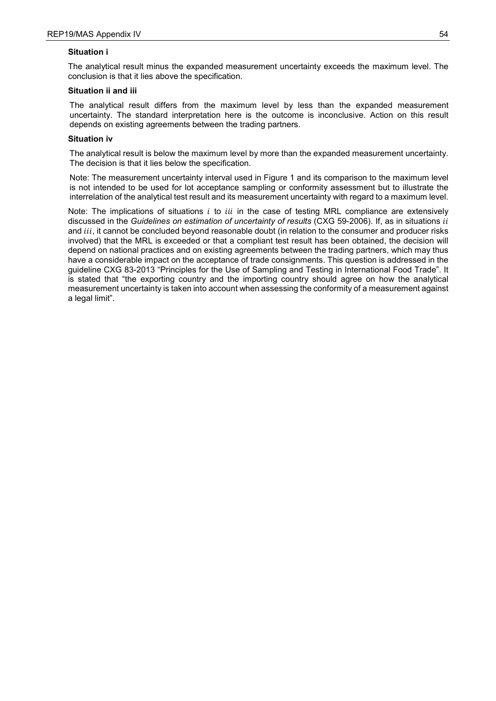# **Situation i**

The analytical result minus the expanded measurement uncertainty exceeds the maximum level. The conclusion is that it lies above the specification.

# **Situation ii and iii**

The analytical result differs from the maximum level by less than the expanded measurement uncertainty. The standard interpretation here is the outcome is inconclusive. Action on this result depends on existing agreements between the trading partners.

# **Situation iv**

The analytical result is below the maximum level by more than the expanded measurement uncertainty. The decision is that it lies below the specification.

Note: The measurement uncertainty interval used in Figure 1 and its comparison to the maximum level is not intended to be used for lot acceptance sampling or conformity assessment but to illustrate the interrelation of the analytical test result and its measurement uncertainty with regard to a maximum level.

Note: The implications of situations  $i$  to  $iii$  in the case of testing MRL compliance are extensively discussed in the *Guidelines on estimation of uncertainty of results* (CXG 59-2006). If, as in situations *ii* and *iii*, it cannot be concluded beyond reasonable doubt (in relation to the consumer and producer risks involved) that the MRL is exceeded or that a compliant test result has been obtained, the decision will depend on national practices and on existing agreements between the trading partners, which may thus have a considerable impact on the acceptance of trade consignments. This question is addressed in the guideline CXG 83-2013 "Principles for the Use of Sampling and Testing in International Food Trade". It is stated that "the exporting country and the importing country should agree on how the analytical measurement uncertainty is taken into account when assessing the conformity of a measurement against a legal limit".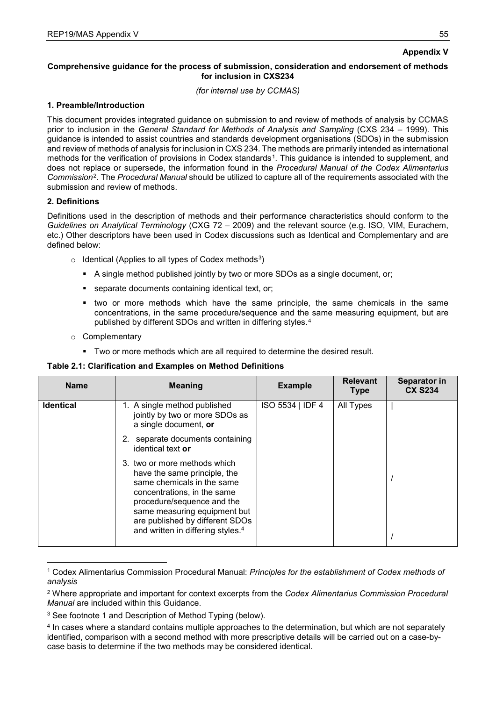# **Appendix V**

# **Comprehensive guidance for the process of submission, consideration and endorsement of methods for inclusion in CXS234**

*(for internal use by CCMAS)*

# **1. Preamble/Introduction**

This document provides integrated guidance on submission to and review of methods of analysis by CCMAS prior to inclusion in the *General Standard for Methods of Analysis and Sampling* (CXS 234 – 1999). This guidance is intended to assist countries and standards development organisations (SDOs) in the submission and review of methods of analysis for inclusion in CXS 234. The methods are primarily intended as international methods for the verification of provisions in Codex standards<sup>[1](#page-59-1)</sup>. This guidance is intended to supplement, and does not replace or supersede, the information found in the *Procedural Manual of the Codex Alimentarius Commission*[2.](#page-59-2) The *Procedural Manual* should be utilized to capture all of the requirements associated with the submission and review of methods.

# **2. Definitions**

Definitions used in the description of methods and their performance characteristics should conform to the *Guidelines on Analytical Terminology* (CXG 72 – 2009) and the relevant source (e.g. ISO, VIM, Eurachem, etc.) Other descriptors have been used in Codex discussions such as Identical and Complementary and are defined below:

- $\circ$  Identical (Applies to all types of Codex methods<sup>[3](#page-59-3)</sup>)
	- A single method published jointly by two or more SDOs as a single document, or;
	- separate documents containing identical text, or;
	- two or more methods which have the same principle, the same chemicals in the same concentrations, in the same procedure/sequence and the same measuring equipment, but are published by different SDOs and written in differing styles.[4](#page-59-4)
- <span id="page-59-0"></span>o Complementary
	- Two or more methods which are all required to determine the desired result.

# **Table 2.1: Clarification and Examples on Method Definitions**

| <b>Name</b>      | <b>Meaning</b>                                                                                                                                                                                                                                                              | <b>Example</b>   | <b>Relevant</b><br><b>Type</b> | Separator in<br><b>CX S234</b> |
|------------------|-----------------------------------------------------------------------------------------------------------------------------------------------------------------------------------------------------------------------------------------------------------------------------|------------------|--------------------------------|--------------------------------|
| <b>Identical</b> | 1. A single method published<br>jointly by two or more SDOs as<br>a single document, or                                                                                                                                                                                     | ISO 5534   IDF 4 | All Types                      |                                |
|                  | 2. separate documents containing<br>identical text or                                                                                                                                                                                                                       |                  |                                |                                |
|                  | 3. two or more methods which<br>have the same principle, the<br>same chemicals in the same<br>concentrations, in the same<br>procedure/sequence and the<br>same measuring equipment but<br>are published by different SDOs<br>and written in differing styles. <sup>4</sup> |                  |                                |                                |

<span id="page-59-1"></span><sup>-</sup><sup>1</sup> Codex Alimentarius Commission Procedural Manual: *Principles for the establishment of Codex methods of analysis*

<span id="page-59-2"></span><sup>2</sup> Where appropriate and important for context excerpts from the *Codex Alimentarius Commission Procedural Manual* are included within this Guidance.

<span id="page-59-3"></span><sup>&</sup>lt;sup>3</sup> See footnote 1 and Description of Method Typing (below).

<span id="page-59-4"></span><sup>4</sup> In cases where a standard contains multiple approaches to the determination, but which are not separately identified, comparison with a second method with more prescriptive details will be carried out on a case-bycase basis to determine if the two methods may be considered identical.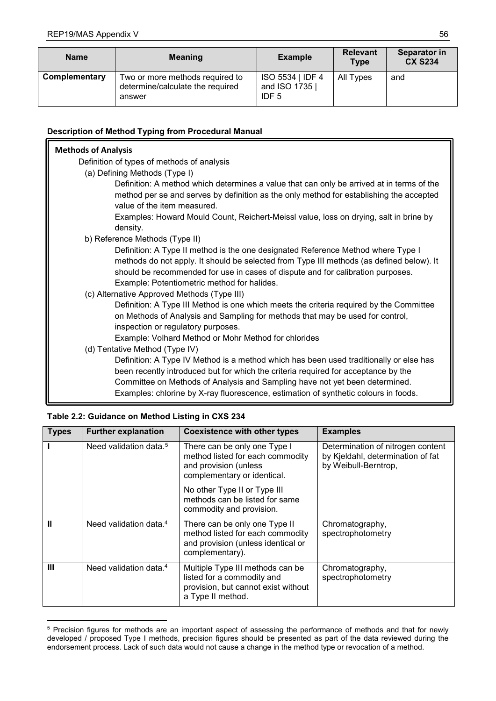| <b>Name</b>   | <b>Meaning</b>                                                                |                                                      | <b>Relevant</b><br>Type | Separator in<br><b>CX S234</b> |
|---------------|-------------------------------------------------------------------------------|------------------------------------------------------|-------------------------|--------------------------------|
| Complementary | Two or more methods required to<br>determine/calculate the required<br>answer | ISO 5534   IDF 4<br>and ISO 1735<br>IDF <sub>5</sub> | All Types               | and                            |

# **Description of Method Typing from Procedural Manual**

| <b>Methods of Analysis</b> |                                                                                                                                                                                                                                                                                                                                                    |
|----------------------------|----------------------------------------------------------------------------------------------------------------------------------------------------------------------------------------------------------------------------------------------------------------------------------------------------------------------------------------------------|
|                            | Definition of types of methods of analysis                                                                                                                                                                                                                                                                                                         |
|                            | (a) Defining Methods (Type I)                                                                                                                                                                                                                                                                                                                      |
|                            | Definition: A method which determines a value that can only be arrived at in terms of the<br>method per se and serves by definition as the only method for establishing the accepted<br>value of the item measured.                                                                                                                                |
|                            | Examples: Howard Mould Count, Reichert-Meissl value, loss on drying, salt in brine by<br>density.                                                                                                                                                                                                                                                  |
|                            | b) Reference Methods (Type II)                                                                                                                                                                                                                                                                                                                     |
|                            | Definition: A Type II method is the one designated Reference Method where Type I<br>methods do not apply. It should be selected from Type III methods (as defined below). It<br>should be recommended for use in cases of dispute and for calibration purposes.<br>Example: Potentiometric method for halides.                                     |
|                            | (c) Alternative Approved Methods (Type III)                                                                                                                                                                                                                                                                                                        |
|                            | Definition: A Type III Method is one which meets the criteria required by the Committee<br>on Methods of Analysis and Sampling for methods that may be used for control,<br>inspection or regulatory purposes.                                                                                                                                     |
|                            | Example: Volhard Method or Mohr Method for chlorides                                                                                                                                                                                                                                                                                               |
|                            | (d) Tentative Method (Type IV)                                                                                                                                                                                                                                                                                                                     |
|                            | Definition: A Type IV Method is a method which has been used traditionally or else has<br>been recently introduced but for which the criteria required for acceptance by the<br>Committee on Methods of Analysis and Sampling have not yet been determined.<br>Examples: chlorine by X-ray fluorescence, estimation of synthetic colours in foods. |

| <b>Types</b>   | <b>Further explanation</b>         | <b>Coexistence with other types</b>                                                                                        | <b>Examples</b>                                                                                |
|----------------|------------------------------------|----------------------------------------------------------------------------------------------------------------------------|------------------------------------------------------------------------------------------------|
|                | Need validation data. <sup>5</sup> | There can be only one Type I<br>method listed for each commodity<br>and provision (unless<br>complementary or identical.   | Determination of nitrogen content<br>by Kjeldahl, determination of fat<br>by Weibull-Berntrop, |
|                |                                    | No other Type II or Type III<br>methods can be listed for same<br>commodity and provision.                                 |                                                                                                |
| Ш              | Need validation data. <sup>4</sup> | There can be only one Type II<br>method listed for each commodity<br>and provision (unless identical or<br>complementary). | Chromatography,<br>spectrophotometry                                                           |
| $\mathbf{III}$ | Need validation data. <sup>4</sup> | Multiple Type III methods can be<br>listed for a commodity and<br>provision, but cannot exist without<br>a Type II method. | Chromatography,<br>spectrophotometry                                                           |

**Table 2.2: Guidance on Method Listing in CXS 234**

-

<span id="page-60-0"></span> $^5$  Precision figures for methods are an important aspect of assessing the performance of methods and that for newly developed / proposed Type I methods, precision figures should be presented as part of the data reviewed during the endorsement process. Lack of such data would not cause a change in the method type or revocation of a method.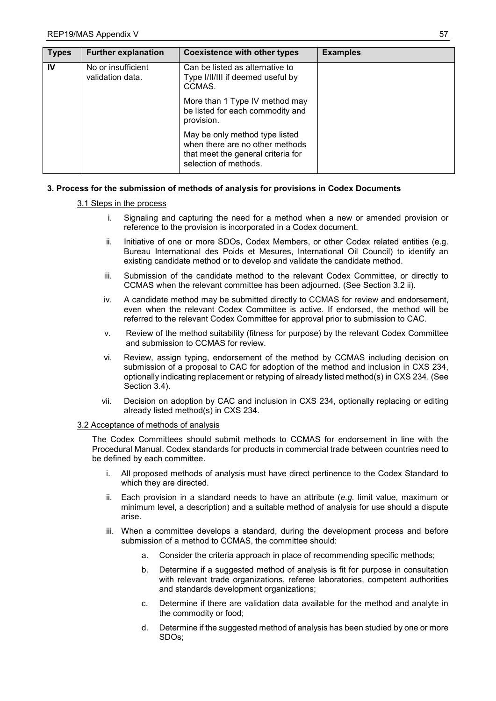| <b>Types</b> | <b>Further explanation</b>             | <b>Coexistence with other types</b>                                                                                              | <b>Examples</b> |
|--------------|----------------------------------------|----------------------------------------------------------------------------------------------------------------------------------|-----------------|
| IV           | No or insufficient<br>validation data. | Can be listed as alternative to<br>Type I/II/III if deemed useful by<br>CCMAS.                                                   |                 |
|              |                                        | More than 1 Type IV method may<br>be listed for each commodity and<br>provision.                                                 |                 |
|              |                                        | May be only method type listed<br>when there are no other methods<br>that meet the general criteria for<br>selection of methods. |                 |

# **3. Process for the submission of methods of analysis for provisions in Codex Documents**

# 3.1 Steps in the process

- i. Signaling and capturing the need for a method when a new or amended provision or reference to the provision is incorporated in a Codex document.
- ii. Initiative of one or more SDOs, Codex Members, or other Codex related entities (e.g. Bureau International des Poids et Mesures, International Oil Council) to identify an existing candidate method or to develop and validate the candidate method.
- iii. Submission of the candidate method to the relevant Codex Committee, or directly to CCMAS when the relevant committee has been adjourned. (See Section 3.2 ii).
- iv. A candidate method may be submitted directly to CCMAS for review and endorsement, even when the relevant Codex Committee is active. If endorsed, the method will be referred to the relevant Codex Committee for approval prior to submission to CAC.
- v. Review of the method suitability (fitness for purpose) by the relevant Codex Committee and submission to CCMAS for review.
- vi. Review, assign typing, endorsement of the method by CCMAS including decision on submission of a proposal to CAC for adoption of the method and inclusion in CXS 234, optionally indicating replacement or retyping of already listed method(s) in CXS 234. (See Section 3.4).
- vii. Decision on adoption by CAC and inclusion in CXS 234, optionally replacing or editing already listed method(s) in CXS 234.

### 3.2 Acceptance of methods of analysis

The Codex Committees should submit methods to CCMAS for endorsement in line with the Procedural Manual. Codex standards for products in commercial trade between countries need to be defined by each committee.

- i. All proposed methods of analysis must have direct pertinence to the Codex Standard to which they are directed.
- ii. Each provision in a standard needs to have an attribute (*e.g.* limit value, maximum or minimum level, a description) and a suitable method of analysis for use should a dispute arise.
- iii. When a committee develops a standard, during the development process and before submission of a method to CCMAS, the committee should:
	- a. Consider the criteria approach in place of recommending specific methods;
	- b. Determine if a suggested method of analysis is fit for purpose in consultation with relevant trade organizations, referee laboratories, competent authorities and standards development organizations;
	- c. Determine if there are validation data available for the method and analyte in the commodity or food;
	- d. Determine if the suggested method of analysis has been studied by one or more SDOs;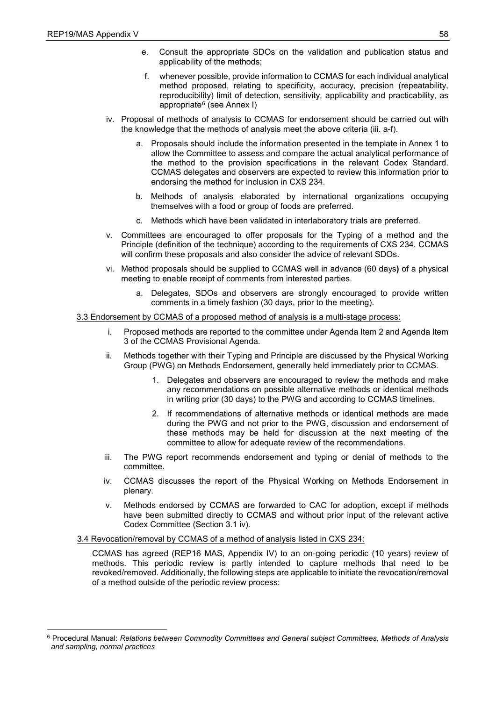- e. Consult the appropriate SDOs on the validation and publication status and applicability of the methods;
- f. whenever possible, provide information to CCMAS for each individual analytical method proposed, relating to specificity, accuracy, precision (repeatability, reproducibility) limit of detection, sensitivity, applicability and practicability, as appropriate<sup>[6](#page-62-0)</sup> (see Annex I)
- iv. Proposal of methods of analysis to CCMAS for endorsement should be carried out with the knowledge that the methods of analysis meet the above criteria (iii. a-f).
	- a. Proposals should include the information presented in the template in Annex 1 to allow the Committee to assess and compare the actual analytical performance of the method to the provision specifications in the relevant Codex Standard. CCMAS delegates and observers are expected to review this information prior to endorsing the method for inclusion in CXS 234.
	- b. Methods of analysis elaborated by international organizations occupying themselves with a food or group of foods are preferred.
	- c. Methods which have been validated in interlaboratory trials are preferred.
- v. Committees are encouraged to offer proposals for the Typing of a method and the Principle (definition of the technique) according to the requirements of CXS 234. CCMAS will confirm these proposals and also consider the advice of relevant SDOs.
- vi. Method proposals should be supplied to CCMAS well in advance (60 days**)** of a physical meeting to enable receipt of comments from interested parties.
	- a. Delegates, SDOs and observers are strongly encouraged to provide written comments in a timely fashion (30 days, prior to the meeting).

### 3.3 Endorsement by CCMAS of a proposed method of analysis is a multi-stage process:

- Proposed methods are reported to the committee under Agenda Item 2 and Agenda Item 3 of the CCMAS Provisional Agenda.
- ii. Methods together with their Typing and Principle are discussed by the Physical Working Group (PWG) on Methods Endorsement, generally held immediately prior to CCMAS.
	- 1. Delegates and observers are encouraged to review the methods and make any recommendations on possible alternative methods or identical methods in writing prior (30 days) to the PWG and according to CCMAS timelines.
	- 2. If recommendations of alternative methods or identical methods are made during the PWG and not prior to the PWG, discussion and endorsement of these methods may be held for discussion at the next meeting of the committee to allow for adequate review of the recommendations.
- iii. The PWG report recommends endorsement and typing or denial of methods to the committee.
- iv. CCMAS discusses the report of the Physical Working on Methods Endorsement in plenary.
- v. Methods endorsed by CCMAS are forwarded to CAC for adoption, except if methods have been submitted directly to CCMAS and without prior input of the relevant active Codex Committee (Section 3.1 iv).

### 3.4 Revocation/removal by CCMAS of a method of analysis listed in CXS 234:

CCMAS has agreed (REP16 MAS, Appendix IV) to an on-going periodic (10 years) review of methods. This periodic review is partly intended to capture methods that need to be revoked/removed. Additionally, the following steps are applicable to initiate the revocation/removal of a method outside of the periodic review process:

<span id="page-62-0"></span><sup>-</sup><sup>6</sup> Procedural Manual: *Relations between Commodity Committees and General subject Committees, Methods of Analysis and sampling, normal practices*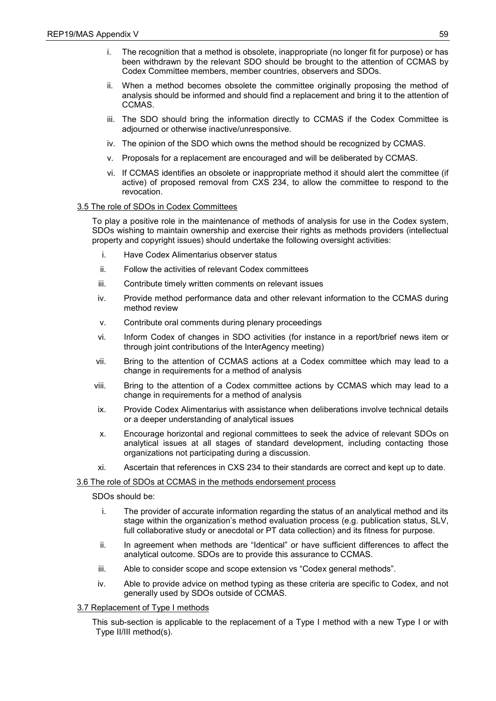- i. The recognition that a method is obsolete, inappropriate (no longer fit for purpose) or has been withdrawn by the relevant SDO should be brought to the attention of CCMAS by Codex Committee members, member countries, observers and SDOs.
- ii. When a method becomes obsolete the committee originally proposing the method of analysis should be informed and should find a replacement and bring it to the attention of CCMAS.
- iii. The SDO should bring the information directly to CCMAS if the Codex Committee is adjourned or otherwise inactive/unresponsive.
- iv. The opinion of the SDO which owns the method should be recognized by CCMAS.
- v. Proposals for a replacement are encouraged and will be deliberated by CCMAS.
- vi. If CCMAS identifies an obsolete or inappropriate method it should alert the committee (if active) of proposed removal from CXS 234, to allow the committee to respond to the revocation.

### 3.5 The role of SDOs in Codex Committees

To play a positive role in the maintenance of methods of analysis for use in the Codex system, SDOs wishing to maintain ownership and exercise their rights as methods providers (intellectual property and copyright issues) should undertake the following oversight activities:

- i. Have Codex Alimentarius observer status
- ii. Follow the activities of relevant Codex committees
- iii. Contribute timely written comments on relevant issues
- iv. Provide method performance data and other relevant information to the CCMAS during method review
- v. Contribute oral comments during plenary proceedings
- vi. Inform Codex of changes in SDO activities (for instance in a report/brief news item or through joint contributions of the InterAgency meeting)
- vii. Bring to the attention of CCMAS actions at a Codex committee which may lead to a change in requirements for a method of analysis
- viii. Bring to the attention of a Codex committee actions by CCMAS which may lead to a change in requirements for a method of analysis
- ix. Provide Codex Alimentarius with assistance when deliberations involve technical details or a deeper understanding of analytical issues
- x. Encourage horizontal and regional committees to seek the advice of relevant SDOs on analytical issues at all stages of standard development, including contacting those organizations not participating during a discussion.
- xi. Ascertain that references in CXS 234 to their standards are correct and kept up to date.

### 3.6 The role of SDOs at CCMAS in the methods endorsement process

SDOs should be:

- i. The provider of accurate information regarding the status of an analytical method and its stage within the organization's method evaluation process (e.g. publication status, SLV, full collaborative study or anecdotal or PT data collection) and its fitness for purpose.
- ii. In agreement when methods are "Identical" or have sufficient differences to affect the analytical outcome. SDOs are to provide this assurance to CCMAS.
- iii. Able to consider scope and scope extension vs "Codex general methods".
- iv. Able to provide advice on method typing as these criteria are specific to Codex, and not generally used by SDOs outside of CCMAS.

# 3.7 Replacement of Type I methods

This sub-section is applicable to the replacement of a Type I method with a new Type I or with Type II/III method(s).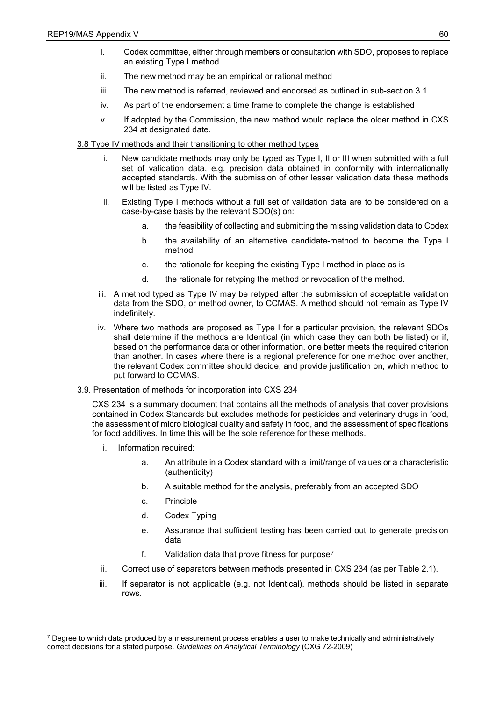- i. Codex committee, either through members or consultation with SDO, proposes to replace an existing Type I method
- ii. The new method may be an empirical or rational method
- iii. The new method is referred, reviewed and endorsed as outlined in sub-section 3.1
- iv. As part of the endorsement a time frame to complete the change is established
- v. If adopted by the Commission, the new method would replace the older method in CXS 234 at designated date.

# 3.8 Type IV methods and their transitioning to other method types

- i. New candidate methods may only be typed as Type I, II or III when submitted with a full set of validation data, e.g. precision data obtained in conformity with internationally accepted standards. With the submission of other lesser validation data these methods will be listed as Type IV.
- ii. Existing Type I methods without a full set of validation data are to be considered on a case-by-case basis by the relevant SDO(s) on:
	- a. the feasibility of collecting and submitting the missing validation data to Codex
	- b. the availability of an alternative candidate-method to become the Type I method
	- c. the rationale for keeping the existing Type I method in place as is
	- d. the rationale for retyping the method or revocation of the method.
- iii. A method typed as Type IV may be retyped after the submission of acceptable validation data from the SDO, or method owner, to CCMAS. A method should not remain as Type IV indefinitely.
- iv. Where two methods are proposed as Type I for a particular provision, the relevant SDOs shall determine if the methods are Identical (in which case they can both be listed) or if, based on the performance data or other information, one better meets the required criterion than another. In cases where there is a regional preference for one method over another, the relevant Codex committee should decide, and provide justification on, which method to put forward to CCMAS.

### 3.9. Presentation of methods for incorporation into CXS 234

CXS 234 is a summary document that contains all the methods of analysis that cover provisions contained in Codex Standards but excludes methods for pesticides and veterinary drugs in food, the assessment of micro biological quality and safety in food, and the assessment of specifications for food additives. In time this will be the sole reference for these methods.

- i. Information required:
	- a. An attribute in a Codex standard with a limit/range of values or a characteristic (authenticity)
	- b. A suitable method for the analysis, preferably from an accepted SDO
	- c. Principle
	- d. Codex Typing
	- e. Assurance that sufficient testing has been carried out to generate precision data
	- f. Validation data that prove fitness for purpose[7](#page-64-0)
- ii. Correct use of separators between methods presented in CXS 234 (as per Table 2.1).
- iii. If separator is not applicable (e.g. not Identical), methods should be listed in separate rows.

<span id="page-64-0"></span><sup>-</sup> $7$  Degree to which data produced by a measurement process enables a user to make technically and administratively correct decisions for a stated purpose. *Guidelines on Analytical Terminology* (CXG 72-2009)